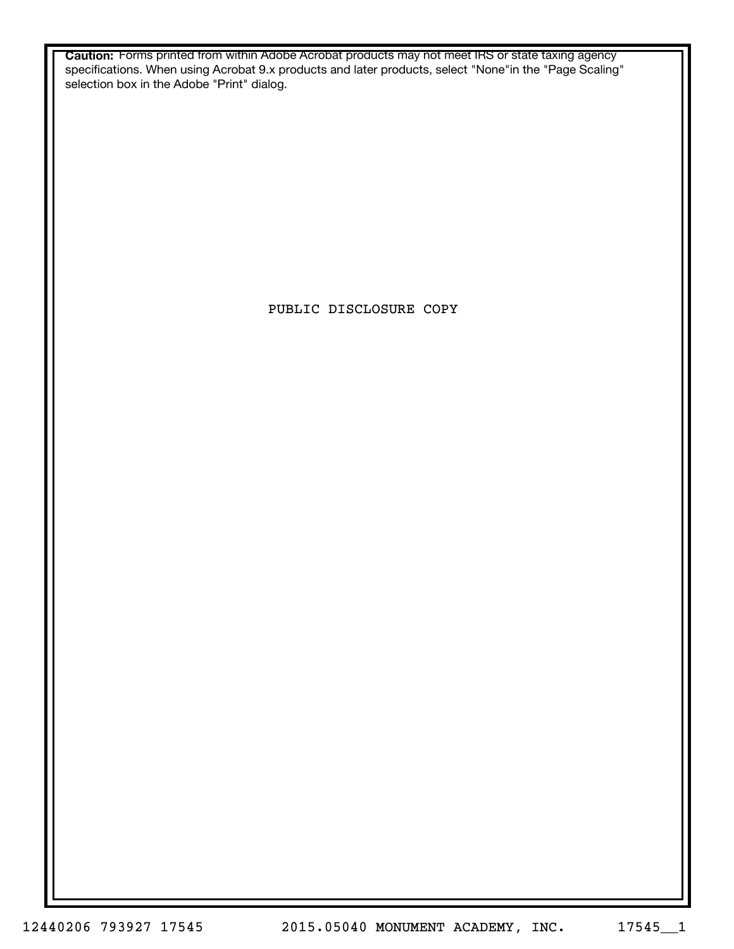**Caution:** Forms printed from within Adobe Acrobat products may not meet IRS or state taxing agency specifications. When using Acrobat 9.x products and later products, select "None"in the "Page Scaling" selection box in the Adobe "Print" dialog.

PUBLIC DISCLOSURE COPY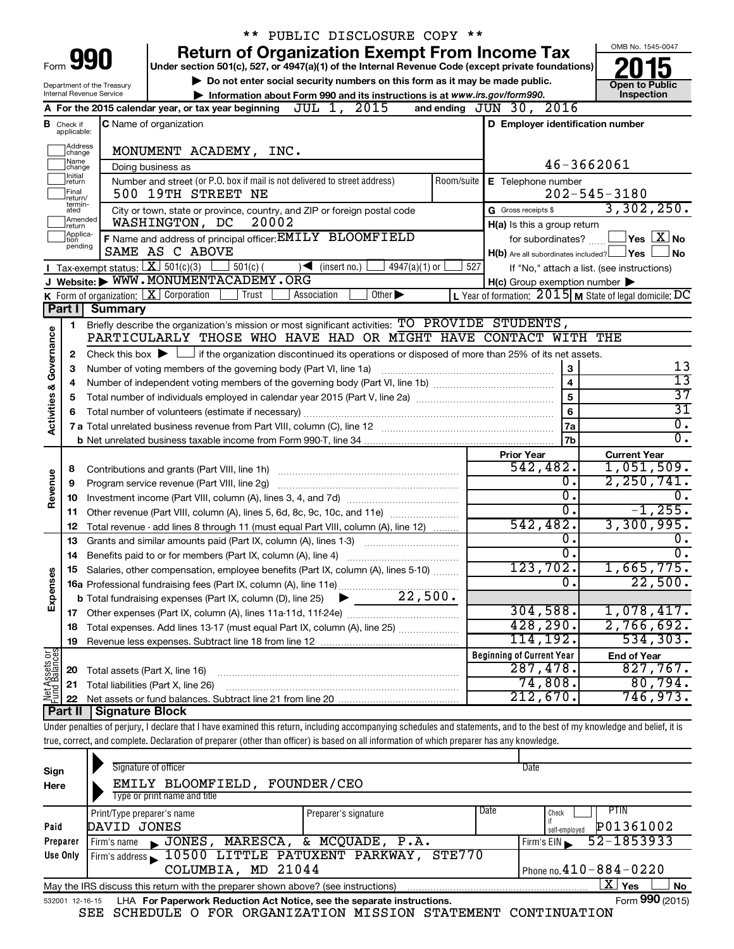|                                                                                                           |                                                                                                                   |                                                                                                                                                                            | ** PUBLIC DISCLOSURE COPY **                                               |     |                                                     |                                                            |
|-----------------------------------------------------------------------------------------------------------|-------------------------------------------------------------------------------------------------------------------|----------------------------------------------------------------------------------------------------------------------------------------------------------------------------|----------------------------------------------------------------------------|-----|-----------------------------------------------------|------------------------------------------------------------|
|                                                                                                           |                                                                                                                   |                                                                                                                                                                            | <b>Return of Organization Exempt From Income Tax</b>                       |     |                                                     | OMB No. 1545-0047                                          |
|                                                                                                           | 990<br>Form<br>Under section 501(c), 527, or 4947(a)(1) of the Internal Revenue Code (except private foundations) |                                                                                                                                                                            |                                                                            |     |                                                     |                                                            |
| Do not enter social security numbers on this form as it may be made public.<br>Department of the Treasury |                                                                                                                   |                                                                                                                                                                            |                                                                            |     | <b>Open to Public</b>                               |                                                            |
|                                                                                                           |                                                                                                                   | Internal Revenue Service                                                                                                                                                   | Information about Form 990 and its instructions is at www.irs.gov/form990. |     |                                                     | Inspection                                                 |
|                                                                                                           |                                                                                                                   | A For the 2015 calendar year, or tax year beginning $JUL$ 1, $2015$                                                                                                        |                                                                            |     | and ending JUN 30, 2016                             |                                                            |
|                                                                                                           | <b>B</b> Check if<br>applicable:                                                                                  | C Name of organization                                                                                                                                                     |                                                                            |     | D Employer identification number                    |                                                            |
|                                                                                                           | Address                                                                                                           |                                                                                                                                                                            |                                                                            |     |                                                     |                                                            |
|                                                                                                           | change<br>1Name                                                                                                   | MONUMENT ACADEMY, INC.                                                                                                                                                     |                                                                            |     |                                                     | 46-3662061                                                 |
|                                                                                                           | change<br>1Initial                                                                                                | Doing business as<br>Number and street (or P.O. box if mail is not delivered to street address)                                                                            |                                                                            |     |                                                     |                                                            |
|                                                                                                           | return<br>Final                                                                                                   | 500 19TH STREET NE                                                                                                                                                         |                                                                            |     | Room/suite   E Telephone number                     | $202 - 545 - 3180$                                         |
|                                                                                                           | lreturn/<br>termin-<br>ated                                                                                       | City or town, state or province, country, and ZIP or foreign postal code                                                                                                   |                                                                            |     | G Gross receipts \$                                 | 3,302,250.                                                 |
|                                                                                                           | Amended<br>return                                                                                                 | WASHINGTON, DC                                                                                                                                                             | 20002                                                                      |     | H(a) Is this a group return                         |                                                            |
|                                                                                                           | Applica-<br>tion                                                                                                  | F Name and address of principal officer: EMILY BLOOMFIELD                                                                                                                  |                                                                            |     |                                                     | for subordinates? $\begin{array}{c} \boxed{\textbf{X}}$ No |
|                                                                                                           | pending                                                                                                           | SAME AS C ABOVE                                                                                                                                                            |                                                                            |     | $H(b)$ Are all subordinates included? $\Box$ Yes    | <b>No</b>                                                  |
|                                                                                                           |                                                                                                                   | Tax-exempt status: $X \over 301(c)(3)$<br>$501(c)$ (                                                                                                                       | $4947(a)(1)$ or<br>$\sqrt{\frac{1}{1}}$ (insert no.)                       | 527 |                                                     | If "No," attach a list. (see instructions)                 |
|                                                                                                           |                                                                                                                   | J Website: WWW.MONUMENTACADEMY.ORG                                                                                                                                         |                                                                            |     | $H(c)$ Group exemption number $\blacktriangleright$ |                                                            |
|                                                                                                           |                                                                                                                   | <b>K</b> Form of organization: $\boxed{\textbf{X}}$ Corporation<br>Trust                                                                                                   | Other $\blacktriangleright$<br>Association                                 |     |                                                     | L Year of formation: $2015$ M State of legal domicile: DC  |
|                                                                                                           | Part II                                                                                                           | Summary                                                                                                                                                                    |                                                                            |     |                                                     |                                                            |
|                                                                                                           | 1.                                                                                                                | Briefly describe the organization's mission or most significant activities: TO PROVIDE STUDENTS,                                                                           |                                                                            |     |                                                     |                                                            |
|                                                                                                           |                                                                                                                   | PARTICULARLY THOSE WHO HAVE HAD OR MIGHT HAVE CONTACT WITH THE                                                                                                             |                                                                            |     |                                                     |                                                            |
| Governance                                                                                                | 2                                                                                                                 | Check this box $\blacktriangleright$ $\Box$ if the organization discontinued its operations or disposed of more than 25% of its net assets.                                |                                                                            |     |                                                     | 13                                                         |
|                                                                                                           | 3                                                                                                                 | Number of voting members of the governing body (Part VI, line 1a)                                                                                                          |                                                                            |     | $\bf 3$<br>$\overline{4}$                           | 13                                                         |
|                                                                                                           | 4<br>5                                                                                                            |                                                                                                                                                                            |                                                                            |     | 5                                                   | $\overline{37}$                                            |
|                                                                                                           | 6                                                                                                                 |                                                                                                                                                                            |                                                                            |     | 6                                                   | $\overline{31}$                                            |
| <b>Activities &amp;</b>                                                                                   |                                                                                                                   | 7 a Total unrelated business revenue from Part VIII, column (C), line 12 [11] [2] [11] [12] [11] [12] [11] [12                                                             |                                                                            |     | l 7a                                                | $\overline{0}$ .                                           |
|                                                                                                           |                                                                                                                   |                                                                                                                                                                            |                                                                            |     | 7b                                                  | σ.                                                         |
|                                                                                                           |                                                                                                                   |                                                                                                                                                                            |                                                                            |     | <b>Prior Year</b>                                   | <b>Current Year</b>                                        |
|                                                                                                           | 8                                                                                                                 |                                                                                                                                                                            |                                                                            |     | 542,482.                                            | 1,051,509.                                                 |
| Revenue                                                                                                   | 9                                                                                                                 |                                                                                                                                                                            |                                                                            |     | о.                                                  | 2, 250, 741.                                               |
|                                                                                                           | 10                                                                                                                |                                                                                                                                                                            |                                                                            |     | 0.                                                  | 0.                                                         |
|                                                                                                           | 11                                                                                                                | Other revenue (Part VIII, column (A), lines 5, 6d, 8c, 9c, 10c, and 11e)                                                                                                   |                                                                            |     | $\overline{0}$ .                                    | $-1, 255.$                                                 |
|                                                                                                           | 12                                                                                                                | Total revenue - add lines 8 through 11 (must equal Part VIII, column (A), line 12)                                                                                         |                                                                            |     | 542,482.                                            | 3,300,995.                                                 |
|                                                                                                           | 13                                                                                                                | Grants and similar amounts paid (Part IX, column (A), lines 1-3)                                                                                                           |                                                                            |     | о.                                                  | 0.                                                         |
|                                                                                                           | 14                                                                                                                | Benefits paid to or for members (Part IX, column (A), line 4)                                                                                                              |                                                                            |     | σ.                                                  | $\overline{0}$ .                                           |
| Expenses                                                                                                  |                                                                                                                   | 15 Salaries, other compensation, employee benefits (Part IX, column (A), lines 5-10)                                                                                       |                                                                            |     | 123,702.<br>0.                                      | 1,665,775.<br>22,500.                                      |
|                                                                                                           |                                                                                                                   |                                                                                                                                                                            |                                                                            |     |                                                     |                                                            |
|                                                                                                           | 17                                                                                                                |                                                                                                                                                                            |                                                                            |     | 304,588.                                            | 1,078,417.                                                 |
|                                                                                                           | 18                                                                                                                | Total expenses. Add lines 13-17 (must equal Part IX, column (A), line 25)                                                                                                  |                                                                            |     | 428,290.                                            | 2,766,692.                                                 |
|                                                                                                           | 19                                                                                                                |                                                                                                                                                                            |                                                                            |     | 114,192.                                            | 534, 303.                                                  |
|                                                                                                           |                                                                                                                   |                                                                                                                                                                            |                                                                            |     | <b>Beginning of Current Year</b>                    | <b>End of Year</b>                                         |
| Net Assets or                                                                                             | 20                                                                                                                | Total assets (Part X, line 16)                                                                                                                                             |                                                                            |     | 287,478.                                            | 827,767.                                                   |
|                                                                                                           | 21                                                                                                                | Total liabilities (Part X, line 26)                                                                                                                                        |                                                                            |     | 74,808.                                             | 80,794.                                                    |
|                                                                                                           | 22                                                                                                                |                                                                                                                                                                            |                                                                            |     | 212,670.                                            | 746,973.                                                   |
|                                                                                                           | Part II                                                                                                           | Signature Block                                                                                                                                                            |                                                                            |     |                                                     |                                                            |
|                                                                                                           |                                                                                                                   | Under penalties of perjury, I declare that I have examined this return, including accompanying schedules and statements, and to the best of my knowledge and belief, it is |                                                                            |     |                                                     |                                                            |
|                                                                                                           |                                                                                                                   | true, correct, and complete. Declaration of preparer (other than officer) is based on all information of which preparer has any knowledge.                                 |                                                                            |     |                                                     |                                                            |

| Sign<br>Here | Signature of officer<br>EMILY BLOOMFIELD,<br>Type or print name and title                                    | FOUNDER/CEO              |      | Date                         |  |  |  |
|--------------|--------------------------------------------------------------------------------------------------------------|--------------------------|------|------------------------------|--|--|--|
|              | Print/Type preparer's name                                                                                   | Preparer's signature     | Date | <b>PTIN</b><br>Check         |  |  |  |
| Paid         | DAVID JONES                                                                                                  |                          |      | P01361002<br>self-emploved   |  |  |  |
| Preparer     | JONES,<br>Firm's name<br>$\blacksquare$                                                                      | MARESCA, & MCQUADE, P.A. |      | 52-1853933<br>Firm's EIN     |  |  |  |
| Use Only     | Firm's address 10500 LITTLE PATUXENT PARKWAY,                                                                | STE770                   |      |                              |  |  |  |
|              | COLUMBIA, MD 21044                                                                                           |                          |      | Phone no. $410 - 884 - 0220$ |  |  |  |
|              | X  <br>Yes<br><b>No</b><br>May the IRS discuss this return with the preparer shown above? (see instructions) |                          |      |                              |  |  |  |
|              | Form 990 (2015)<br>LHA For Paperwork Reduction Act Notice, see the separate instructions.<br>532001 12-16-15 |                          |      |                              |  |  |  |

SEE SCHEDULE O FOR ORGANIZATION MISSION STATEMENT CONTINUATION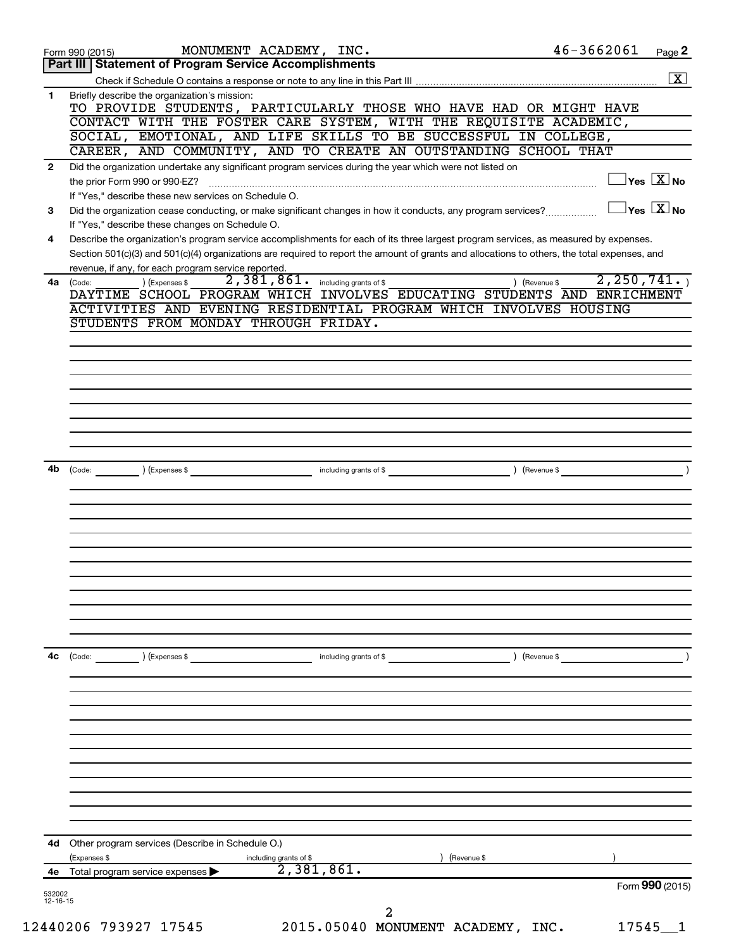|                | 46-3662061<br>MONUMENT ACADEMY, INC.<br>Page 2<br>Form 990 (2015)                                                                                                                                                                                 |
|----------------|---------------------------------------------------------------------------------------------------------------------------------------------------------------------------------------------------------------------------------------------------|
|                | <b>Statement of Program Service Accomplishments</b><br>Part III                                                                                                                                                                                   |
|                | $\boxed{\text{X}}$                                                                                                                                                                                                                                |
| 1              | Briefly describe the organization's mission:<br>TO PROVIDE STUDENTS, PARTICULARLY THOSE WHO HAVE HAD OR MIGHT HAVE                                                                                                                                |
|                | CONTACT WITH THE FOSTER CARE SYSTEM, WITH THE REQUISITE ACADEMIC,                                                                                                                                                                                 |
|                | SOCIAL, EMOTIONAL, AND LIFE SKILLS TO BE SUCCESSFUL IN COLLEGE,                                                                                                                                                                                   |
|                | CAREER, AND COMMUNITY, AND TO CREATE AN OUTSTANDING SCHOOL THAT                                                                                                                                                                                   |
| $\mathbf{2}$   | Did the organization undertake any significant program services during the year which were not listed on<br>$\sqrt{\mathsf{Yes}\ \mathbf{X}}$ No                                                                                                  |
|                | If "Yes," describe these new services on Schedule O.                                                                                                                                                                                              |
| 3              | $\sqrt{}$ Yes $\sqrt{}$ X $\sqrt{}$ No<br>Did the organization cease conducting, or make significant changes in how it conducts, any program services?<br>If "Yes," describe these changes on Schedule O.                                         |
| 4              | Describe the organization's program service accomplishments for each of its three largest program services, as measured by expenses.                                                                                                              |
|                | Section 501(c)(3) and 501(c)(4) organizations are required to report the amount of grants and allocations to others, the total expenses, and<br>revenue, if any, for each program service reported.                                               |
| 4a             | 2, 250, 741.<br>2,381,861.<br>including grants of \$<br>) (Expenses \$<br>(Code:<br>) (Revenue \$<br>DAYTIME SCHOOL PROGRAM WHICH INVOLVES EDUCATING STUDENTS AND ENRICHMENT<br>ACTIVITIES AND EVENING RESIDENTIAL PROGRAM WHICH INVOLVES HOUSING |
|                | STUDENTS FROM MONDAY THROUGH FRIDAY.                                                                                                                                                                                                              |
|                |                                                                                                                                                                                                                                                   |
|                |                                                                                                                                                                                                                                                   |
|                |                                                                                                                                                                                                                                                   |
|                |                                                                                                                                                                                                                                                   |
|                |                                                                                                                                                                                                                                                   |
|                |                                                                                                                                                                                                                                                   |
|                |                                                                                                                                                                                                                                                   |
|                |                                                                                                                                                                                                                                                   |
| 4b             |                                                                                                                                                                                                                                                   |
|                | $(\text{Expenses }$ \$<br>including grants of \$<br>) (Revenue \$<br>(Code:                                                                                                                                                                       |
|                |                                                                                                                                                                                                                                                   |
|                |                                                                                                                                                                                                                                                   |
|                |                                                                                                                                                                                                                                                   |
|                |                                                                                                                                                                                                                                                   |
|                |                                                                                                                                                                                                                                                   |
|                |                                                                                                                                                                                                                                                   |
|                |                                                                                                                                                                                                                                                   |
|                |                                                                                                                                                                                                                                                   |
|                |                                                                                                                                                                                                                                                   |
|                |                                                                                                                                                                                                                                                   |
|                |                                                                                                                                                                                                                                                   |
| 4с             | (Code:<br>(Expenses \$<br>including grants of \$<br>) (Revenue \$                                                                                                                                                                                 |
|                |                                                                                                                                                                                                                                                   |
|                |                                                                                                                                                                                                                                                   |
|                |                                                                                                                                                                                                                                                   |
|                |                                                                                                                                                                                                                                                   |
|                |                                                                                                                                                                                                                                                   |
|                |                                                                                                                                                                                                                                                   |
|                |                                                                                                                                                                                                                                                   |
|                |                                                                                                                                                                                                                                                   |
|                |                                                                                                                                                                                                                                                   |
|                |                                                                                                                                                                                                                                                   |
| 4d             | Other program services (Describe in Schedule O.)                                                                                                                                                                                                  |
|                | (Expenses \$<br>) (Revenue \$<br>including grants of \$                                                                                                                                                                                           |
|                | 2,381,861.<br>4e Total program service expenses                                                                                                                                                                                                   |
| 532002         | Form 990 (2015)                                                                                                                                                                                                                                   |
| $12 - 16 - 15$ |                                                                                                                                                                                                                                                   |
|                | 2<br>2015.05040 MONUMENT ACADEMY, INC.<br>12440206 793927 17545<br>17545                                                                                                                                                                          |
|                |                                                                                                                                                                                                                                                   |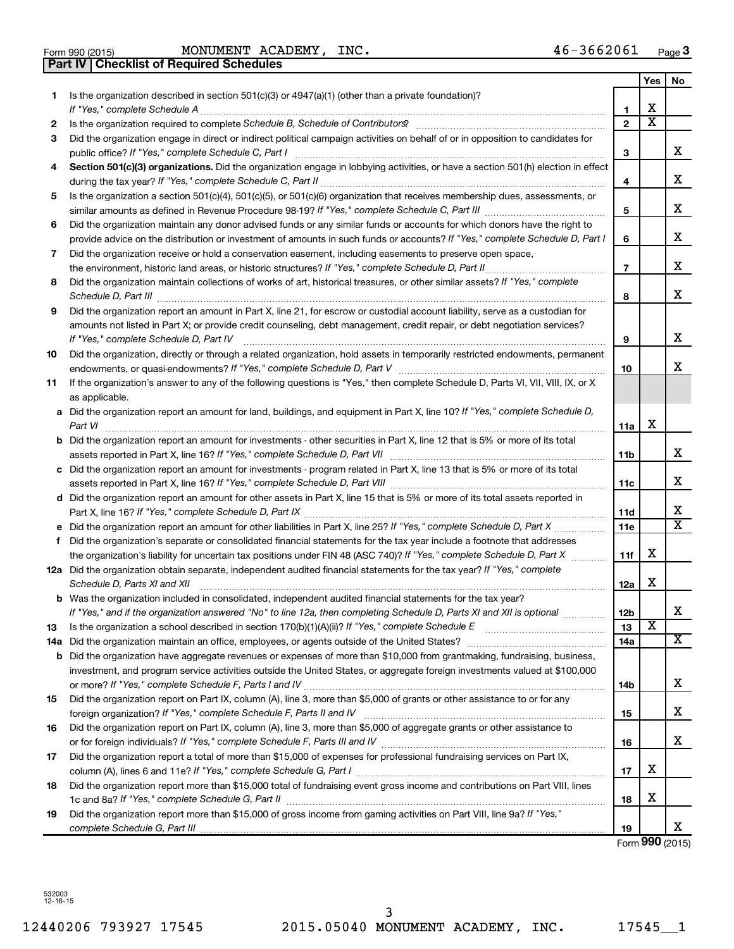$\frac{1}{100}$  Form 990 (2015) MONUMENT ACADEMY, INC MONUMENT ACADEMY, INC. 46-3662061

**Part IV Checklist of Required Schedules**

|    |                                                                                                                                                                                                                                             |                | Yes                   | No                    |
|----|---------------------------------------------------------------------------------------------------------------------------------------------------------------------------------------------------------------------------------------------|----------------|-----------------------|-----------------------|
| 1  | Is the organization described in section $501(c)(3)$ or $4947(a)(1)$ (other than a private foundation)?                                                                                                                                     |                |                       |                       |
|    |                                                                                                                                                                                                                                             | 1              | x                     |                       |
| 2  | Is the organization required to complete Schedule B, Schedule of Contributors? [[[[[[[[[[[[[[[[[[[[[[[[[[[[[[                                                                                                                               | $\mathbf{2}$   | $\overline{\text{x}}$ |                       |
| 3  | Did the organization engage in direct or indirect political campaign activities on behalf of or in opposition to candidates for                                                                                                             | 3              |                       | x                     |
| 4  | Section 501(c)(3) organizations. Did the organization engage in lobbying activities, or have a section 501(h) election in effect                                                                                                            |                |                       |                       |
|    |                                                                                                                                                                                                                                             | 4              |                       | x                     |
| 5  | Is the organization a section 501(c)(4), 501(c)(5), or 501(c)(6) organization that receives membership dues, assessments, or                                                                                                                |                |                       |                       |
|    |                                                                                                                                                                                                                                             | 5              |                       | x                     |
| 6  | Did the organization maintain any donor advised funds or any similar funds or accounts for which donors have the right to                                                                                                                   |                |                       |                       |
|    | provide advice on the distribution or investment of amounts in such funds or accounts? If "Yes," complete Schedule D, Part I                                                                                                                | 6              |                       | x                     |
| 7  | Did the organization receive or hold a conservation easement, including easements to preserve open space,                                                                                                                                   |                |                       |                       |
|    |                                                                                                                                                                                                                                             | $\overline{7}$ |                       | x                     |
| 8  | Did the organization maintain collections of works of art, historical treasures, or other similar assets? If "Yes," complete                                                                                                                | 8              |                       | x                     |
| 9  | Did the organization report an amount in Part X, line 21, for escrow or custodial account liability, serve as a custodian for                                                                                                               |                |                       |                       |
|    | amounts not listed in Part X; or provide credit counseling, debt management, credit repair, or debt negotiation services?                                                                                                                   |                |                       |                       |
|    | If "Yes," complete Schedule D, Part IV                                                                                                                                                                                                      | 9              |                       | x                     |
| 10 | Did the organization, directly or through a related organization, hold assets in temporarily restricted endowments, permanent                                                                                                               |                |                       |                       |
|    |                                                                                                                                                                                                                                             | 10             |                       | x                     |
| 11 | If the organization's answer to any of the following questions is "Yes," then complete Schedule D, Parts VI, VII, VIII, IX, or X                                                                                                            |                |                       |                       |
|    | as applicable.                                                                                                                                                                                                                              |                |                       |                       |
|    | a Did the organization report an amount for land, buildings, and equipment in Part X, line 10? If "Yes," complete Schedule D,<br>Part VI                                                                                                    | 11a            | х                     |                       |
|    | <b>b</b> Did the organization report an amount for investments - other securities in Part X, line 12 that is 5% or more of its total                                                                                                        |                |                       |                       |
|    |                                                                                                                                                                                                                                             | 11b            |                       | x                     |
|    | c Did the organization report an amount for investments - program related in Part X, line 13 that is 5% or more of its total                                                                                                                |                |                       |                       |
|    |                                                                                                                                                                                                                                             | 11c            |                       | x                     |
|    | d Did the organization report an amount for other assets in Part X, line 15 that is 5% or more of its total assets reported in                                                                                                              |                |                       |                       |
|    |                                                                                                                                                                                                                                             | 11d            |                       | х                     |
|    |                                                                                                                                                                                                                                             | 11e            |                       | $\overline{\text{x}}$ |
| f  | Did the organization's separate or consolidated financial statements for the tax year include a footnote that addresses                                                                                                                     |                |                       |                       |
|    | the organization's liability for uncertain tax positions under FIN 48 (ASC 740)? If "Yes," complete Schedule D, Part X                                                                                                                      | 11f            | х                     |                       |
|    | 12a Did the organization obtain separate, independent audited financial statements for the tax year? If "Yes," complete                                                                                                                     |                | х                     |                       |
|    | Schedule D, Parts XI and XII                                                                                                                                                                                                                | 12a            |                       |                       |
|    | <b>b</b> Was the organization included in consolidated, independent audited financial statements for the tax year?<br>If "Yes," and if the organization answered "No" to line 12a, then completing Schedule D, Parts XI and XII is optional |                |                       | х                     |
| 13 | Is the organization a school described in section 170(b)(1)(A)(ii)? If "Yes," complete Schedule E manual content content of the organization a school described in section 170(b)(1)(A)(ii)? If "Yes," complete Schedule E                  | 12b<br>13      | х                     |                       |
|    |                                                                                                                                                                                                                                             | 14a            |                       | х                     |
|    | <b>b</b> Did the organization have aggregate revenues or expenses of more than \$10,000 from grantmaking, fundraising, business,                                                                                                            |                |                       |                       |
|    | investment, and program service activities outside the United States, or aggregate foreign investments valued at \$100,000                                                                                                                  |                |                       |                       |
|    |                                                                                                                                                                                                                                             | 14b            |                       | х                     |
| 15 | Did the organization report on Part IX, column (A), line 3, more than \$5,000 of grants or other assistance to or for any                                                                                                                   |                |                       |                       |
|    |                                                                                                                                                                                                                                             | 15             |                       | x.                    |
| 16 | Did the organization report on Part IX, column (A), line 3, more than \$5,000 of aggregate grants or other assistance to                                                                                                                    |                |                       |                       |
|    |                                                                                                                                                                                                                                             | 16             |                       | х                     |
| 17 | Did the organization report a total of more than \$15,000 of expenses for professional fundraising services on Part IX,                                                                                                                     |                |                       |                       |
|    |                                                                                                                                                                                                                                             | 17             | х                     |                       |
| 18 | Did the organization report more than \$15,000 total of fundraising event gross income and contributions on Part VIII. lines                                                                                                                |                |                       |                       |
|    |                                                                                                                                                                                                                                             | 18             | х                     |                       |
| 19 | Did the organization report more than \$15,000 of gross income from gaming activities on Part VIII, line 9a? If "Yes,"                                                                                                                      |                |                       | X.                    |
|    |                                                                                                                                                                                                                                             | 19             |                       |                       |

Form **990** (2015)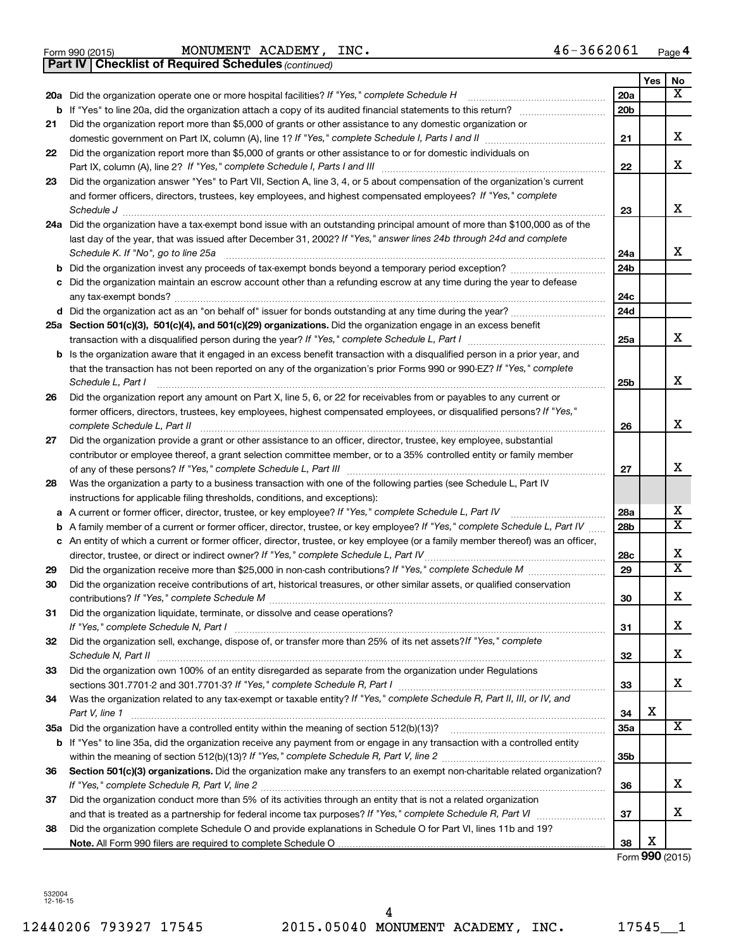|  | Form 990 (2015) |
|--|-----------------|
|  |                 |

Form 990 (2015) Page MONUMENT ACADEMY, INC. 46-3662061

*(continued)* **Part IV Checklist of Required Schedules**

|    |                                                                                                                                                                                                                                                 |                 | Yes | No                           |
|----|-------------------------------------------------------------------------------------------------------------------------------------------------------------------------------------------------------------------------------------------------|-----------------|-----|------------------------------|
|    | 20a Did the organization operate one or more hospital facilities? If "Yes," complete Schedule H                                                                                                                                                 | 20a             |     | X                            |
|    | <b>b</b> If "Yes" to line 20a, did the organization attach a copy of its audited financial statements to this return? <i>[[[[[[[[[[[[[[]]</i> ]]                                                                                                | 20 <sub>b</sub> |     |                              |
| 21 | Did the organization report more than \$5,000 of grants or other assistance to any domestic organization or                                                                                                                                     |                 |     |                              |
|    |                                                                                                                                                                                                                                                 | 21              |     | x                            |
| 22 | Did the organization report more than \$5,000 of grants or other assistance to or for domestic individuals on                                                                                                                                   |                 |     |                              |
|    |                                                                                                                                                                                                                                                 | 22              |     | x                            |
| 23 | Did the organization answer "Yes" to Part VII, Section A, line 3, 4, or 5 about compensation of the organization's current                                                                                                                      |                 |     |                              |
|    | and former officers, directors, trustees, key employees, and highest compensated employees? If "Yes," complete                                                                                                                                  |                 |     |                              |
|    | Schedule J                                                                                                                                                                                                                                      | 23              |     | x                            |
|    | 24a Did the organization have a tax-exempt bond issue with an outstanding principal amount of more than \$100,000 as of the                                                                                                                     |                 |     |                              |
|    | last day of the year, that was issued after December 31, 2002? If "Yes," answer lines 24b through 24d and complete<br>Schedule K. If "No", go to line 25a                                                                                       | 24a             |     | x                            |
| b  | Did the organization invest any proceeds of tax-exempt bonds beyond a temporary period exception?                                                                                                                                               | 24b             |     |                              |
| с  | Did the organization maintain an escrow account other than a refunding escrow at any time during the year to defease                                                                                                                            |                 |     |                              |
|    |                                                                                                                                                                                                                                                 | 24c             |     |                              |
|    | d Did the organization act as an "on behalf of" issuer for bonds outstanding at any time during the year?                                                                                                                                       | 24d             |     |                              |
|    | 25a Section 501(c)(3), 501(c)(4), and 501(c)(29) organizations. Did the organization engage in an excess benefit                                                                                                                                |                 |     |                              |
|    | transaction with a disqualified person during the year? If "Yes," complete Schedule L, Part I manual content in the subsection with a disqualified person during the year? If Yes," complete Schedule L, Part I                                 | 25a             |     | x                            |
|    | b Is the organization aware that it engaged in an excess benefit transaction with a disqualified person in a prior year, and                                                                                                                    |                 |     |                              |
|    | that the transaction has not been reported on any of the organization's prior Forms 990 or 990-EZ? If "Yes," complete                                                                                                                           |                 |     | x                            |
|    | Schedule L, Part I                                                                                                                                                                                                                              | 25b             |     |                              |
| 26 | Did the organization report any amount on Part X, line 5, 6, or 22 for receivables from or payables to any current or<br>former officers, directors, trustees, key employees, highest compensated employees, or disqualified persons? If "Yes," |                 |     |                              |
|    |                                                                                                                                                                                                                                                 | 26              |     | x                            |
| 27 | Did the organization provide a grant or other assistance to an officer, director, trustee, key employee, substantial                                                                                                                            |                 |     |                              |
|    | contributor or employee thereof, a grant selection committee member, or to a 35% controlled entity or family member                                                                                                                             |                 |     |                              |
|    |                                                                                                                                                                                                                                                 | 27              |     | x                            |
| 28 | Was the organization a party to a business transaction with one of the following parties (see Schedule L, Part IV                                                                                                                               |                 |     |                              |
|    | instructions for applicable filing thresholds, conditions, and exceptions):                                                                                                                                                                     |                 |     |                              |
| а  | A current or former officer, director, trustee, or key employee? If "Yes," complete Schedule L, Part IV                                                                                                                                         | 28a             |     | x                            |
| b  | A family member of a current or former officer, director, trustee, or key employee? If "Yes," complete Schedule L, Part IV                                                                                                                      | 28b             |     | $\overline{\mathtt{x}}$      |
|    | c An entity of which a current or former officer, director, trustee, or key employee (or a family member thereof) was an officer,                                                                                                               |                 |     |                              |
|    | director, trustee, or direct or indirect owner? If "Yes," complete Schedule L, Part IV                                                                                                                                                          | 28c             |     | х<br>$\overline{\mathtt{x}}$ |
| 29 | Did the organization receive more than \$25,000 in non-cash contributions? If "Yes," complete Schedule M<br>Did the organization receive contributions of art, historical treasures, or other similar assets, or qualified conservation         | 29              |     |                              |
| 30 |                                                                                                                                                                                                                                                 | 30              |     | x                            |
| 31 | Did the organization liquidate, terminate, or dissolve and cease operations?                                                                                                                                                                    |                 |     |                              |
|    | If "Yes," complete Schedule N, Part I                                                                                                                                                                                                           | 31              |     | х                            |
| 32 | Did the organization sell, exchange, dispose of, or transfer more than 25% of its net assets? If "Yes," complete                                                                                                                                |                 |     |                              |
|    | Schedule N, Part II                                                                                                                                                                                                                             | 32              |     | x                            |
| 33 | Did the organization own 100% of an entity disregarded as separate from the organization under Regulations                                                                                                                                      |                 |     |                              |
|    |                                                                                                                                                                                                                                                 | 33              |     | x                            |
| 34 | Was the organization related to any tax-exempt or taxable entity? If "Yes," complete Schedule R, Part II, III, or IV, and                                                                                                                       |                 |     |                              |
|    | Part V, line 1                                                                                                                                                                                                                                  | 34              | х   |                              |
|    |                                                                                                                                                                                                                                                 | <b>35a</b>      |     | $\overline{\mathbf{X}}$      |
| b  | If "Yes" to line 35a, did the organization receive any payment from or engage in any transaction with a controlled entity                                                                                                                       |                 |     |                              |
| 36 | Section 501(c)(3) organizations. Did the organization make any transfers to an exempt non-charitable related organization?                                                                                                                      | 35 <sub>b</sub> |     |                              |
|    | If "Yes," complete Schedule R, Part V, line 2                                                                                                                                                                                                   | 36              |     | x                            |
| 37 | Did the organization conduct more than 5% of its activities through an entity that is not a related organization                                                                                                                                |                 |     |                              |
|    |                                                                                                                                                                                                                                                 | 37              |     | x                            |
| 38 | Did the organization complete Schedule O and provide explanations in Schedule O for Part VI, lines 11b and 19?                                                                                                                                  |                 |     |                              |
|    |                                                                                                                                                                                                                                                 | 38              | х   |                              |

Form **990** (2015)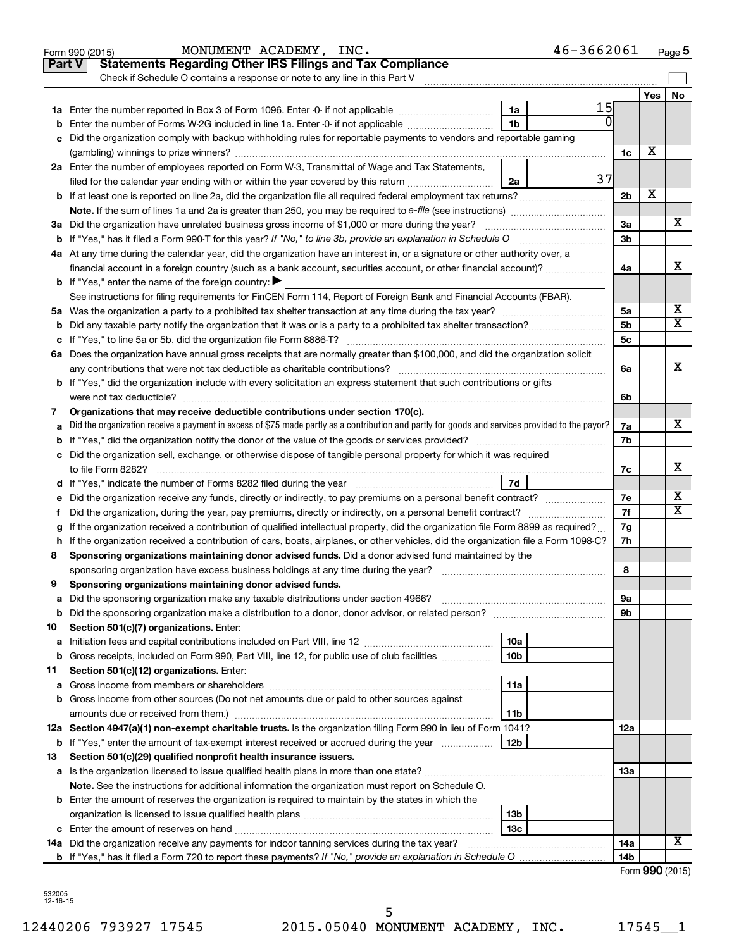|               | MONUMENT ACADEMY, INC.<br>46-3662061<br>Form 990 (2015)                                                                                         |                |                       | Page 5                |
|---------------|-------------------------------------------------------------------------------------------------------------------------------------------------|----------------|-----------------------|-----------------------|
| <b>Part V</b> | <b>Statements Regarding Other IRS Filings and Tax Compliance</b>                                                                                |                |                       |                       |
|               | Check if Schedule O contains a response or note to any line in this Part V                                                                      |                |                       |                       |
|               |                                                                                                                                                 |                | Yes                   | No                    |
|               | 15<br>1a                                                                                                                                        |                |                       |                       |
| b             | 1 <sub>b</sub><br>Enter the number of Forms W-2G included in line 1a. Enter -0- if not applicable                                               |                |                       |                       |
| с             | Did the organization comply with backup withholding rules for reportable payments to vendors and reportable gaming                              |                |                       |                       |
|               |                                                                                                                                                 | 1c             | х                     |                       |
|               | 2a Enter the number of employees reported on Form W-3, Transmittal of Wage and Tax Statements,                                                  |                |                       |                       |
|               | 37<br>filed for the calendar year ending with or within the year covered by this return<br>2a                                                   |                |                       |                       |
|               | <b>b</b> If at least one is reported on line 2a, did the organization file all required federal employment tax returns?                         | 2 <sub>b</sub> | X                     |                       |
|               |                                                                                                                                                 |                |                       |                       |
|               | 3a Did the organization have unrelated business gross income of \$1,000 or more during the year?                                                | За             |                       | х                     |
|               |                                                                                                                                                 | 3b             |                       |                       |
|               | 4a At any time during the calendar year, did the organization have an interest in, or a signature or other authority over, a                    |                |                       |                       |
|               | financial account in a foreign country (such as a bank account, securities account, or other financial account)?                                | 4a             |                       | x                     |
|               | <b>b</b> If "Yes," enter the name of the foreign country: $\blacktriangleright$                                                                 |                |                       |                       |
|               | See instructions for filing requirements for FinCEN Form 114, Report of Foreign Bank and Financial Accounts (FBAR).                             |                |                       |                       |
|               |                                                                                                                                                 | 5a             |                       | х                     |
| b             |                                                                                                                                                 | 5b             |                       | $\overline{\text{X}}$ |
|               |                                                                                                                                                 | 5c             |                       |                       |
|               | 6a Does the organization have annual gross receipts that are normally greater than \$100,000, and did the organization solicit                  |                |                       |                       |
|               |                                                                                                                                                 | 6a             |                       | x                     |
|               | <b>b</b> If "Yes," did the organization include with every solicitation an express statement that such contributions or gifts                   |                |                       |                       |
|               |                                                                                                                                                 | 6b             |                       |                       |
| 7             | Organizations that may receive deductible contributions under section 170(c).                                                                   |                |                       |                       |
|               | Did the organization receive a payment in excess of \$75 made partly as a contribution and partly for goods and services provided to the payor? |                |                       | x                     |
| а             |                                                                                                                                                 | 7a<br>7b       |                       |                       |
| b             |                                                                                                                                                 |                |                       |                       |
|               | c Did the organization sell, exchange, or otherwise dispose of tangible personal property for which it was required                             |                |                       | x                     |
|               |                                                                                                                                                 | 7c             |                       |                       |
|               |                                                                                                                                                 |                |                       | х                     |
|               | e Did the organization receive any funds, directly or indirectly, to pay premiums on a personal benefit contract?                               | 7e             |                       | $\overline{\text{X}}$ |
| f.            | Did the organization, during the year, pay premiums, directly or indirectly, on a personal benefit contract?                                    | 7f             |                       |                       |
|               | If the organization received a contribution of qualified intellectual property, did the organization file Form 8899 as required?                | 7g             |                       |                       |
|               | h If the organization received a contribution of cars, boats, airplanes, or other vehicles, did the organization file a Form 1098-C?            | 7h             |                       |                       |
| 8             | Sponsoring organizations maintaining donor advised funds. Did a donor advised fund maintained by the                                            |                |                       |                       |
|               |                                                                                                                                                 | 8              |                       |                       |
|               | Sponsoring organizations maintaining donor advised funds.                                                                                       |                |                       |                       |
| а             | Did the sponsoring organization make any taxable distributions under section 4966?                                                              | 9а             |                       |                       |
| b             |                                                                                                                                                 | 9b             |                       |                       |
| 10            | Section 501(c)(7) organizations. Enter:                                                                                                         |                |                       |                       |
| а             | 10a                                                                                                                                             |                |                       |                       |
| b             | 10 <sub>b</sub><br>Gross receipts, included on Form 990, Part VIII, line 12, for public use of club facilities                                  |                |                       |                       |
| 11            | Section 501(c)(12) organizations. Enter:                                                                                                        |                |                       |                       |
| а             | 11a                                                                                                                                             |                |                       |                       |
| b             | Gross income from other sources (Do not net amounts due or paid to other sources against                                                        |                |                       |                       |
|               | amounts due or received from them.)<br>11b                                                                                                      |                |                       |                       |
|               | 12a Section 4947(a)(1) non-exempt charitable trusts. Is the organization filing Form 990 in lieu of Form 1041?                                  | 12a            |                       |                       |
|               | <b>b</b> If "Yes," enter the amount of tax-exempt interest received or accrued during the year<br>  12b                                         |                |                       |                       |
| 13            | Section 501(c)(29) qualified nonprofit health insurance issuers.                                                                                |                |                       |                       |
|               | a Is the organization licensed to issue qualified health plans in more than one state?                                                          | 13a            |                       |                       |
|               | Note. See the instructions for additional information the organization must report on Schedule O.                                               |                |                       |                       |
|               | <b>b</b> Enter the amount of reserves the organization is required to maintain by the states in which the                                       |                |                       |                       |
|               | 13b                                                                                                                                             |                |                       |                       |
|               | 13 <sub>c</sub>                                                                                                                                 |                |                       |                       |
|               | 14a Did the organization receive any payments for indoor tanning services during the tax year?                                                  | 14a            |                       | х                     |
|               |                                                                                                                                                 | 14b            |                       |                       |
|               |                                                                                                                                                 |                | Enrm $QQ \cap (2015)$ |                       |

| Form 990 (2015) |  |
|-----------------|--|
|-----------------|--|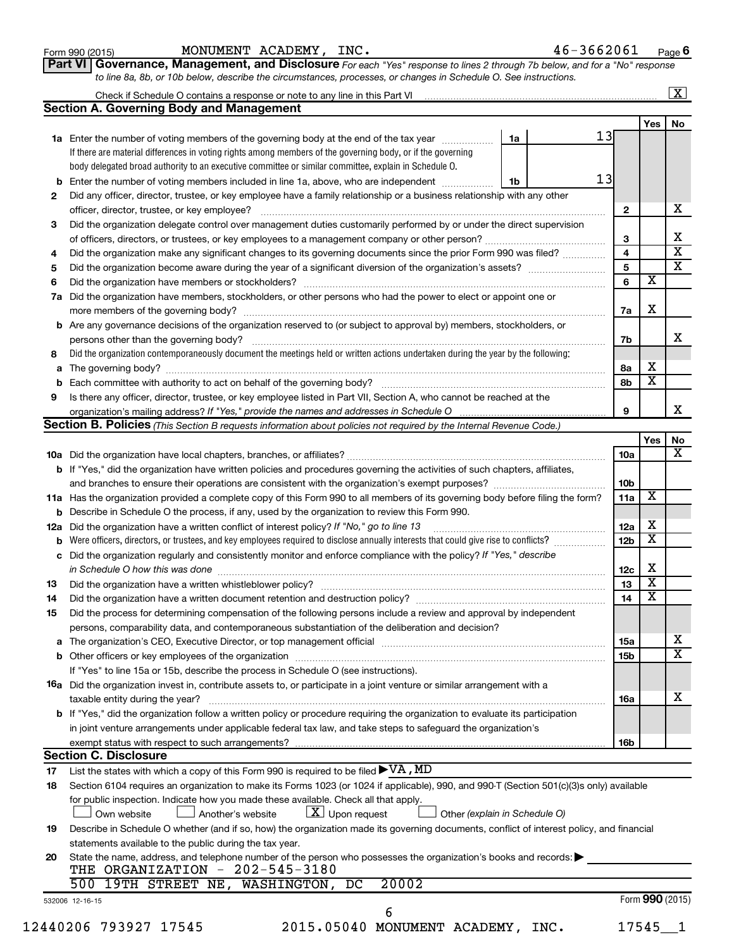| Form 990 (2015) |  |
|-----------------|--|
|-----------------|--|

Form 990 (2015) Page MONUMENT ACADEMY, INC. 46-3662061

**6**

| Part VI   Governance, Management, and Disclosure For each "Yes" response to lines 2 through 7b below, and for a "No" response |  |
|-------------------------------------------------------------------------------------------------------------------------------|--|
| to line 8a, 8b, or 10b below, describe the circumstances, processes, or changes in Schedule O. See instructions.              |  |

| <b>Section A. Governing Body and Management</b><br>13<br>1a<br>1a Enter the number of voting members of the governing body at the end of the tax year<br>If there are material differences in voting rights among members of the governing body, or if the governing<br>body delegated broad authority to an executive committee or similar committee, explain in Schedule O.<br>13<br><b>b</b> Enter the number of voting members included in line 1a, above, who are independent <i>manumum</i><br>1b<br>Did any officer, director, trustee, or key employee have a family relationship or a business relationship with any other<br>2<br>officer, director, trustee, or key employee?<br>Did the organization delegate control over management duties customarily performed by or under the direct supervision<br>3<br>Did the organization make any significant changes to its governing documents since the prior Form 990 was filed?<br>4<br>5<br>6<br>Did the organization have members, stockholders, or other persons who had the power to elect or appoint one or<br>7a<br><b>b</b> Are any governance decisions of the organization reserved to (or subject to approval by) members, stockholders, or<br>persons other than the governing body?<br>Did the organization contemporaneously document the meetings held or written actions undertaken during the year by the following:<br>8<br>Is there any officer, director, trustee, or key employee listed in Part VII, Section A, who cannot be reached at the<br>9<br>Section B. Policies (This Section B requests information about policies not required by the Internal Revenue Code.)<br>b If "Yes," did the organization have written policies and procedures governing the activities of such chapters, affiliates,<br>and branches to ensure their operations are consistent with the organization's exempt purposes?<br>11a Has the organization provided a complete copy of this Form 990 to all members of its governing body before filing the form?<br><b>b</b> Describe in Schedule O the process, if any, used by the organization to review this Form 990.<br>Did the organization have a written conflict of interest policy? If "No," go to line 13<br>12a<br>Were officers, directors, or trustees, and key employees required to disclose annually interests that could give rise to conflicts? [<br>c Did the organization regularly and consistently monitor and enforce compliance with the policy? If "Yes," describe<br>in Schedule O how this was done manufactured and continuum and contact the way to have a set of the state of t<br>13<br>Did the organization have a written document retention and destruction policy? [11] manufaction manufaction in<br>14<br>Did the process for determining compensation of the following persons include a review and approval by independent<br>15<br>persons, comparability data, and contemporaneous substantiation of the deliberation and decision?<br>If "Yes" to line 15a or 15b, describe the process in Schedule O (see instructions).<br>16a Did the organization invest in, contribute assets to, or participate in a joint venture or similar arrangement with a<br>taxable entity during the year?<br><b>b</b> If "Yes," did the organization follow a written policy or procedure requiring the organization to evaluate its participation<br>in joint venture arrangements under applicable federal tax law, and take steps to safeguard the organization's<br>exempt status with respect to such arrangements?<br><b>Section C. Disclosure</b><br>17<br>Section 6104 requires an organization to make its Forms 1023 (or 1024 if applicable), 990, and 990-T (Section 501(c)(3)s only) available<br>18<br>for public inspection. Indicate how you made these available. Check all that apply.<br>$X$ Upon request<br>Own website<br>Another's website<br>Other (explain in Schedule O)<br>Describe in Schedule O whether (and if so, how) the organization made its governing documents, conflict of interest policy, and financial<br>19<br>statements available to the public during the tax year.<br>State the name, address, and telephone number of the person who possesses the organization's books and records:<br>20<br>THE ORGANIZATION - 202-545-3180<br>500 19TH STREET NE, WASHINGTON, DC<br>20002<br>532006 12-16-15 | Check if Schedule O contains a response or note to any line in this Part VI [11] [12] [12] [12] [12] [12] Check if Schedule O contains a response or note to any line in this Part VI |                         |  |
|----------------------------------------------------------------------------------------------------------------------------------------------------------------------------------------------------------------------------------------------------------------------------------------------------------------------------------------------------------------------------------------------------------------------------------------------------------------------------------------------------------------------------------------------------------------------------------------------------------------------------------------------------------------------------------------------------------------------------------------------------------------------------------------------------------------------------------------------------------------------------------------------------------------------------------------------------------------------------------------------------------------------------------------------------------------------------------------------------------------------------------------------------------------------------------------------------------------------------------------------------------------------------------------------------------------------------------------------------------------------------------------------------------------------------------------------------------------------------------------------------------------------------------------------------------------------------------------------------------------------------------------------------------------------------------------------------------------------------------------------------------------------------------------------------------------------------------------------------------------------------------------------------------------------------------------------------------------------------------------------------------------------------------------------------------------------------------------------------------------------------------------------------------------------------------------------------------------------------------------------------------------------------------------------------------------------------------------------------------------------------------------------------------------------------------------------------------------------------------------------------------------------------------------------------------------------------------------------------------------------------------------------------------------------------------------------------------------------------------------------------------------------------------------------------------------------------------------------------------------------------------------------------------------------------------------------------------------------------------------------------------------------------------------------------------------------------------------------------------------------------------------------------------------------------------------------------------------------------------------------------------------------------------------------------------------------------------------------------------------------------------------------------------------------------------------------------------------------------------------------------------------------------------------------------------------------------------------------------------------------------------------------------------------------------------------------------------------------------------------------------------------------------------------------------------------------------------------------------------------------------------------------------------------------------------------------------------------------------------------------------------------------------------------------------------------------------------------------------------------------------------------------------------------------------------------------------------------------------------------------------------------------------------------------------------------------------------------------------------------------------------------|---------------------------------------------------------------------------------------------------------------------------------------------------------------------------------------|-------------------------|--|
|                                                                                                                                                                                                                                                                                                                                                                                                                                                                                                                                                                                                                                                                                                                                                                                                                                                                                                                                                                                                                                                                                                                                                                                                                                                                                                                                                                                                                                                                                                                                                                                                                                                                                                                                                                                                                                                                                                                                                                                                                                                                                                                                                                                                                                                                                                                                                                                                                                                                                                                                                                                                                                                                                                                                                                                                                                                                                                                                                                                                                                                                                                                                                                                                                                                                                                                                                                                                                                                                                                                                                                                                                                                                                                                                                                                                                                                                                                                                                                                                                                                                                                                                                                                                                                                                                                                                                                                        |                                                                                                                                                                                       | Yes                     |  |
|                                                                                                                                                                                                                                                                                                                                                                                                                                                                                                                                                                                                                                                                                                                                                                                                                                                                                                                                                                                                                                                                                                                                                                                                                                                                                                                                                                                                                                                                                                                                                                                                                                                                                                                                                                                                                                                                                                                                                                                                                                                                                                                                                                                                                                                                                                                                                                                                                                                                                                                                                                                                                                                                                                                                                                                                                                                                                                                                                                                                                                                                                                                                                                                                                                                                                                                                                                                                                                                                                                                                                                                                                                                                                                                                                                                                                                                                                                                                                                                                                                                                                                                                                                                                                                                                                                                                                                                        |                                                                                                                                                                                       |                         |  |
|                                                                                                                                                                                                                                                                                                                                                                                                                                                                                                                                                                                                                                                                                                                                                                                                                                                                                                                                                                                                                                                                                                                                                                                                                                                                                                                                                                                                                                                                                                                                                                                                                                                                                                                                                                                                                                                                                                                                                                                                                                                                                                                                                                                                                                                                                                                                                                                                                                                                                                                                                                                                                                                                                                                                                                                                                                                                                                                                                                                                                                                                                                                                                                                                                                                                                                                                                                                                                                                                                                                                                                                                                                                                                                                                                                                                                                                                                                                                                                                                                                                                                                                                                                                                                                                                                                                                                                                        |                                                                                                                                                                                       |                         |  |
|                                                                                                                                                                                                                                                                                                                                                                                                                                                                                                                                                                                                                                                                                                                                                                                                                                                                                                                                                                                                                                                                                                                                                                                                                                                                                                                                                                                                                                                                                                                                                                                                                                                                                                                                                                                                                                                                                                                                                                                                                                                                                                                                                                                                                                                                                                                                                                                                                                                                                                                                                                                                                                                                                                                                                                                                                                                                                                                                                                                                                                                                                                                                                                                                                                                                                                                                                                                                                                                                                                                                                                                                                                                                                                                                                                                                                                                                                                                                                                                                                                                                                                                                                                                                                                                                                                                                                                                        |                                                                                                                                                                                       |                         |  |
|                                                                                                                                                                                                                                                                                                                                                                                                                                                                                                                                                                                                                                                                                                                                                                                                                                                                                                                                                                                                                                                                                                                                                                                                                                                                                                                                                                                                                                                                                                                                                                                                                                                                                                                                                                                                                                                                                                                                                                                                                                                                                                                                                                                                                                                                                                                                                                                                                                                                                                                                                                                                                                                                                                                                                                                                                                                                                                                                                                                                                                                                                                                                                                                                                                                                                                                                                                                                                                                                                                                                                                                                                                                                                                                                                                                                                                                                                                                                                                                                                                                                                                                                                                                                                                                                                                                                                                                        |                                                                                                                                                                                       |                         |  |
|                                                                                                                                                                                                                                                                                                                                                                                                                                                                                                                                                                                                                                                                                                                                                                                                                                                                                                                                                                                                                                                                                                                                                                                                                                                                                                                                                                                                                                                                                                                                                                                                                                                                                                                                                                                                                                                                                                                                                                                                                                                                                                                                                                                                                                                                                                                                                                                                                                                                                                                                                                                                                                                                                                                                                                                                                                                                                                                                                                                                                                                                                                                                                                                                                                                                                                                                                                                                                                                                                                                                                                                                                                                                                                                                                                                                                                                                                                                                                                                                                                                                                                                                                                                                                                                                                                                                                                                        |                                                                                                                                                                                       |                         |  |
|                                                                                                                                                                                                                                                                                                                                                                                                                                                                                                                                                                                                                                                                                                                                                                                                                                                                                                                                                                                                                                                                                                                                                                                                                                                                                                                                                                                                                                                                                                                                                                                                                                                                                                                                                                                                                                                                                                                                                                                                                                                                                                                                                                                                                                                                                                                                                                                                                                                                                                                                                                                                                                                                                                                                                                                                                                                                                                                                                                                                                                                                                                                                                                                                                                                                                                                                                                                                                                                                                                                                                                                                                                                                                                                                                                                                                                                                                                                                                                                                                                                                                                                                                                                                                                                                                                                                                                                        |                                                                                                                                                                                       |                         |  |
|                                                                                                                                                                                                                                                                                                                                                                                                                                                                                                                                                                                                                                                                                                                                                                                                                                                                                                                                                                                                                                                                                                                                                                                                                                                                                                                                                                                                                                                                                                                                                                                                                                                                                                                                                                                                                                                                                                                                                                                                                                                                                                                                                                                                                                                                                                                                                                                                                                                                                                                                                                                                                                                                                                                                                                                                                                                                                                                                                                                                                                                                                                                                                                                                                                                                                                                                                                                                                                                                                                                                                                                                                                                                                                                                                                                                                                                                                                                                                                                                                                                                                                                                                                                                                                                                                                                                                                                        | $\mathbf{2}$                                                                                                                                                                          |                         |  |
|                                                                                                                                                                                                                                                                                                                                                                                                                                                                                                                                                                                                                                                                                                                                                                                                                                                                                                                                                                                                                                                                                                                                                                                                                                                                                                                                                                                                                                                                                                                                                                                                                                                                                                                                                                                                                                                                                                                                                                                                                                                                                                                                                                                                                                                                                                                                                                                                                                                                                                                                                                                                                                                                                                                                                                                                                                                                                                                                                                                                                                                                                                                                                                                                                                                                                                                                                                                                                                                                                                                                                                                                                                                                                                                                                                                                                                                                                                                                                                                                                                                                                                                                                                                                                                                                                                                                                                                        |                                                                                                                                                                                       |                         |  |
|                                                                                                                                                                                                                                                                                                                                                                                                                                                                                                                                                                                                                                                                                                                                                                                                                                                                                                                                                                                                                                                                                                                                                                                                                                                                                                                                                                                                                                                                                                                                                                                                                                                                                                                                                                                                                                                                                                                                                                                                                                                                                                                                                                                                                                                                                                                                                                                                                                                                                                                                                                                                                                                                                                                                                                                                                                                                                                                                                                                                                                                                                                                                                                                                                                                                                                                                                                                                                                                                                                                                                                                                                                                                                                                                                                                                                                                                                                                                                                                                                                                                                                                                                                                                                                                                                                                                                                                        | 3                                                                                                                                                                                     |                         |  |
|                                                                                                                                                                                                                                                                                                                                                                                                                                                                                                                                                                                                                                                                                                                                                                                                                                                                                                                                                                                                                                                                                                                                                                                                                                                                                                                                                                                                                                                                                                                                                                                                                                                                                                                                                                                                                                                                                                                                                                                                                                                                                                                                                                                                                                                                                                                                                                                                                                                                                                                                                                                                                                                                                                                                                                                                                                                                                                                                                                                                                                                                                                                                                                                                                                                                                                                                                                                                                                                                                                                                                                                                                                                                                                                                                                                                                                                                                                                                                                                                                                                                                                                                                                                                                                                                                                                                                                                        | $\overline{4}$                                                                                                                                                                        |                         |  |
|                                                                                                                                                                                                                                                                                                                                                                                                                                                                                                                                                                                                                                                                                                                                                                                                                                                                                                                                                                                                                                                                                                                                                                                                                                                                                                                                                                                                                                                                                                                                                                                                                                                                                                                                                                                                                                                                                                                                                                                                                                                                                                                                                                                                                                                                                                                                                                                                                                                                                                                                                                                                                                                                                                                                                                                                                                                                                                                                                                                                                                                                                                                                                                                                                                                                                                                                                                                                                                                                                                                                                                                                                                                                                                                                                                                                                                                                                                                                                                                                                                                                                                                                                                                                                                                                                                                                                                                        | $\overline{\mathbf{5}}$                                                                                                                                                               |                         |  |
|                                                                                                                                                                                                                                                                                                                                                                                                                                                                                                                                                                                                                                                                                                                                                                                                                                                                                                                                                                                                                                                                                                                                                                                                                                                                                                                                                                                                                                                                                                                                                                                                                                                                                                                                                                                                                                                                                                                                                                                                                                                                                                                                                                                                                                                                                                                                                                                                                                                                                                                                                                                                                                                                                                                                                                                                                                                                                                                                                                                                                                                                                                                                                                                                                                                                                                                                                                                                                                                                                                                                                                                                                                                                                                                                                                                                                                                                                                                                                                                                                                                                                                                                                                                                                                                                                                                                                                                        | 6                                                                                                                                                                                     | $\overline{\textbf{x}}$ |  |
|                                                                                                                                                                                                                                                                                                                                                                                                                                                                                                                                                                                                                                                                                                                                                                                                                                                                                                                                                                                                                                                                                                                                                                                                                                                                                                                                                                                                                                                                                                                                                                                                                                                                                                                                                                                                                                                                                                                                                                                                                                                                                                                                                                                                                                                                                                                                                                                                                                                                                                                                                                                                                                                                                                                                                                                                                                                                                                                                                                                                                                                                                                                                                                                                                                                                                                                                                                                                                                                                                                                                                                                                                                                                                                                                                                                                                                                                                                                                                                                                                                                                                                                                                                                                                                                                                                                                                                                        |                                                                                                                                                                                       |                         |  |
|                                                                                                                                                                                                                                                                                                                                                                                                                                                                                                                                                                                                                                                                                                                                                                                                                                                                                                                                                                                                                                                                                                                                                                                                                                                                                                                                                                                                                                                                                                                                                                                                                                                                                                                                                                                                                                                                                                                                                                                                                                                                                                                                                                                                                                                                                                                                                                                                                                                                                                                                                                                                                                                                                                                                                                                                                                                                                                                                                                                                                                                                                                                                                                                                                                                                                                                                                                                                                                                                                                                                                                                                                                                                                                                                                                                                                                                                                                                                                                                                                                                                                                                                                                                                                                                                                                                                                                                        | 7a                                                                                                                                                                                    | X                       |  |
|                                                                                                                                                                                                                                                                                                                                                                                                                                                                                                                                                                                                                                                                                                                                                                                                                                                                                                                                                                                                                                                                                                                                                                                                                                                                                                                                                                                                                                                                                                                                                                                                                                                                                                                                                                                                                                                                                                                                                                                                                                                                                                                                                                                                                                                                                                                                                                                                                                                                                                                                                                                                                                                                                                                                                                                                                                                                                                                                                                                                                                                                                                                                                                                                                                                                                                                                                                                                                                                                                                                                                                                                                                                                                                                                                                                                                                                                                                                                                                                                                                                                                                                                                                                                                                                                                                                                                                                        |                                                                                                                                                                                       |                         |  |
|                                                                                                                                                                                                                                                                                                                                                                                                                                                                                                                                                                                                                                                                                                                                                                                                                                                                                                                                                                                                                                                                                                                                                                                                                                                                                                                                                                                                                                                                                                                                                                                                                                                                                                                                                                                                                                                                                                                                                                                                                                                                                                                                                                                                                                                                                                                                                                                                                                                                                                                                                                                                                                                                                                                                                                                                                                                                                                                                                                                                                                                                                                                                                                                                                                                                                                                                                                                                                                                                                                                                                                                                                                                                                                                                                                                                                                                                                                                                                                                                                                                                                                                                                                                                                                                                                                                                                                                        | 7b                                                                                                                                                                                    |                         |  |
|                                                                                                                                                                                                                                                                                                                                                                                                                                                                                                                                                                                                                                                                                                                                                                                                                                                                                                                                                                                                                                                                                                                                                                                                                                                                                                                                                                                                                                                                                                                                                                                                                                                                                                                                                                                                                                                                                                                                                                                                                                                                                                                                                                                                                                                                                                                                                                                                                                                                                                                                                                                                                                                                                                                                                                                                                                                                                                                                                                                                                                                                                                                                                                                                                                                                                                                                                                                                                                                                                                                                                                                                                                                                                                                                                                                                                                                                                                                                                                                                                                                                                                                                                                                                                                                                                                                                                                                        |                                                                                                                                                                                       |                         |  |
|                                                                                                                                                                                                                                                                                                                                                                                                                                                                                                                                                                                                                                                                                                                                                                                                                                                                                                                                                                                                                                                                                                                                                                                                                                                                                                                                                                                                                                                                                                                                                                                                                                                                                                                                                                                                                                                                                                                                                                                                                                                                                                                                                                                                                                                                                                                                                                                                                                                                                                                                                                                                                                                                                                                                                                                                                                                                                                                                                                                                                                                                                                                                                                                                                                                                                                                                                                                                                                                                                                                                                                                                                                                                                                                                                                                                                                                                                                                                                                                                                                                                                                                                                                                                                                                                                                                                                                                        | 8а                                                                                                                                                                                    | х                       |  |
|                                                                                                                                                                                                                                                                                                                                                                                                                                                                                                                                                                                                                                                                                                                                                                                                                                                                                                                                                                                                                                                                                                                                                                                                                                                                                                                                                                                                                                                                                                                                                                                                                                                                                                                                                                                                                                                                                                                                                                                                                                                                                                                                                                                                                                                                                                                                                                                                                                                                                                                                                                                                                                                                                                                                                                                                                                                                                                                                                                                                                                                                                                                                                                                                                                                                                                                                                                                                                                                                                                                                                                                                                                                                                                                                                                                                                                                                                                                                                                                                                                                                                                                                                                                                                                                                                                                                                                                        | 8b                                                                                                                                                                                    | $\overline{\texttt{x}}$ |  |
|                                                                                                                                                                                                                                                                                                                                                                                                                                                                                                                                                                                                                                                                                                                                                                                                                                                                                                                                                                                                                                                                                                                                                                                                                                                                                                                                                                                                                                                                                                                                                                                                                                                                                                                                                                                                                                                                                                                                                                                                                                                                                                                                                                                                                                                                                                                                                                                                                                                                                                                                                                                                                                                                                                                                                                                                                                                                                                                                                                                                                                                                                                                                                                                                                                                                                                                                                                                                                                                                                                                                                                                                                                                                                                                                                                                                                                                                                                                                                                                                                                                                                                                                                                                                                                                                                                                                                                                        |                                                                                                                                                                                       |                         |  |
|                                                                                                                                                                                                                                                                                                                                                                                                                                                                                                                                                                                                                                                                                                                                                                                                                                                                                                                                                                                                                                                                                                                                                                                                                                                                                                                                                                                                                                                                                                                                                                                                                                                                                                                                                                                                                                                                                                                                                                                                                                                                                                                                                                                                                                                                                                                                                                                                                                                                                                                                                                                                                                                                                                                                                                                                                                                                                                                                                                                                                                                                                                                                                                                                                                                                                                                                                                                                                                                                                                                                                                                                                                                                                                                                                                                                                                                                                                                                                                                                                                                                                                                                                                                                                                                                                                                                                                                        | 9                                                                                                                                                                                     |                         |  |
|                                                                                                                                                                                                                                                                                                                                                                                                                                                                                                                                                                                                                                                                                                                                                                                                                                                                                                                                                                                                                                                                                                                                                                                                                                                                                                                                                                                                                                                                                                                                                                                                                                                                                                                                                                                                                                                                                                                                                                                                                                                                                                                                                                                                                                                                                                                                                                                                                                                                                                                                                                                                                                                                                                                                                                                                                                                                                                                                                                                                                                                                                                                                                                                                                                                                                                                                                                                                                                                                                                                                                                                                                                                                                                                                                                                                                                                                                                                                                                                                                                                                                                                                                                                                                                                                                                                                                                                        |                                                                                                                                                                                       |                         |  |
|                                                                                                                                                                                                                                                                                                                                                                                                                                                                                                                                                                                                                                                                                                                                                                                                                                                                                                                                                                                                                                                                                                                                                                                                                                                                                                                                                                                                                                                                                                                                                                                                                                                                                                                                                                                                                                                                                                                                                                                                                                                                                                                                                                                                                                                                                                                                                                                                                                                                                                                                                                                                                                                                                                                                                                                                                                                                                                                                                                                                                                                                                                                                                                                                                                                                                                                                                                                                                                                                                                                                                                                                                                                                                                                                                                                                                                                                                                                                                                                                                                                                                                                                                                                                                                                                                                                                                                                        |                                                                                                                                                                                       | Yes                     |  |
|                                                                                                                                                                                                                                                                                                                                                                                                                                                                                                                                                                                                                                                                                                                                                                                                                                                                                                                                                                                                                                                                                                                                                                                                                                                                                                                                                                                                                                                                                                                                                                                                                                                                                                                                                                                                                                                                                                                                                                                                                                                                                                                                                                                                                                                                                                                                                                                                                                                                                                                                                                                                                                                                                                                                                                                                                                                                                                                                                                                                                                                                                                                                                                                                                                                                                                                                                                                                                                                                                                                                                                                                                                                                                                                                                                                                                                                                                                                                                                                                                                                                                                                                                                                                                                                                                                                                                                                        | 10a                                                                                                                                                                                   |                         |  |
|                                                                                                                                                                                                                                                                                                                                                                                                                                                                                                                                                                                                                                                                                                                                                                                                                                                                                                                                                                                                                                                                                                                                                                                                                                                                                                                                                                                                                                                                                                                                                                                                                                                                                                                                                                                                                                                                                                                                                                                                                                                                                                                                                                                                                                                                                                                                                                                                                                                                                                                                                                                                                                                                                                                                                                                                                                                                                                                                                                                                                                                                                                                                                                                                                                                                                                                                                                                                                                                                                                                                                                                                                                                                                                                                                                                                                                                                                                                                                                                                                                                                                                                                                                                                                                                                                                                                                                                        |                                                                                                                                                                                       |                         |  |
|                                                                                                                                                                                                                                                                                                                                                                                                                                                                                                                                                                                                                                                                                                                                                                                                                                                                                                                                                                                                                                                                                                                                                                                                                                                                                                                                                                                                                                                                                                                                                                                                                                                                                                                                                                                                                                                                                                                                                                                                                                                                                                                                                                                                                                                                                                                                                                                                                                                                                                                                                                                                                                                                                                                                                                                                                                                                                                                                                                                                                                                                                                                                                                                                                                                                                                                                                                                                                                                                                                                                                                                                                                                                                                                                                                                                                                                                                                                                                                                                                                                                                                                                                                                                                                                                                                                                                                                        | 10b                                                                                                                                                                                   |                         |  |
|                                                                                                                                                                                                                                                                                                                                                                                                                                                                                                                                                                                                                                                                                                                                                                                                                                                                                                                                                                                                                                                                                                                                                                                                                                                                                                                                                                                                                                                                                                                                                                                                                                                                                                                                                                                                                                                                                                                                                                                                                                                                                                                                                                                                                                                                                                                                                                                                                                                                                                                                                                                                                                                                                                                                                                                                                                                                                                                                                                                                                                                                                                                                                                                                                                                                                                                                                                                                                                                                                                                                                                                                                                                                                                                                                                                                                                                                                                                                                                                                                                                                                                                                                                                                                                                                                                                                                                                        |                                                                                                                                                                                       | $\overline{\mathbf{X}}$ |  |
|                                                                                                                                                                                                                                                                                                                                                                                                                                                                                                                                                                                                                                                                                                                                                                                                                                                                                                                                                                                                                                                                                                                                                                                                                                                                                                                                                                                                                                                                                                                                                                                                                                                                                                                                                                                                                                                                                                                                                                                                                                                                                                                                                                                                                                                                                                                                                                                                                                                                                                                                                                                                                                                                                                                                                                                                                                                                                                                                                                                                                                                                                                                                                                                                                                                                                                                                                                                                                                                                                                                                                                                                                                                                                                                                                                                                                                                                                                                                                                                                                                                                                                                                                                                                                                                                                                                                                                                        | 11a                                                                                                                                                                                   |                         |  |
|                                                                                                                                                                                                                                                                                                                                                                                                                                                                                                                                                                                                                                                                                                                                                                                                                                                                                                                                                                                                                                                                                                                                                                                                                                                                                                                                                                                                                                                                                                                                                                                                                                                                                                                                                                                                                                                                                                                                                                                                                                                                                                                                                                                                                                                                                                                                                                                                                                                                                                                                                                                                                                                                                                                                                                                                                                                                                                                                                                                                                                                                                                                                                                                                                                                                                                                                                                                                                                                                                                                                                                                                                                                                                                                                                                                                                                                                                                                                                                                                                                                                                                                                                                                                                                                                                                                                                                                        |                                                                                                                                                                                       | х                       |  |
|                                                                                                                                                                                                                                                                                                                                                                                                                                                                                                                                                                                                                                                                                                                                                                                                                                                                                                                                                                                                                                                                                                                                                                                                                                                                                                                                                                                                                                                                                                                                                                                                                                                                                                                                                                                                                                                                                                                                                                                                                                                                                                                                                                                                                                                                                                                                                                                                                                                                                                                                                                                                                                                                                                                                                                                                                                                                                                                                                                                                                                                                                                                                                                                                                                                                                                                                                                                                                                                                                                                                                                                                                                                                                                                                                                                                                                                                                                                                                                                                                                                                                                                                                                                                                                                                                                                                                                                        | 12a                                                                                                                                                                                   | $\overline{\textbf{x}}$ |  |
|                                                                                                                                                                                                                                                                                                                                                                                                                                                                                                                                                                                                                                                                                                                                                                                                                                                                                                                                                                                                                                                                                                                                                                                                                                                                                                                                                                                                                                                                                                                                                                                                                                                                                                                                                                                                                                                                                                                                                                                                                                                                                                                                                                                                                                                                                                                                                                                                                                                                                                                                                                                                                                                                                                                                                                                                                                                                                                                                                                                                                                                                                                                                                                                                                                                                                                                                                                                                                                                                                                                                                                                                                                                                                                                                                                                                                                                                                                                                                                                                                                                                                                                                                                                                                                                                                                                                                                                        | 12 <sub>b</sub>                                                                                                                                                                       |                         |  |
|                                                                                                                                                                                                                                                                                                                                                                                                                                                                                                                                                                                                                                                                                                                                                                                                                                                                                                                                                                                                                                                                                                                                                                                                                                                                                                                                                                                                                                                                                                                                                                                                                                                                                                                                                                                                                                                                                                                                                                                                                                                                                                                                                                                                                                                                                                                                                                                                                                                                                                                                                                                                                                                                                                                                                                                                                                                                                                                                                                                                                                                                                                                                                                                                                                                                                                                                                                                                                                                                                                                                                                                                                                                                                                                                                                                                                                                                                                                                                                                                                                                                                                                                                                                                                                                                                                                                                                                        |                                                                                                                                                                                       |                         |  |
|                                                                                                                                                                                                                                                                                                                                                                                                                                                                                                                                                                                                                                                                                                                                                                                                                                                                                                                                                                                                                                                                                                                                                                                                                                                                                                                                                                                                                                                                                                                                                                                                                                                                                                                                                                                                                                                                                                                                                                                                                                                                                                                                                                                                                                                                                                                                                                                                                                                                                                                                                                                                                                                                                                                                                                                                                                                                                                                                                                                                                                                                                                                                                                                                                                                                                                                                                                                                                                                                                                                                                                                                                                                                                                                                                                                                                                                                                                                                                                                                                                                                                                                                                                                                                                                                                                                                                                                        | 12c                                                                                                                                                                                   | х                       |  |
|                                                                                                                                                                                                                                                                                                                                                                                                                                                                                                                                                                                                                                                                                                                                                                                                                                                                                                                                                                                                                                                                                                                                                                                                                                                                                                                                                                                                                                                                                                                                                                                                                                                                                                                                                                                                                                                                                                                                                                                                                                                                                                                                                                                                                                                                                                                                                                                                                                                                                                                                                                                                                                                                                                                                                                                                                                                                                                                                                                                                                                                                                                                                                                                                                                                                                                                                                                                                                                                                                                                                                                                                                                                                                                                                                                                                                                                                                                                                                                                                                                                                                                                                                                                                                                                                                                                                                                                        | 13                                                                                                                                                                                    | $\overline{\textbf{x}}$ |  |
|                                                                                                                                                                                                                                                                                                                                                                                                                                                                                                                                                                                                                                                                                                                                                                                                                                                                                                                                                                                                                                                                                                                                                                                                                                                                                                                                                                                                                                                                                                                                                                                                                                                                                                                                                                                                                                                                                                                                                                                                                                                                                                                                                                                                                                                                                                                                                                                                                                                                                                                                                                                                                                                                                                                                                                                                                                                                                                                                                                                                                                                                                                                                                                                                                                                                                                                                                                                                                                                                                                                                                                                                                                                                                                                                                                                                                                                                                                                                                                                                                                                                                                                                                                                                                                                                                                                                                                                        | 14                                                                                                                                                                                    | $\overline{\text{x}}$   |  |
|                                                                                                                                                                                                                                                                                                                                                                                                                                                                                                                                                                                                                                                                                                                                                                                                                                                                                                                                                                                                                                                                                                                                                                                                                                                                                                                                                                                                                                                                                                                                                                                                                                                                                                                                                                                                                                                                                                                                                                                                                                                                                                                                                                                                                                                                                                                                                                                                                                                                                                                                                                                                                                                                                                                                                                                                                                                                                                                                                                                                                                                                                                                                                                                                                                                                                                                                                                                                                                                                                                                                                                                                                                                                                                                                                                                                                                                                                                                                                                                                                                                                                                                                                                                                                                                                                                                                                                                        |                                                                                                                                                                                       |                         |  |
|                                                                                                                                                                                                                                                                                                                                                                                                                                                                                                                                                                                                                                                                                                                                                                                                                                                                                                                                                                                                                                                                                                                                                                                                                                                                                                                                                                                                                                                                                                                                                                                                                                                                                                                                                                                                                                                                                                                                                                                                                                                                                                                                                                                                                                                                                                                                                                                                                                                                                                                                                                                                                                                                                                                                                                                                                                                                                                                                                                                                                                                                                                                                                                                                                                                                                                                                                                                                                                                                                                                                                                                                                                                                                                                                                                                                                                                                                                                                                                                                                                                                                                                                                                                                                                                                                                                                                                                        |                                                                                                                                                                                       |                         |  |
|                                                                                                                                                                                                                                                                                                                                                                                                                                                                                                                                                                                                                                                                                                                                                                                                                                                                                                                                                                                                                                                                                                                                                                                                                                                                                                                                                                                                                                                                                                                                                                                                                                                                                                                                                                                                                                                                                                                                                                                                                                                                                                                                                                                                                                                                                                                                                                                                                                                                                                                                                                                                                                                                                                                                                                                                                                                                                                                                                                                                                                                                                                                                                                                                                                                                                                                                                                                                                                                                                                                                                                                                                                                                                                                                                                                                                                                                                                                                                                                                                                                                                                                                                                                                                                                                                                                                                                                        | 15a                                                                                                                                                                                   |                         |  |
|                                                                                                                                                                                                                                                                                                                                                                                                                                                                                                                                                                                                                                                                                                                                                                                                                                                                                                                                                                                                                                                                                                                                                                                                                                                                                                                                                                                                                                                                                                                                                                                                                                                                                                                                                                                                                                                                                                                                                                                                                                                                                                                                                                                                                                                                                                                                                                                                                                                                                                                                                                                                                                                                                                                                                                                                                                                                                                                                                                                                                                                                                                                                                                                                                                                                                                                                                                                                                                                                                                                                                                                                                                                                                                                                                                                                                                                                                                                                                                                                                                                                                                                                                                                                                                                                                                                                                                                        | 15b                                                                                                                                                                                   |                         |  |
|                                                                                                                                                                                                                                                                                                                                                                                                                                                                                                                                                                                                                                                                                                                                                                                                                                                                                                                                                                                                                                                                                                                                                                                                                                                                                                                                                                                                                                                                                                                                                                                                                                                                                                                                                                                                                                                                                                                                                                                                                                                                                                                                                                                                                                                                                                                                                                                                                                                                                                                                                                                                                                                                                                                                                                                                                                                                                                                                                                                                                                                                                                                                                                                                                                                                                                                                                                                                                                                                                                                                                                                                                                                                                                                                                                                                                                                                                                                                                                                                                                                                                                                                                                                                                                                                                                                                                                                        |                                                                                                                                                                                       |                         |  |
|                                                                                                                                                                                                                                                                                                                                                                                                                                                                                                                                                                                                                                                                                                                                                                                                                                                                                                                                                                                                                                                                                                                                                                                                                                                                                                                                                                                                                                                                                                                                                                                                                                                                                                                                                                                                                                                                                                                                                                                                                                                                                                                                                                                                                                                                                                                                                                                                                                                                                                                                                                                                                                                                                                                                                                                                                                                                                                                                                                                                                                                                                                                                                                                                                                                                                                                                                                                                                                                                                                                                                                                                                                                                                                                                                                                                                                                                                                                                                                                                                                                                                                                                                                                                                                                                                                                                                                                        |                                                                                                                                                                                       |                         |  |
|                                                                                                                                                                                                                                                                                                                                                                                                                                                                                                                                                                                                                                                                                                                                                                                                                                                                                                                                                                                                                                                                                                                                                                                                                                                                                                                                                                                                                                                                                                                                                                                                                                                                                                                                                                                                                                                                                                                                                                                                                                                                                                                                                                                                                                                                                                                                                                                                                                                                                                                                                                                                                                                                                                                                                                                                                                                                                                                                                                                                                                                                                                                                                                                                                                                                                                                                                                                                                                                                                                                                                                                                                                                                                                                                                                                                                                                                                                                                                                                                                                                                                                                                                                                                                                                                                                                                                                                        | 16a                                                                                                                                                                                   |                         |  |
|                                                                                                                                                                                                                                                                                                                                                                                                                                                                                                                                                                                                                                                                                                                                                                                                                                                                                                                                                                                                                                                                                                                                                                                                                                                                                                                                                                                                                                                                                                                                                                                                                                                                                                                                                                                                                                                                                                                                                                                                                                                                                                                                                                                                                                                                                                                                                                                                                                                                                                                                                                                                                                                                                                                                                                                                                                                                                                                                                                                                                                                                                                                                                                                                                                                                                                                                                                                                                                                                                                                                                                                                                                                                                                                                                                                                                                                                                                                                                                                                                                                                                                                                                                                                                                                                                                                                                                                        |                                                                                                                                                                                       |                         |  |
|                                                                                                                                                                                                                                                                                                                                                                                                                                                                                                                                                                                                                                                                                                                                                                                                                                                                                                                                                                                                                                                                                                                                                                                                                                                                                                                                                                                                                                                                                                                                                                                                                                                                                                                                                                                                                                                                                                                                                                                                                                                                                                                                                                                                                                                                                                                                                                                                                                                                                                                                                                                                                                                                                                                                                                                                                                                                                                                                                                                                                                                                                                                                                                                                                                                                                                                                                                                                                                                                                                                                                                                                                                                                                                                                                                                                                                                                                                                                                                                                                                                                                                                                                                                                                                                                                                                                                                                        |                                                                                                                                                                                       |                         |  |
|                                                                                                                                                                                                                                                                                                                                                                                                                                                                                                                                                                                                                                                                                                                                                                                                                                                                                                                                                                                                                                                                                                                                                                                                                                                                                                                                                                                                                                                                                                                                                                                                                                                                                                                                                                                                                                                                                                                                                                                                                                                                                                                                                                                                                                                                                                                                                                                                                                                                                                                                                                                                                                                                                                                                                                                                                                                                                                                                                                                                                                                                                                                                                                                                                                                                                                                                                                                                                                                                                                                                                                                                                                                                                                                                                                                                                                                                                                                                                                                                                                                                                                                                                                                                                                                                                                                                                                                        | 16b                                                                                                                                                                                   |                         |  |
|                                                                                                                                                                                                                                                                                                                                                                                                                                                                                                                                                                                                                                                                                                                                                                                                                                                                                                                                                                                                                                                                                                                                                                                                                                                                                                                                                                                                                                                                                                                                                                                                                                                                                                                                                                                                                                                                                                                                                                                                                                                                                                                                                                                                                                                                                                                                                                                                                                                                                                                                                                                                                                                                                                                                                                                                                                                                                                                                                                                                                                                                                                                                                                                                                                                                                                                                                                                                                                                                                                                                                                                                                                                                                                                                                                                                                                                                                                                                                                                                                                                                                                                                                                                                                                                                                                                                                                                        |                                                                                                                                                                                       |                         |  |
|                                                                                                                                                                                                                                                                                                                                                                                                                                                                                                                                                                                                                                                                                                                                                                                                                                                                                                                                                                                                                                                                                                                                                                                                                                                                                                                                                                                                                                                                                                                                                                                                                                                                                                                                                                                                                                                                                                                                                                                                                                                                                                                                                                                                                                                                                                                                                                                                                                                                                                                                                                                                                                                                                                                                                                                                                                                                                                                                                                                                                                                                                                                                                                                                                                                                                                                                                                                                                                                                                                                                                                                                                                                                                                                                                                                                                                                                                                                                                                                                                                                                                                                                                                                                                                                                                                                                                                                        |                                                                                                                                                                                       |                         |  |
|                                                                                                                                                                                                                                                                                                                                                                                                                                                                                                                                                                                                                                                                                                                                                                                                                                                                                                                                                                                                                                                                                                                                                                                                                                                                                                                                                                                                                                                                                                                                                                                                                                                                                                                                                                                                                                                                                                                                                                                                                                                                                                                                                                                                                                                                                                                                                                                                                                                                                                                                                                                                                                                                                                                                                                                                                                                                                                                                                                                                                                                                                                                                                                                                                                                                                                                                                                                                                                                                                                                                                                                                                                                                                                                                                                                                                                                                                                                                                                                                                                                                                                                                                                                                                                                                                                                                                                                        |                                                                                                                                                                                       |                         |  |
|                                                                                                                                                                                                                                                                                                                                                                                                                                                                                                                                                                                                                                                                                                                                                                                                                                                                                                                                                                                                                                                                                                                                                                                                                                                                                                                                                                                                                                                                                                                                                                                                                                                                                                                                                                                                                                                                                                                                                                                                                                                                                                                                                                                                                                                                                                                                                                                                                                                                                                                                                                                                                                                                                                                                                                                                                                                                                                                                                                                                                                                                                                                                                                                                                                                                                                                                                                                                                                                                                                                                                                                                                                                                                                                                                                                                                                                                                                                                                                                                                                                                                                                                                                                                                                                                                                                                                                                        |                                                                                                                                                                                       |                         |  |
|                                                                                                                                                                                                                                                                                                                                                                                                                                                                                                                                                                                                                                                                                                                                                                                                                                                                                                                                                                                                                                                                                                                                                                                                                                                                                                                                                                                                                                                                                                                                                                                                                                                                                                                                                                                                                                                                                                                                                                                                                                                                                                                                                                                                                                                                                                                                                                                                                                                                                                                                                                                                                                                                                                                                                                                                                                                                                                                                                                                                                                                                                                                                                                                                                                                                                                                                                                                                                                                                                                                                                                                                                                                                                                                                                                                                                                                                                                                                                                                                                                                                                                                                                                                                                                                                                                                                                                                        |                                                                                                                                                                                       |                         |  |
|                                                                                                                                                                                                                                                                                                                                                                                                                                                                                                                                                                                                                                                                                                                                                                                                                                                                                                                                                                                                                                                                                                                                                                                                                                                                                                                                                                                                                                                                                                                                                                                                                                                                                                                                                                                                                                                                                                                                                                                                                                                                                                                                                                                                                                                                                                                                                                                                                                                                                                                                                                                                                                                                                                                                                                                                                                                                                                                                                                                                                                                                                                                                                                                                                                                                                                                                                                                                                                                                                                                                                                                                                                                                                                                                                                                                                                                                                                                                                                                                                                                                                                                                                                                                                                                                                                                                                                                        |                                                                                                                                                                                       |                         |  |
|                                                                                                                                                                                                                                                                                                                                                                                                                                                                                                                                                                                                                                                                                                                                                                                                                                                                                                                                                                                                                                                                                                                                                                                                                                                                                                                                                                                                                                                                                                                                                                                                                                                                                                                                                                                                                                                                                                                                                                                                                                                                                                                                                                                                                                                                                                                                                                                                                                                                                                                                                                                                                                                                                                                                                                                                                                                                                                                                                                                                                                                                                                                                                                                                                                                                                                                                                                                                                                                                                                                                                                                                                                                                                                                                                                                                                                                                                                                                                                                                                                                                                                                                                                                                                                                                                                                                                                                        |                                                                                                                                                                                       |                         |  |
|                                                                                                                                                                                                                                                                                                                                                                                                                                                                                                                                                                                                                                                                                                                                                                                                                                                                                                                                                                                                                                                                                                                                                                                                                                                                                                                                                                                                                                                                                                                                                                                                                                                                                                                                                                                                                                                                                                                                                                                                                                                                                                                                                                                                                                                                                                                                                                                                                                                                                                                                                                                                                                                                                                                                                                                                                                                                                                                                                                                                                                                                                                                                                                                                                                                                                                                                                                                                                                                                                                                                                                                                                                                                                                                                                                                                                                                                                                                                                                                                                                                                                                                                                                                                                                                                                                                                                                                        |                                                                                                                                                                                       |                         |  |
|                                                                                                                                                                                                                                                                                                                                                                                                                                                                                                                                                                                                                                                                                                                                                                                                                                                                                                                                                                                                                                                                                                                                                                                                                                                                                                                                                                                                                                                                                                                                                                                                                                                                                                                                                                                                                                                                                                                                                                                                                                                                                                                                                                                                                                                                                                                                                                                                                                                                                                                                                                                                                                                                                                                                                                                                                                                                                                                                                                                                                                                                                                                                                                                                                                                                                                                                                                                                                                                                                                                                                                                                                                                                                                                                                                                                                                                                                                                                                                                                                                                                                                                                                                                                                                                                                                                                                                                        |                                                                                                                                                                                       |                         |  |
|                                                                                                                                                                                                                                                                                                                                                                                                                                                                                                                                                                                                                                                                                                                                                                                                                                                                                                                                                                                                                                                                                                                                                                                                                                                                                                                                                                                                                                                                                                                                                                                                                                                                                                                                                                                                                                                                                                                                                                                                                                                                                                                                                                                                                                                                                                                                                                                                                                                                                                                                                                                                                                                                                                                                                                                                                                                                                                                                                                                                                                                                                                                                                                                                                                                                                                                                                                                                                                                                                                                                                                                                                                                                                                                                                                                                                                                                                                                                                                                                                                                                                                                                                                                                                                                                                                                                                                                        |                                                                                                                                                                                       |                         |  |
|                                                                                                                                                                                                                                                                                                                                                                                                                                                                                                                                                                                                                                                                                                                                                                                                                                                                                                                                                                                                                                                                                                                                                                                                                                                                                                                                                                                                                                                                                                                                                                                                                                                                                                                                                                                                                                                                                                                                                                                                                                                                                                                                                                                                                                                                                                                                                                                                                                                                                                                                                                                                                                                                                                                                                                                                                                                                                                                                                                                                                                                                                                                                                                                                                                                                                                                                                                                                                                                                                                                                                                                                                                                                                                                                                                                                                                                                                                                                                                                                                                                                                                                                                                                                                                                                                                                                                                                        |                                                                                                                                                                                       |                         |  |
|                                                                                                                                                                                                                                                                                                                                                                                                                                                                                                                                                                                                                                                                                                                                                                                                                                                                                                                                                                                                                                                                                                                                                                                                                                                                                                                                                                                                                                                                                                                                                                                                                                                                                                                                                                                                                                                                                                                                                                                                                                                                                                                                                                                                                                                                                                                                                                                                                                                                                                                                                                                                                                                                                                                                                                                                                                                                                                                                                                                                                                                                                                                                                                                                                                                                                                                                                                                                                                                                                                                                                                                                                                                                                                                                                                                                                                                                                                                                                                                                                                                                                                                                                                                                                                                                                                                                                                                        |                                                                                                                                                                                       | Form 990 (2015)         |  |
| 6<br>12440206 793927 17545<br>2015.05040 MONUMENT ACADEMY, INC.                                                                                                                                                                                                                                                                                                                                                                                                                                                                                                                                                                                                                                                                                                                                                                                                                                                                                                                                                                                                                                                                                                                                                                                                                                                                                                                                                                                                                                                                                                                                                                                                                                                                                                                                                                                                                                                                                                                                                                                                                                                                                                                                                                                                                                                                                                                                                                                                                                                                                                                                                                                                                                                                                                                                                                                                                                                                                                                                                                                                                                                                                                                                                                                                                                                                                                                                                                                                                                                                                                                                                                                                                                                                                                                                                                                                                                                                                                                                                                                                                                                                                                                                                                                                                                                                                                                        |                                                                                                                                                                                       | 17545 1                 |  |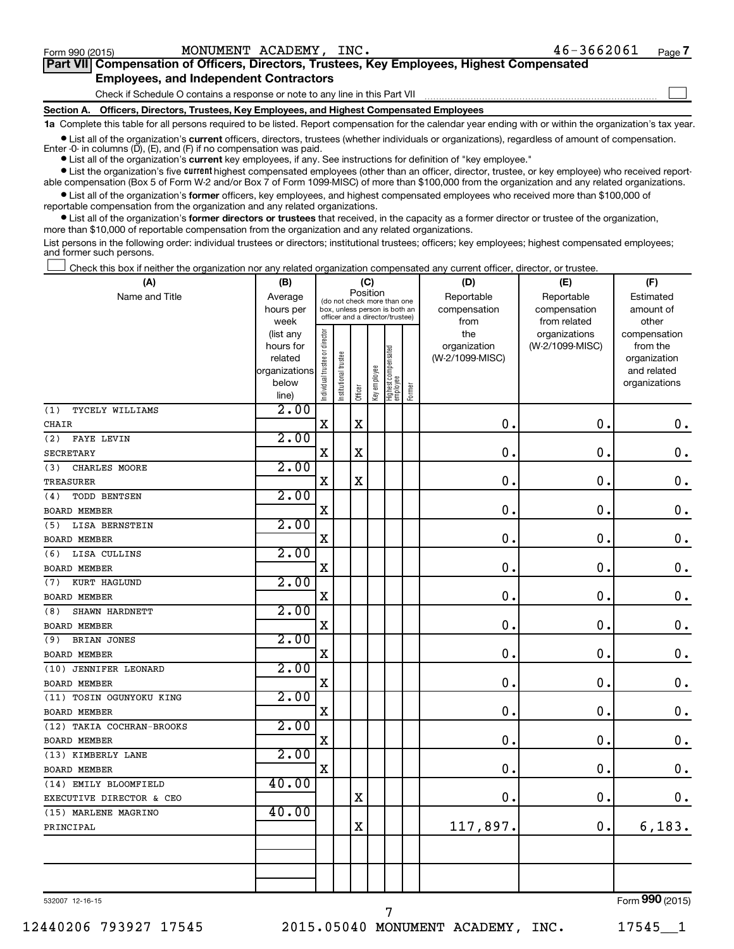$\Box$ 

| Part VII Compensation of Officers, Directors, Trustees, Key Employees, Highest Compensated |
|--------------------------------------------------------------------------------------------|
| <b>Employees, and Independent Contractors</b>                                              |

Check if Schedule O contains a response or note to any line in this Part VII

**Section A. Officers, Directors, Trustees, Key Employees, and Highest Compensated Employees**

**1a**  Complete this table for all persons required to be listed. Report compensation for the calendar year ending with or within the organization's tax year.

**•** List all of the organization's current officers, directors, trustees (whether individuals or organizations), regardless of amount of compensation. Enter -0- in columns  $(D)$ ,  $(E)$ , and  $(F)$  if no compensation was paid.

**•** List all of the organization's **current** key employees, if any. See instructions for definition of "key employee."

**•** List the organization's five current highest compensated employees (other than an officer, director, trustee, or key employee) who received reportable compensation (Box 5 of Form W-2 and/or Box 7 of Form 1099-MISC) of more than \$100,000 from the organization and any related organizations.

**•** List all of the organization's former officers, key employees, and highest compensated employees who received more than \$100,000 of reportable compensation from the organization and any related organizations.

**•** List all of the organization's former directors or trustees that received, in the capacity as a former director or trustee of the organization, more than \$10,000 of reportable compensation from the organization and any related organizations.

List persons in the following order: individual trustees or directors; institutional trustees; officers; key employees; highest compensated employees; and former such persons.

Check this box if neither the organization nor any related organization compensated any current officer, director, or trustee.  $\Box$ 

| (A)                       | (B)                    | (C)                           |                                                                  |             |              |                                 |        | (D)                             | (E)             | (F)                      |
|---------------------------|------------------------|-------------------------------|------------------------------------------------------------------|-------------|--------------|---------------------------------|--------|---------------------------------|-----------------|--------------------------|
| Name and Title            | Average                |                               | (do not check more than one                                      | Position    |              |                                 |        | Reportable                      | Reportable      | Estimated                |
|                           | hours per              |                               | box, unless person is both an<br>officer and a director/trustee) |             |              |                                 |        | compensation                    | compensation    | amount of                |
|                           | week                   |                               |                                                                  |             |              |                                 |        | from                            | from related    | other                    |
|                           | (list any<br>hours for |                               |                                                                  |             |              |                                 |        | the                             | organizations   | compensation<br>from the |
|                           | related                |                               |                                                                  |             |              |                                 |        | organization<br>(W-2/1099-MISC) | (W-2/1099-MISC) | organization             |
|                           | organizations          |                               |                                                                  |             |              |                                 |        |                                 |                 | and related              |
|                           | below                  | ndividual trustee or director |                                                                  |             |              |                                 |        |                                 |                 | organizations            |
|                           | line)                  |                               | Institutional trustee                                            | Officer     | Key employee | Highest compensated<br>employee | Former |                                 |                 |                          |
| TYCELY WILLIAMS<br>(1)    | 2.00                   |                               |                                                                  |             |              |                                 |        |                                 |                 |                          |
| <b>CHAIR</b>              |                        | $\rm X$                       |                                                                  | $\mathbf X$ |              |                                 |        | $\mathbf 0$                     | $\mathbf 0$ .   | $\mathbf 0$ .            |
| (2)<br>FAYE LEVIN         | 2.00                   |                               |                                                                  |             |              |                                 |        |                                 |                 |                          |
| <b>SECRETARY</b>          |                        | $\mathbf X$                   |                                                                  | X           |              |                                 |        | $\mathbf 0$                     | $\mathbf 0$     | $\mathbf 0$ .            |
| CHARLES MOORE<br>(3)      | 2.00                   |                               |                                                                  |             |              |                                 |        |                                 |                 |                          |
| TREASURER                 |                        | $\mathbf X$                   |                                                                  | $\rm X$     |              |                                 |        | 0                               | $\mathbf 0$     | $\mathbf 0$ .            |
| TODD BENTSEN<br>(4)       | 2.00                   |                               |                                                                  |             |              |                                 |        |                                 |                 |                          |
| BOARD MEMBER              |                        | $\rm X$                       |                                                                  |             |              |                                 |        | $\mathbf 0$                     | $\mathbf 0$     | $\mathbf 0$ .            |
| LISA BERNSTEIN<br>(5)     | 2.00                   |                               |                                                                  |             |              |                                 |        |                                 |                 |                          |
| BOARD MEMBER              |                        | $\mathbf X$                   |                                                                  |             |              |                                 |        | $\mathbf 0$                     | $\mathbf 0$ .   | $\mathbf 0$ .            |
| (6)<br>LISA CULLINS       | 2.00                   |                               |                                                                  |             |              |                                 |        |                                 |                 |                          |
| BOARD MEMBER              |                        | X                             |                                                                  |             |              |                                 |        | 0                               | 0.              | $\mathbf 0$ .            |
| KURT HAGLUND<br>(7)       | 2.00                   |                               |                                                                  |             |              |                                 |        |                                 |                 |                          |
| <b>BOARD MEMBER</b>       |                        | $\mathbf X$                   |                                                                  |             |              |                                 |        | 0                               | 0.              | $\mathbf 0$ .            |
| SHAWN HARDNETT<br>(8)     | 2.00                   |                               |                                                                  |             |              |                                 |        |                                 |                 |                          |
| <b>BOARD MEMBER</b>       |                        | $\mathbf X$                   |                                                                  |             |              |                                 |        | $\mathbf 0$                     | $\mathbf 0$ .   | $\mathbf 0$ .            |
| BRIAN JONES<br>(9)        | 2.00                   |                               |                                                                  |             |              |                                 |        |                                 |                 |                          |
| BOARD MEMBER              |                        | $\mathbf X$                   |                                                                  |             |              |                                 |        | $\mathbf 0$                     | 0.              | $\mathbf 0$ .            |
| (10) JENNIFER LEONARD     | 2.00                   |                               |                                                                  |             |              |                                 |        |                                 |                 |                          |
| <b>BOARD MEMBER</b>       |                        | X                             |                                                                  |             |              |                                 |        | 0                               | $\mathbf 0$ .   | $\mathbf 0$ .            |
| (11) TOSIN OGUNYOKU KING  | 2.00                   |                               |                                                                  |             |              |                                 |        |                                 |                 |                          |
| <b>BOARD MEMBER</b>       |                        | X                             |                                                                  |             |              |                                 |        | $\mathbf 0$                     | $\mathbf 0$ .   | $\mathbf 0$ .            |
| (12) TAKIA COCHRAN-BROOKS | 2.00                   |                               |                                                                  |             |              |                                 |        |                                 |                 |                          |
| <b>BOARD MEMBER</b>       |                        | X                             |                                                                  |             |              |                                 |        | $\mathbf 0$ .                   | $\mathbf 0$ .   | $\mathbf 0$ .            |
| (13) KIMBERLY LANE        | 2.00                   |                               |                                                                  |             |              |                                 |        |                                 |                 |                          |
| <b>BOARD MEMBER</b>       |                        | X                             |                                                                  |             |              |                                 |        | $\mathbf 0$ .                   | $\mathbf 0$ .   | $\mathbf 0$ .            |
| (14) EMILY BLOOMFIELD     | 40.00                  |                               |                                                                  |             |              |                                 |        |                                 |                 |                          |
| EXECUTIVE DIRECTOR & CEO  |                        |                               |                                                                  | X           |              |                                 |        | 0.                              | $\mathbf 0$ .   | $\mathbf 0$ .            |
| (15) MARLENE MAGRINO      | 40.00                  |                               |                                                                  |             |              |                                 |        |                                 |                 |                          |
| PRINCIPAL                 |                        |                               |                                                                  | $\mathbf X$ |              |                                 |        | 117,897.                        | 0.              | 6,183.                   |
|                           |                        |                               |                                                                  |             |              |                                 |        |                                 |                 |                          |
|                           |                        |                               |                                                                  |             |              |                                 |        |                                 |                 |                          |
|                           |                        |                               |                                                                  |             |              |                                 |        |                                 |                 |                          |
|                           |                        |                               |                                                                  |             |              |                                 |        |                                 |                 |                          |

532007 12-16-15

7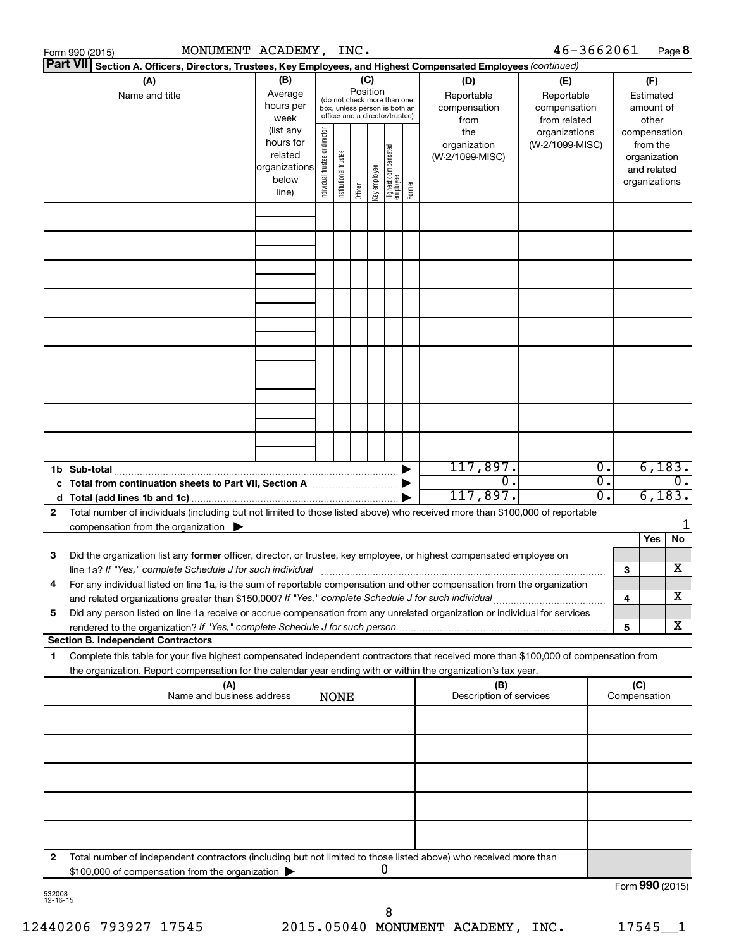|              | MONUMENT ACADEMY, INC.<br>Form 990 (2015)                                                                                                                                                |                                                                      |                                |                       |                                                                                                                    |              |                                 |        |                                           | 46-3662061                                        |          |                            |                                                                          | Page 8 |
|--------------|------------------------------------------------------------------------------------------------------------------------------------------------------------------------------------------|----------------------------------------------------------------------|--------------------------------|-----------------------|--------------------------------------------------------------------------------------------------------------------|--------------|---------------------------------|--------|-------------------------------------------|---------------------------------------------------|----------|----------------------------|--------------------------------------------------------------------------|--------|
|              | Part VII Section A. Officers, Directors, Trustees, Key Employees, and Highest Compensated Employees (continued)                                                                          |                                                                      |                                |                       |                                                                                                                    |              |                                 |        |                                           |                                                   |          |                            |                                                                          |        |
|              | (A)<br>Name and title                                                                                                                                                                    | (B)<br>Average<br>hours per<br>week                                  |                                |                       | (C)<br>Position<br>(do not check more than one<br>box, unless person is both an<br>officer and a director/trustee) |              |                                 |        | (D)<br>Reportable<br>compensation<br>from | (E)<br>Reportable<br>compensation<br>from related |          |                            | (F)<br>Estimated<br>amount of<br>other                                   |        |
|              |                                                                                                                                                                                          | (list any<br>hours for<br>related<br>organizations<br>below<br>line) | Individual trustee or director | Institutional trustee | Officer                                                                                                            | Key employee | Highest compensated<br>employee | Former | the<br>organization<br>(W-2/1099-MISC)    | organizations<br>(W-2/1099-MISC)                  |          |                            | compensation<br>from the<br>organization<br>and related<br>organizations |        |
|              |                                                                                                                                                                                          |                                                                      |                                |                       |                                                                                                                    |              |                                 |        |                                           |                                                   |          |                            |                                                                          |        |
|              |                                                                                                                                                                                          |                                                                      |                                |                       |                                                                                                                    |              |                                 |        |                                           |                                                   |          |                            |                                                                          |        |
|              |                                                                                                                                                                                          |                                                                      |                                |                       |                                                                                                                    |              |                                 |        |                                           |                                                   |          |                            |                                                                          |        |
|              |                                                                                                                                                                                          |                                                                      |                                |                       |                                                                                                                    |              |                                 |        |                                           |                                                   |          |                            |                                                                          |        |
|              |                                                                                                                                                                                          |                                                                      |                                |                       |                                                                                                                    |              |                                 |        |                                           |                                                   |          |                            |                                                                          |        |
|              |                                                                                                                                                                                          |                                                                      |                                |                       |                                                                                                                    |              |                                 |        |                                           |                                                   |          |                            |                                                                          |        |
|              |                                                                                                                                                                                          |                                                                      |                                |                       |                                                                                                                    |              |                                 |        |                                           |                                                   |          |                            |                                                                          |        |
|              |                                                                                                                                                                                          |                                                                      |                                |                       |                                                                                                                    |              |                                 |        | 117,897.                                  |                                                   | Ο.       |                            | 6,183.                                                                   |        |
|              |                                                                                                                                                                                          |                                                                      |                                |                       |                                                                                                                    |              |                                 |        | $\overline{0}$ .<br>117,897.              |                                                   | σ.<br>σ. | $\overline{0}$ .<br>6,183. |                                                                          |        |
| $\mathbf{2}$ | Total number of individuals (including but not limited to those listed above) who received more than \$100,000 of reportable<br>compensation from the organization $\blacktriangleright$ |                                                                      |                                |                       |                                                                                                                    |              |                                 |        |                                           |                                                   |          |                            |                                                                          |        |
| З            | Did the organization list any former officer, director, or trustee, key employee, or highest compensated employee on                                                                     |                                                                      |                                |                       |                                                                                                                    |              |                                 |        |                                           |                                                   |          |                            | Yes                                                                      | No     |
|              | line 1a? If "Yes," complete Schedule J for such individual                                                                                                                               |                                                                      |                                |                       |                                                                                                                    |              |                                 |        |                                           |                                                   |          | 3                          |                                                                          | х      |
| 4            | For any individual listed on line 1a, is the sum of reportable compensation and other compensation from the organization                                                                 |                                                                      |                                |                       |                                                                                                                    |              |                                 |        |                                           |                                                   |          | 4                          |                                                                          | х      |
| 5            | Did any person listed on line 1a receive or accrue compensation from any unrelated organization or individual for services                                                               |                                                                      |                                |                       |                                                                                                                    |              |                                 |        |                                           |                                                   |          | 5                          |                                                                          | х      |
| 1            | <b>Section B. Independent Contractors</b><br>Complete this table for your five highest compensated independent contractors that received more than \$100,000 of compensation from        |                                                                      |                                |                       |                                                                                                                    |              |                                 |        |                                           |                                                   |          |                            |                                                                          |        |
|              | the organization. Report compensation for the calendar year ending with or within the organization's tax year.                                                                           |                                                                      |                                |                       |                                                                                                                    |              |                                 |        |                                           |                                                   |          |                            |                                                                          |        |
|              | (A)<br>Name and business address                                                                                                                                                         |                                                                      |                                | <b>NONE</b>           |                                                                                                                    |              |                                 |        | (B)<br>Description of services            |                                                   |          | (C)                        | Compensation                                                             |        |
|              |                                                                                                                                                                                          |                                                                      |                                |                       |                                                                                                                    |              |                                 |        |                                           |                                                   |          |                            |                                                                          |        |
|              |                                                                                                                                                                                          |                                                                      |                                |                       |                                                                                                                    |              |                                 |        |                                           |                                                   |          |                            |                                                                          |        |
|              |                                                                                                                                                                                          |                                                                      |                                |                       |                                                                                                                    |              |                                 |        |                                           |                                                   |          |                            |                                                                          |        |
|              |                                                                                                                                                                                          |                                                                      |                                |                       |                                                                                                                    |              |                                 |        |                                           |                                                   |          |                            |                                                                          |        |
| 2            | Total number of independent contractors (including but not limited to those listed above) who received more than<br>\$100,000 of compensation from the organization                      |                                                                      |                                |                       |                                                                                                                    |              | 0                               |        |                                           |                                                   |          |                            |                                                                          |        |
|              |                                                                                                                                                                                          |                                                                      |                                |                       |                                                                                                                    |              |                                 |        |                                           |                                                   |          |                            | Form 990 (2015)                                                          |        |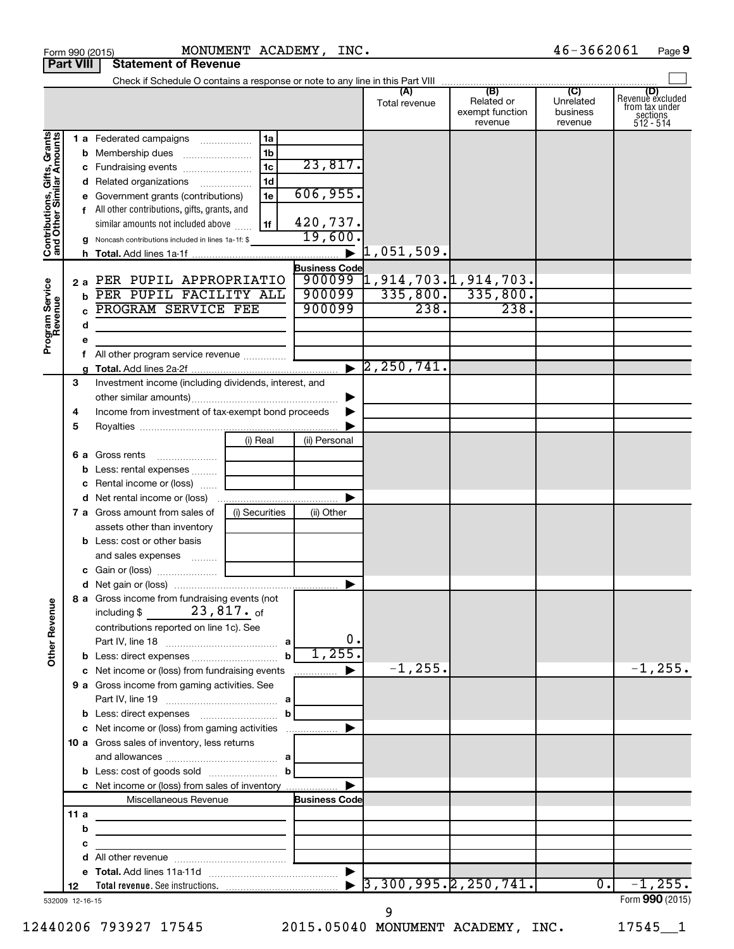|                                                            | <b>Part VIII</b>       | <b>Statement of Revenue</b>                                                                                                                                                                                                                                                                                                                                                                                                                    |                                                                                       |                                                        |                                                                   |                                         |                                                             |
|------------------------------------------------------------|------------------------|------------------------------------------------------------------------------------------------------------------------------------------------------------------------------------------------------------------------------------------------------------------------------------------------------------------------------------------------------------------------------------------------------------------------------------------------|---------------------------------------------------------------------------------------|--------------------------------------------------------|-------------------------------------------------------------------|-----------------------------------------|-------------------------------------------------------------|
|                                                            |                        |                                                                                                                                                                                                                                                                                                                                                                                                                                                |                                                                                       |                                                        |                                                                   |                                         |                                                             |
|                                                            |                        |                                                                                                                                                                                                                                                                                                                                                                                                                                                |                                                                                       | (A)<br>Total revenue                                   | (B)<br>Related or<br>exempt function<br>revenue                   | (C)<br>Unrelated<br>business<br>revenue | Revenue excluded<br>from tax under<br>sections<br>512 - 514 |
| Contributions, Gifts, Grants<br>Program Service<br>Revenue | 2a<br>h<br>d<br>е<br>g | 1a<br>1 a Federated campaigns<br>1 <sub>b</sub><br><b>b</b> Membership dues<br>1 <sub>c</sub><br>c Fundraising events<br>1 <sub>d</sub><br>d Related organizations<br>1e<br>e Government grants (contributions)<br>f All other contributions, gifts, grants, and<br>similar amounts not included above<br>1f<br>g Noncash contributions included in lines 1a-1f: \$<br>PER PUPIL APPROPRIATIO<br>PER PUPIL FACILITY ALL<br>PROGRAM SERVICE FEE | 23,817.<br>606,955.<br>420,737.<br>19,600<br><b>Business Code</b><br>900099<br>900099 | 1,051,509.<br>238.<br>$\blacktriangleright$ 2,250,741. | $900099$ 1, 914, 703. 1, 914, 703.<br>$335,800.$ 335,800.<br>238. |                                         |                                                             |
|                                                            | 3<br>4<br>5            | Investment income (including dividends, interest, and<br>Income from investment of tax-exempt bond proceeds                                                                                                                                                                                                                                                                                                                                    |                                                                                       |                                                        |                                                                   |                                         |                                                             |
|                                                            | 6а<br>b<br>с           | (i) Real<br>Gross rents<br>$\ldots \ldots \ldots \ldots \ldots$<br>Less: rental expenses<br>Rental income or (loss)                                                                                                                                                                                                                                                                                                                            | (ii) Personal                                                                         |                                                        |                                                                   |                                         |                                                             |
|                                                            |                        | (i) Securities<br>7 a Gross amount from sales of<br>assets other than inventory<br><b>b</b> Less: cost or other basis<br>and sales expenses                                                                                                                                                                                                                                                                                                    | (ii) Other                                                                            |                                                        |                                                                   |                                         |                                                             |
| <b>Other Revenue</b>                                       |                        | 8 a Gross income from fundraising events (not<br>$23$ ,817. $_{\sf of}$<br>including $$$<br>contributions reported on line 1c). See                                                                                                                                                                                                                                                                                                            | 0.                                                                                    |                                                        |                                                                   |                                         |                                                             |
|                                                            |                        | $\mathbf b$<br>b Less: direct expenses<br>c Net income or (loss) from fundraising events<br>9 a Gross income from gaming activities. See                                                                                                                                                                                                                                                                                                       | 1,255.                                                                                | $-1, 255.$                                             |                                                                   |                                         | $-1, 255.$                                                  |
|                                                            |                        | b <br>c Net income or (loss) from gaming activities<br>10 a Gross sales of inventory, less returns<br>$\mathbf{b}$                                                                                                                                                                                                                                                                                                                             |                                                                                       |                                                        |                                                                   |                                         |                                                             |
|                                                            | 11a<br>b               | c Net income or (loss) from sales of inventory<br>Miscellaneous Revenue                                                                                                                                                                                                                                                                                                                                                                        | <b>Business Code</b>                                                                  |                                                        |                                                                   |                                         |                                                             |
|                                                            | с<br>d                 |                                                                                                                                                                                                                                                                                                                                                                                                                                                |                                                                                       |                                                        |                                                                   |                                         |                                                             |
|                                                            | 12<br>532009 12-16-15  |                                                                                                                                                                                                                                                                                                                                                                                                                                                |                                                                                       |                                                        | 3,300,995.2,250,741.                                              | $\overline{0}$ .                        | $-1, 255.$<br>Form 990 (2015)                               |

|                   | ----------- | ---- |
|-------------------|-------------|------|
| tamant of Davanua |             |      |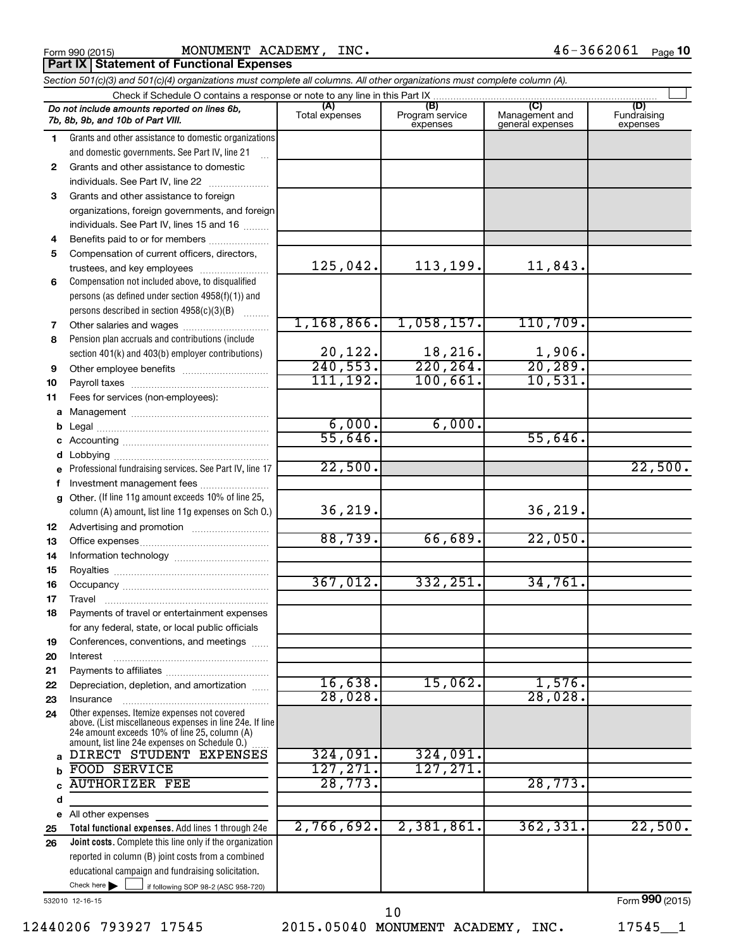Form 990 (2015) MONUMENT ACADEMY, INC.  $46-3662061$  Page

**Part IX | Statement of Functional Expenses** 

*Section 501(c)(3) and 501(c)(4) organizations must complete all columns. All other organizations must complete column (A).*

|              | Do not include amounts reported on lines 6b,<br>7b, 8b, 9b, and 10b of Part VIII.                         | Total expenses           | (B)<br>Program service<br>expenses | Management and<br>general expenses | (D)<br>Fundraising<br>expenses |  |  |  |  |  |  |  |
|--------------|-----------------------------------------------------------------------------------------------------------|--------------------------|------------------------------------|------------------------------------|--------------------------------|--|--|--|--|--|--|--|
| 1.           | Grants and other assistance to domestic organizations                                                     |                          |                                    |                                    |                                |  |  |  |  |  |  |  |
|              | and domestic governments. See Part IV, line 21                                                            |                          |                                    |                                    |                                |  |  |  |  |  |  |  |
| $\mathbf{2}$ | Grants and other assistance to domestic                                                                   |                          |                                    |                                    |                                |  |  |  |  |  |  |  |
|              | individuals. See Part IV, line 22                                                                         |                          |                                    |                                    |                                |  |  |  |  |  |  |  |
| 3            | Grants and other assistance to foreign                                                                    |                          |                                    |                                    |                                |  |  |  |  |  |  |  |
|              | organizations, foreign governments, and foreign                                                           |                          |                                    |                                    |                                |  |  |  |  |  |  |  |
|              | individuals. See Part IV, lines 15 and 16                                                                 |                          |                                    |                                    |                                |  |  |  |  |  |  |  |
| 4            | Benefits paid to or for members                                                                           |                          |                                    |                                    |                                |  |  |  |  |  |  |  |
| 5            | Compensation of current officers, directors,                                                              |                          |                                    |                                    |                                |  |  |  |  |  |  |  |
|              | trustees, and key employees                                                                               | 125,042.                 | 113,199.                           | 11,843.                            |                                |  |  |  |  |  |  |  |
| 6            | Compensation not included above, to disqualified                                                          |                          |                                    |                                    |                                |  |  |  |  |  |  |  |
|              | persons (as defined under section 4958(f)(1)) and                                                         |                          |                                    |                                    |                                |  |  |  |  |  |  |  |
|              | persons described in section 4958(c)(3)(B)                                                                |                          |                                    |                                    |                                |  |  |  |  |  |  |  |
| 7            | Other salaries and wages                                                                                  | 1,168,866.               | 1,058,157.                         | 110,709.                           |                                |  |  |  |  |  |  |  |
| 8            | Pension plan accruals and contributions (include                                                          |                          |                                    |                                    |                                |  |  |  |  |  |  |  |
|              | section 401(k) and 403(b) employer contributions)                                                         | $\frac{20,122}{240,553}$ | 18,216.<br>$\overline{220,264}$    | 1,906.<br>20, 289.                 |                                |  |  |  |  |  |  |  |
| 9            |                                                                                                           | 111, 192.                | 100,661.                           | 10,531.                            |                                |  |  |  |  |  |  |  |
| 10           |                                                                                                           |                          |                                    |                                    |                                |  |  |  |  |  |  |  |
| 11           | Fees for services (non-employees):                                                                        |                          |                                    |                                    |                                |  |  |  |  |  |  |  |
| а<br>b       |                                                                                                           | 6,000.                   | 6,000.                             |                                    |                                |  |  |  |  |  |  |  |
| c            |                                                                                                           | 55,646.                  |                                    | 55,646.                            |                                |  |  |  |  |  |  |  |
|              |                                                                                                           |                          |                                    |                                    |                                |  |  |  |  |  |  |  |
| е            | Professional fundraising services. See Part IV, line 17                                                   | 22,500.                  |                                    |                                    | 22,500.                        |  |  |  |  |  |  |  |
| f            | Investment management fees                                                                                |                          |                                    |                                    |                                |  |  |  |  |  |  |  |
| a            | Other. (If line 11g amount exceeds 10% of line 25,                                                        |                          |                                    |                                    |                                |  |  |  |  |  |  |  |
|              | column (A) amount, list line 11g expenses on Sch O.)                                                      | 36,219.                  |                                    | 36, 219.                           |                                |  |  |  |  |  |  |  |
| 12           |                                                                                                           |                          |                                    |                                    |                                |  |  |  |  |  |  |  |
| 13           |                                                                                                           | 88,739.                  | 66,689.                            | 22,050.                            |                                |  |  |  |  |  |  |  |
| 14           |                                                                                                           |                          |                                    |                                    |                                |  |  |  |  |  |  |  |
| 15           |                                                                                                           | 367,012.                 | 332, 251.                          | 34,761.                            |                                |  |  |  |  |  |  |  |
| 16           |                                                                                                           |                          |                                    |                                    |                                |  |  |  |  |  |  |  |
| 17           | Travel                                                                                                    |                          |                                    |                                    |                                |  |  |  |  |  |  |  |
| 18           | Payments of travel or entertainment expenses<br>for any federal, state, or local public officials         |                          |                                    |                                    |                                |  |  |  |  |  |  |  |
|              | Conferences, conventions, and meetings                                                                    |                          |                                    |                                    |                                |  |  |  |  |  |  |  |
| 19<br>20     | Interest                                                                                                  |                          |                                    |                                    |                                |  |  |  |  |  |  |  |
| 21           |                                                                                                           |                          |                                    |                                    |                                |  |  |  |  |  |  |  |
| 22           | Depreciation, depletion, and amortization                                                                 | 16,638.                  | 15,062.                            | 1,576.                             |                                |  |  |  |  |  |  |  |
| 23           | Insurance                                                                                                 | 28,028.                  |                                    | 28,028                             |                                |  |  |  |  |  |  |  |
| 24           | Other expenses. Itemize expenses not covered                                                              |                          |                                    |                                    |                                |  |  |  |  |  |  |  |
|              | above. (List miscellaneous expenses in line 24e. If line<br>24e amount exceeds 10% of line 25, column (A) |                          |                                    |                                    |                                |  |  |  |  |  |  |  |
|              | amount, list line 24e expenses on Schedule 0.)                                                            |                          |                                    |                                    |                                |  |  |  |  |  |  |  |
| a            | DIRECT STUDENT EXPENSES                                                                                   | 324,091.                 | 324,091.                           |                                    |                                |  |  |  |  |  |  |  |
| b            | FOOD SERVICE<br><b>AUTHORIZER FEE</b>                                                                     | 127, 271.<br>28,773.     | 127, 271.                          | 28,773.                            |                                |  |  |  |  |  |  |  |
|              |                                                                                                           |                          |                                    |                                    |                                |  |  |  |  |  |  |  |
| d            | e All other expenses                                                                                      |                          |                                    |                                    |                                |  |  |  |  |  |  |  |
| 25           | Total functional expenses. Add lines 1 through 24e                                                        | 2,766,692.               | 2,381,861.                         | 362, 331.                          | 22,500.                        |  |  |  |  |  |  |  |
| 26           | <b>Joint costs.</b> Complete this line only if the organization                                           |                          |                                    |                                    |                                |  |  |  |  |  |  |  |
|              | reported in column (B) joint costs from a combined                                                        |                          |                                    |                                    |                                |  |  |  |  |  |  |  |
|              | educational campaign and fundraising solicitation.                                                        |                          |                                    |                                    |                                |  |  |  |  |  |  |  |
|              | Check here $\blacktriangleright$<br>if following SOP 98-2 (ASC 958-720)                                   |                          |                                    |                                    |                                |  |  |  |  |  |  |  |

532010 12-16-15

12440206 793927 17545 2015.05040 MONUMENT ACADEMY, INC. 17545\_1 10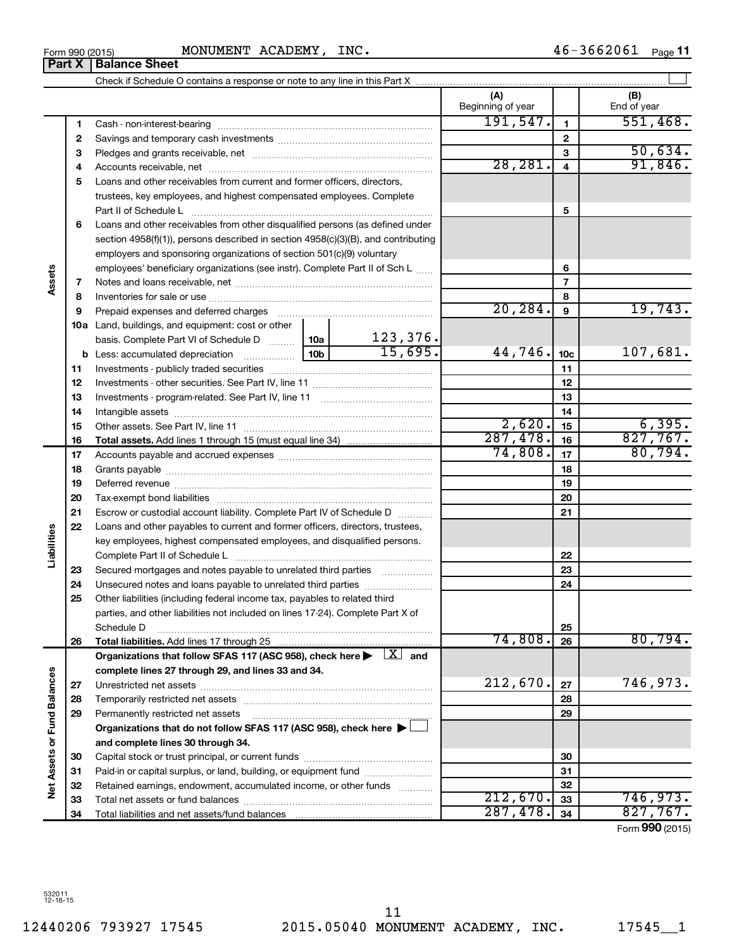Form 990 (2015) MONUMENT ACADEMY, INC.  $46-3662061$  Page

|                             | Part X   | <b>Balance Sheet</b>                                                                                                                                                                                                           |  |          |                          |                         |                    |
|-----------------------------|----------|--------------------------------------------------------------------------------------------------------------------------------------------------------------------------------------------------------------------------------|--|----------|--------------------------|-------------------------|--------------------|
|                             |          |                                                                                                                                                                                                                                |  |          |                          |                         |                    |
|                             |          |                                                                                                                                                                                                                                |  |          | (A)<br>Beginning of year |                         | (B)<br>End of year |
|                             | 1        |                                                                                                                                                                                                                                |  |          | 191,547.                 | $\mathbf{1}$            | 551,468.           |
|                             | 2        |                                                                                                                                                                                                                                |  |          |                          | $\mathbf{2}$            |                    |
|                             | 3        |                                                                                                                                                                                                                                |  |          |                          | 3                       | 50,634.            |
|                             | 4        |                                                                                                                                                                                                                                |  |          | 28, 281.                 | $\overline{\mathbf{4}}$ | 91,846.            |
|                             | 5        | Loans and other receivables from current and former officers, directors,                                                                                                                                                       |  |          |                          |                         |                    |
|                             |          | trustees, key employees, and highest compensated employees. Complete                                                                                                                                                           |  |          |                          |                         |                    |
|                             |          | Part II of Schedule L                                                                                                                                                                                                          |  |          |                          | 5                       |                    |
|                             | 6        | Loans and other receivables from other disqualified persons (as defined under                                                                                                                                                  |  |          |                          |                         |                    |
|                             |          | section $4958(f)(1)$ , persons described in section $4958(c)(3)(B)$ , and contributing                                                                                                                                         |  |          |                          |                         |                    |
|                             |          | employers and sponsoring organizations of section 501(c)(9) voluntary                                                                                                                                                          |  |          |                          |                         |                    |
|                             |          | employees' beneficiary organizations (see instr). Complete Part II of Sch L                                                                                                                                                    |  |          |                          | 6                       |                    |
| Assets                      | 7        |                                                                                                                                                                                                                                |  |          |                          | 7                       |                    |
|                             | 8        |                                                                                                                                                                                                                                |  |          |                          | 8                       |                    |
|                             | 9        | Prepaid expenses and deferred charges [11] [11] Prepaid expenses and deferred charges [11] [11] All and the summary series are presented as a series and the series and the series and series and series and series are series |  |          | 20, 284.                 | 9                       | 19,743.            |
|                             |          | <b>10a</b> Land, buildings, and equipment: cost or other                                                                                                                                                                       |  |          |                          |                         |                    |
|                             |          | basis. Complete Part VI of Schedule D    10a                                                                                                                                                                                   |  | 123,376. |                          |                         |                    |
|                             |          |                                                                                                                                                                                                                                |  | 15,695.  | 44,746.                  | 10 <sub>c</sub>         | 107,681.           |
|                             | 11       |                                                                                                                                                                                                                                |  |          |                          | 11                      |                    |
|                             | 12       |                                                                                                                                                                                                                                |  |          | 12                       |                         |                    |
|                             | 13       |                                                                                                                                                                                                                                |  |          |                          | 13                      |                    |
|                             | 14       |                                                                                                                                                                                                                                |  |          |                          | 14                      |                    |
|                             | 15       |                                                                                                                                                                                                                                |  |          | 2,620.                   | 15                      | 6,395.             |
|                             | 16       |                                                                                                                                                                                                                                |  |          | 287,478.                 | 16                      | 827,767.           |
|                             | 17       |                                                                                                                                                                                                                                |  |          | 74,808.                  | 17                      | 80,794.            |
|                             | 18       |                                                                                                                                                                                                                                |  |          | 18                       |                         |                    |
|                             | 19       | Deferred revenue manual contracts and contracts are all the contracts and contracts are contracted and contracts are contracted and contract are contracted and contract are contracted and contract are contracted and contra |  |          | 19                       |                         |                    |
|                             | 20       |                                                                                                                                                                                                                                |  |          | 20                       |                         |                    |
|                             | 21       | Escrow or custodial account liability. Complete Part IV of Schedule D                                                                                                                                                          |  |          |                          | 21                      |                    |
|                             | 22       | Loans and other payables to current and former officers, directors, trustees,                                                                                                                                                  |  |          |                          |                         |                    |
| Liabilities                 |          | key employees, highest compensated employees, and disqualified persons.                                                                                                                                                        |  |          |                          |                         |                    |
|                             |          |                                                                                                                                                                                                                                |  |          |                          | 22                      |                    |
|                             | 23       | Secured mortgages and notes payable to unrelated third parties                                                                                                                                                                 |  |          |                          | 23                      |                    |
|                             | 24       |                                                                                                                                                                                                                                |  |          |                          | 24                      |                    |
|                             | 25       | Other liabilities (including federal income tax, payables to related third                                                                                                                                                     |  |          |                          |                         |                    |
|                             |          | parties, and other liabilities not included on lines 17-24). Complete Part X of                                                                                                                                                |  |          |                          |                         |                    |
|                             |          | Schedule D                                                                                                                                                                                                                     |  |          | 74,808.                  | 25                      | 80,794.            |
|                             | 26       | Total liabilities. Add lines 17 through 25                                                                                                                                                                                     |  |          |                          | 26                      |                    |
|                             |          | Organizations that follow SFAS 117 (ASC 958), check here $\blacktriangleright \begin{array}{c} \boxed{X} \\ \end{array}$ and<br>complete lines 27 through 29, and lines 33 and 34.                                             |  |          |                          |                         |                    |
|                             |          |                                                                                                                                                                                                                                |  |          | 212,670.                 | 27                      | 746,973.           |
|                             | 27       |                                                                                                                                                                                                                                |  |          |                          | 28                      |                    |
|                             | 28<br>29 | Permanently restricted net assets                                                                                                                                                                                              |  |          |                          | 29                      |                    |
|                             |          | Organizations that do not follow SFAS 117 (ASC 958), check here ▶ □                                                                                                                                                            |  |          |                          |                         |                    |
|                             |          | and complete lines 30 through 34.                                                                                                                                                                                              |  |          |                          |                         |                    |
|                             | 30       |                                                                                                                                                                                                                                |  |          |                          | 30                      |                    |
|                             | 31       | Paid-in or capital surplus, or land, building, or equipment fund                                                                                                                                                               |  |          |                          | 31                      |                    |
| Net Assets or Fund Balances | 32       | Retained earnings, endowment, accumulated income, or other funds                                                                                                                                                               |  |          |                          | 32                      |                    |
|                             | 33       |                                                                                                                                                                                                                                |  |          | 212,670.                 | 33                      | 746,973.           |
|                             | 34       |                                                                                                                                                                                                                                |  |          | 287,478.                 | 34                      | 827,767.           |
|                             |          |                                                                                                                                                                                                                                |  |          |                          |                         |                    |

Form (2015) **990**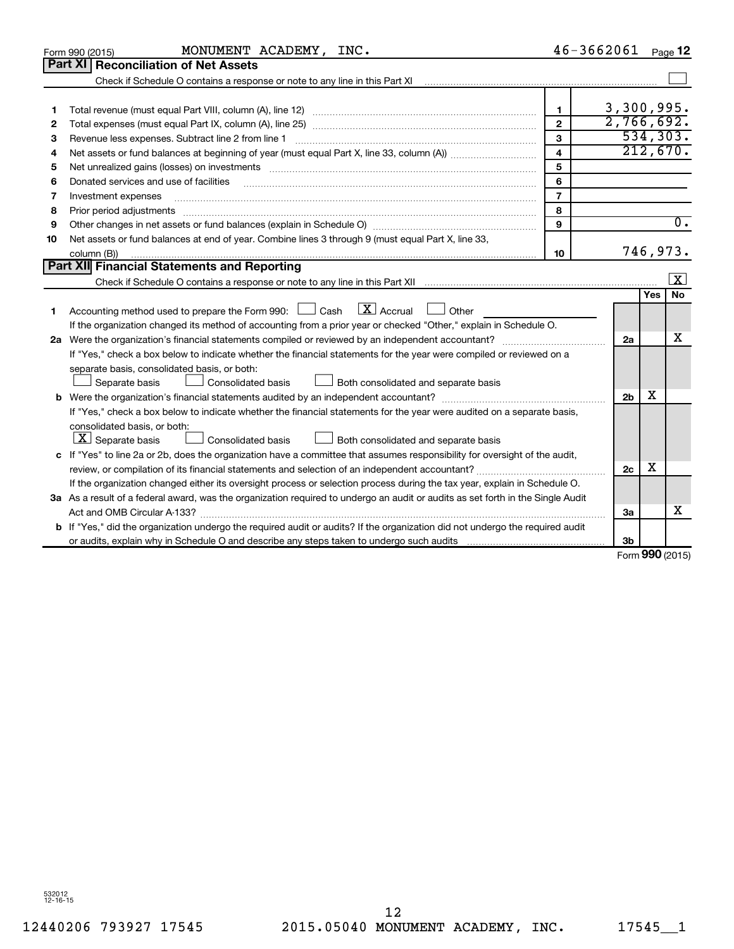|    | MONUMENT ACADEMY, INC.<br>Form 990 (2015)                                                                                                                                                                                      |                         | $46 - 3662061$ |     | Page 12                 |
|----|--------------------------------------------------------------------------------------------------------------------------------------------------------------------------------------------------------------------------------|-------------------------|----------------|-----|-------------------------|
|    | Part XI   Reconciliation of Net Assets                                                                                                                                                                                         |                         |                |     |                         |
|    |                                                                                                                                                                                                                                |                         |                |     |                         |
|    |                                                                                                                                                                                                                                |                         |                |     |                         |
| 1  |                                                                                                                                                                                                                                | $\mathbf{1}$            | 3,300,995.     |     |                         |
| 2  |                                                                                                                                                                                                                                | $\mathbf{2}$            | 2,766,692.     |     |                         |
| З  | Revenue less expenses. Subtract line 2 from line 1                                                                                                                                                                             | 3                       |                |     | 534, 303.               |
| 4  |                                                                                                                                                                                                                                | $\overline{\mathbf{4}}$ |                |     | 212,670.                |
| 5  | Net unrealized gains (losses) on investments [11] matter than the control of the control of the control of the control of the control of the control of the control of the control of the control of the control of the contro | 5                       |                |     |                         |
| 6  | Donated services and use of facilities                                                                                                                                                                                         | 6                       |                |     |                         |
| 7  | Investment expenses                                                                                                                                                                                                            | $\overline{7}$          |                |     |                         |
| 8  | Prior period adjustments                                                                                                                                                                                                       | 8                       |                |     |                         |
| 9  |                                                                                                                                                                                                                                | 9                       |                |     | 0.                      |
| 10 | Net assets or fund balances at end of year. Combine lines 3 through 9 (must equal Part X, line 33,                                                                                                                             |                         |                |     |                         |
|    | column (B))                                                                                                                                                                                                                    | 10                      |                |     | 746,973.                |
|    | <b>Part XII</b> Financial Statements and Reporting                                                                                                                                                                             |                         |                |     |                         |
|    |                                                                                                                                                                                                                                |                         |                |     | $\overline{\mathbf{X}}$ |
|    |                                                                                                                                                                                                                                |                         |                | Yes | <b>No</b>               |
| 1  | Accounting method used to prepare the Form 990: $\Box$ Cash $\Box X$ Accrual<br>$\Box$ Other                                                                                                                                   |                         |                |     |                         |
|    | If the organization changed its method of accounting from a prior year or checked "Other," explain in Schedule O.                                                                                                              |                         |                |     |                         |
|    | 2a Were the organization's financial statements compiled or reviewed by an independent accountant?                                                                                                                             |                         | 2a             |     | х                       |
|    | If "Yes," check a box below to indicate whether the financial statements for the year were compiled or reviewed on a                                                                                                           |                         |                |     |                         |
|    | separate basis, consolidated basis, or both:                                                                                                                                                                                   |                         |                |     |                         |
|    | Separate basis<br>Both consolidated and separate basis<br>Consolidated basis                                                                                                                                                   |                         |                |     |                         |
|    |                                                                                                                                                                                                                                |                         | 2 <sub>b</sub> | х   |                         |
|    | If "Yes," check a box below to indicate whether the financial statements for the year were audited on a separate basis,                                                                                                        |                         |                |     |                         |
|    | consolidated basis, or both:                                                                                                                                                                                                   |                         |                |     |                         |
|    | $\lfloor \underline{X} \rfloor$ Separate basis<br>Consolidated basis<br>Both consolidated and separate basis                                                                                                                   |                         |                |     |                         |
|    | c If "Yes" to line 2a or 2b, does the organization have a committee that assumes responsibility for oversight of the audit,                                                                                                    |                         |                |     |                         |
|    | review, or compilation of its financial statements and selection of an independent accountant?                                                                                                                                 |                         | 2c             | х   |                         |
|    | If the organization changed either its oversight process or selection process during the tax year, explain in Schedule O.                                                                                                      |                         |                |     |                         |
|    | 3a As a result of a federal award, was the organization required to undergo an audit or audits as set forth in the Single Audit                                                                                                |                         |                |     |                         |
|    |                                                                                                                                                                                                                                |                         | За             |     | X                       |
| b  | If "Yes," did the organization undergo the required audit or audits? If the organization did not undergo the required audit                                                                                                    |                         |                |     |                         |
|    |                                                                                                                                                                                                                                |                         | 3b             |     |                         |

Form (2015) **990**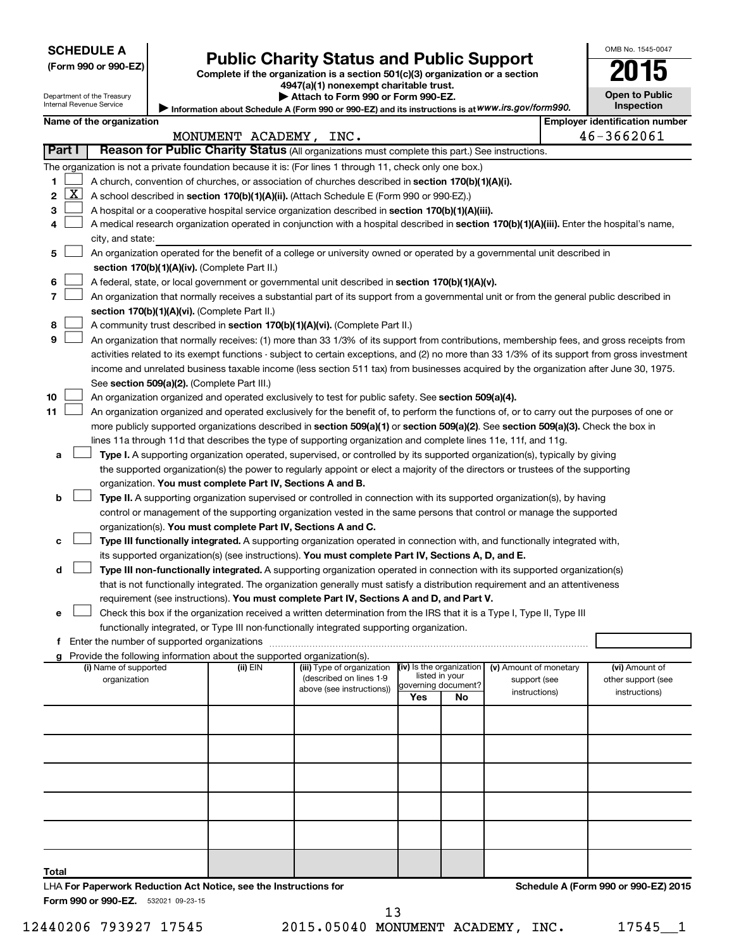# **SCHEDULE A**

|  |  | (Form 990 or 990-EZ) |
|--|--|----------------------|
|--|--|----------------------|

# Form 990 or 990-EZ) **Public Charity Status and Public Support**<br>
Complete if the organization is a section 501(c)(3) organization or a section<br> **2015**

**4947(a)(1) nonexempt charitable trust.**  $\blacktriangleright$  Att

| tach to Form 990 or Form 990-EZ. |  |
|----------------------------------|--|
|----------------------------------|--|

**Open to Public Inspection**

OMB No. 1545-0047

| Department of the Treasury |  |
|----------------------------|--|
| Internal Revenue Service   |  |

Information about Schedule A (Form 990 or 990-EZ) and its instructions is at WWW.irs.gov/form990.

|              |                     | Name of the organization                                                                                                                      |                        |                            |                                       |    |                        |  | <b>Employer identification number</b> |  |
|--------------|---------------------|-----------------------------------------------------------------------------------------------------------------------------------------------|------------------------|----------------------------|---------------------------------------|----|------------------------|--|---------------------------------------|--|
|              |                     |                                                                                                                                               | MONUMENT ACADEMY, INC. |                            |                                       |    |                        |  | 46-3662061                            |  |
|              | Part I              | Reason for Public Charity Status (All organizations must complete this part.) See instructions.                                               |                        |                            |                                       |    |                        |  |                                       |  |
|              |                     | The organization is not a private foundation because it is: (For lines 1 through 11, check only one box.)                                     |                        |                            |                                       |    |                        |  |                                       |  |
| 1.           |                     | A church, convention of churches, or association of churches described in section 170(b)(1)(A)(i).                                            |                        |                            |                                       |    |                        |  |                                       |  |
| $\mathbf{2}$ | $\lfloor x \rfloor$ | A school described in section 170(b)(1)(A)(ii). (Attach Schedule E (Form 990 or 990-EZ).)                                                     |                        |                            |                                       |    |                        |  |                                       |  |
| 3            |                     | A hospital or a cooperative hospital service organization described in section 170(b)(1)(A)(iii).                                             |                        |                            |                                       |    |                        |  |                                       |  |
| 4            |                     | A medical research organization operated in conjunction with a hospital described in section 170(b)(1)(A)(iii). Enter the hospital's name,    |                        |                            |                                       |    |                        |  |                                       |  |
|              |                     | city, and state:                                                                                                                              |                        |                            |                                       |    |                        |  |                                       |  |
| 5.           |                     | An organization operated for the benefit of a college or university owned or operated by a governmental unit described in                     |                        |                            |                                       |    |                        |  |                                       |  |
|              |                     | section 170(b)(1)(A)(iv). (Complete Part II.)                                                                                                 |                        |                            |                                       |    |                        |  |                                       |  |
| 6            |                     | A federal, state, or local government or governmental unit described in section 170(b)(1)(A)(v).                                              |                        |                            |                                       |    |                        |  |                                       |  |
| 7            |                     | An organization that normally receives a substantial part of its support from a governmental unit or from the general public described in     |                        |                            |                                       |    |                        |  |                                       |  |
|              |                     | section 170(b)(1)(A)(vi). (Complete Part II.)                                                                                                 |                        |                            |                                       |    |                        |  |                                       |  |
| 8            |                     | A community trust described in section 170(b)(1)(A)(vi). (Complete Part II.)                                                                  |                        |                            |                                       |    |                        |  |                                       |  |
| 9            |                     | An organization that normally receives: (1) more than 33 1/3% of its support from contributions, membership fees, and gross receipts from     |                        |                            |                                       |    |                        |  |                                       |  |
|              |                     | activities related to its exempt functions - subject to certain exceptions, and (2) no more than 33 1/3% of its support from gross investment |                        |                            |                                       |    |                        |  |                                       |  |
|              |                     | income and unrelated business taxable income (less section 511 tax) from businesses acquired by the organization after June 30, 1975.         |                        |                            |                                       |    |                        |  |                                       |  |
|              |                     | See section 509(a)(2). (Complete Part III.)                                                                                                   |                        |                            |                                       |    |                        |  |                                       |  |
| 10           |                     | An organization organized and operated exclusively to test for public safety. See section 509(a)(4).                                          |                        |                            |                                       |    |                        |  |                                       |  |
| 11           |                     | An organization organized and operated exclusively for the benefit of, to perform the functions of, or to carry out the purposes of one or    |                        |                            |                                       |    |                        |  |                                       |  |
|              |                     | more publicly supported organizations described in section 509(a)(1) or section 509(a)(2). See section 509(a)(3). Check the box in            |                        |                            |                                       |    |                        |  |                                       |  |
|              |                     | lines 11a through 11d that describes the type of supporting organization and complete lines 11e, 11f, and 11g.                                |                        |                            |                                       |    |                        |  |                                       |  |
| а            |                     | Type I. A supporting organization operated, supervised, or controlled by its supported organization(s), typically by giving                   |                        |                            |                                       |    |                        |  |                                       |  |
|              |                     | the supported organization(s) the power to regularly appoint or elect a majority of the directors or trustees of the supporting               |                        |                            |                                       |    |                        |  |                                       |  |
|              |                     | organization. You must complete Part IV, Sections A and B.                                                                                    |                        |                            |                                       |    |                        |  |                                       |  |
| b            |                     | Type II. A supporting organization supervised or controlled in connection with its supported organization(s), by having                       |                        |                            |                                       |    |                        |  |                                       |  |
|              |                     | control or management of the supporting organization vested in the same persons that control or manage the supported                          |                        |                            |                                       |    |                        |  |                                       |  |
|              |                     | organization(s). You must complete Part IV, Sections A and C.                                                                                 |                        |                            |                                       |    |                        |  |                                       |  |
| с            |                     | Type III functionally integrated. A supporting organization operated in connection with, and functionally integrated with,                    |                        |                            |                                       |    |                        |  |                                       |  |
|              |                     | its supported organization(s) (see instructions). You must complete Part IV, Sections A, D, and E.                                            |                        |                            |                                       |    |                        |  |                                       |  |
| d            |                     | Type III non-functionally integrated. A supporting organization operated in connection with its supported organization(s)                     |                        |                            |                                       |    |                        |  |                                       |  |
|              |                     | that is not functionally integrated. The organization generally must satisfy a distribution requirement and an attentiveness                  |                        |                            |                                       |    |                        |  |                                       |  |
|              |                     | requirement (see instructions). You must complete Part IV, Sections A and D, and Part V.                                                      |                        |                            |                                       |    |                        |  |                                       |  |
| е            |                     | Check this box if the organization received a written determination from the IRS that it is a Type I, Type II, Type III                       |                        |                            |                                       |    |                        |  |                                       |  |
|              |                     | functionally integrated, or Type III non-functionally integrated supporting organization.                                                     |                        |                            |                                       |    |                        |  |                                       |  |
|              |                     |                                                                                                                                               |                        |                            |                                       |    |                        |  |                                       |  |
|              |                     | g Provide the following information about the supported organization(s).                                                                      |                        |                            |                                       |    |                        |  |                                       |  |
|              |                     | (i) Name of supported                                                                                                                         | (ii) EIN               | (iii) Type of organization | (iv) Is the organization              |    | (v) Amount of monetary |  | (vi) Amount of                        |  |
|              |                     | organization                                                                                                                                  |                        | (described on lines 1-9    | listed in your<br>governing document? |    | support (see           |  | other support (see                    |  |
|              |                     |                                                                                                                                               |                        | above (see instructions))  | Yes                                   | No | instructions)          |  | instructions)                         |  |
|              |                     |                                                                                                                                               |                        |                            |                                       |    |                        |  |                                       |  |
|              |                     |                                                                                                                                               |                        |                            |                                       |    |                        |  |                                       |  |
|              |                     |                                                                                                                                               |                        |                            |                                       |    |                        |  |                                       |  |
|              |                     |                                                                                                                                               |                        |                            |                                       |    |                        |  |                                       |  |
|              |                     |                                                                                                                                               |                        |                            |                                       |    |                        |  |                                       |  |
|              |                     |                                                                                                                                               |                        |                            |                                       |    |                        |  |                                       |  |

**Total**

Form 990 or 990-EZ. 532021 09-23-15

LHA **For Paperwork Reduction Act Notice, see the Instructions for** 

12440206 793927 17545 2015.05040 MONUMENT ACADEMY, INC. 17545 1 13

**Schedule A (Form 990 or 990-EZ) 2015**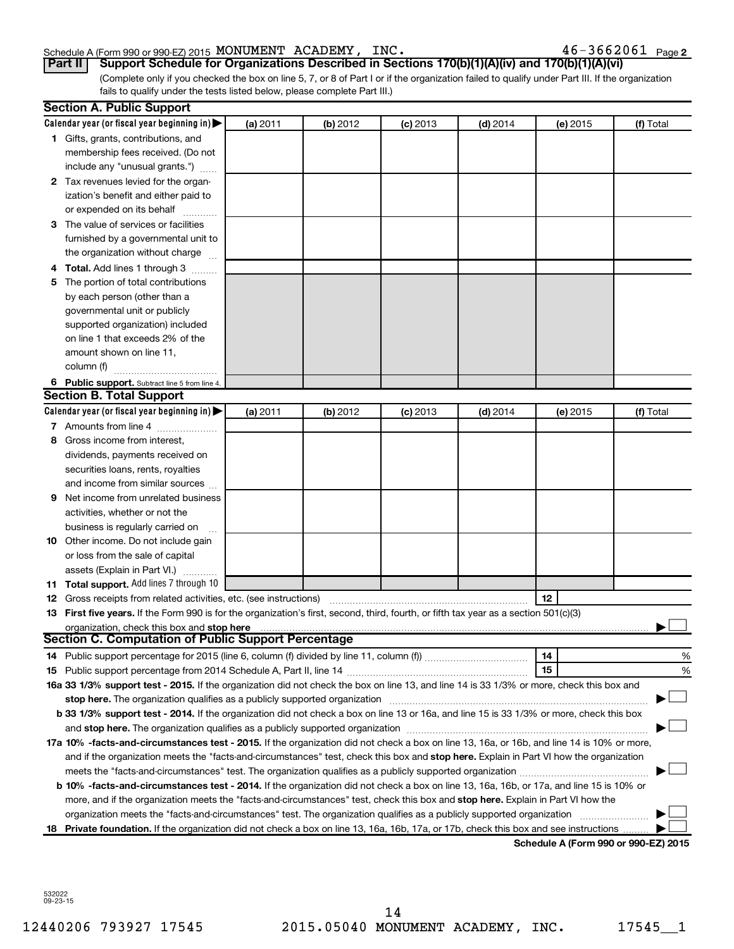#### Schedule A (Form 990 or 990-EZ) 2015 MONUMENT ACADEMY,INC。 4 b - 3 b b  $\Delta$ U b  $\perp$  Page MONUMENT ACADEMY, INC. 46-3662061

 $46 - 3662061$  Page 2

(Complete only if you checked the box on line 5, 7, or 8 of Part I or if the organization failed to qualify under Part III. If the organization **Part II Support Schedule for Organizations Described in Sections 170(b)(1)(A)(iv) and 170(b)(1)(A)(vi)**

fails to qualify under the tests listed below, please complete Part III.)

|     | <b>Section A. Public Support</b>                                                                                                                                                                                              |          |          |            |            |                                      |           |
|-----|-------------------------------------------------------------------------------------------------------------------------------------------------------------------------------------------------------------------------------|----------|----------|------------|------------|--------------------------------------|-----------|
|     | Calendar year (or fiscal year beginning in) $\blacktriangleright$                                                                                                                                                             | (a) 2011 | (b) 2012 | $(c)$ 2013 | $(d)$ 2014 | (e) 2015                             | (f) Total |
|     | 1 Gifts, grants, contributions, and                                                                                                                                                                                           |          |          |            |            |                                      |           |
|     | membership fees received. (Do not                                                                                                                                                                                             |          |          |            |            |                                      |           |
|     | include any "unusual grants.")                                                                                                                                                                                                |          |          |            |            |                                      |           |
|     | 2 Tax revenues levied for the organ-                                                                                                                                                                                          |          |          |            |            |                                      |           |
|     | ization's benefit and either paid to                                                                                                                                                                                          |          |          |            |            |                                      |           |
|     | or expended on its behalf                                                                                                                                                                                                     |          |          |            |            |                                      |           |
|     | 3 The value of services or facilities                                                                                                                                                                                         |          |          |            |            |                                      |           |
|     | furnished by a governmental unit to                                                                                                                                                                                           |          |          |            |            |                                      |           |
|     | the organization without charge                                                                                                                                                                                               |          |          |            |            |                                      |           |
|     | 4 Total. Add lines 1 through 3                                                                                                                                                                                                |          |          |            |            |                                      |           |
| 5   | The portion of total contributions                                                                                                                                                                                            |          |          |            |            |                                      |           |
|     | by each person (other than a                                                                                                                                                                                                  |          |          |            |            |                                      |           |
|     | governmental unit or publicly                                                                                                                                                                                                 |          |          |            |            |                                      |           |
|     | supported organization) included                                                                                                                                                                                              |          |          |            |            |                                      |           |
|     | on line 1 that exceeds 2% of the                                                                                                                                                                                              |          |          |            |            |                                      |           |
|     | amount shown on line 11,                                                                                                                                                                                                      |          |          |            |            |                                      |           |
|     | column (f)                                                                                                                                                                                                                    |          |          |            |            |                                      |           |
|     | 6 Public support. Subtract line 5 from line 4.                                                                                                                                                                                |          |          |            |            |                                      |           |
|     | <b>Section B. Total Support</b>                                                                                                                                                                                               |          |          |            |            |                                      |           |
|     | Calendar year (or fiscal year beginning in) $\blacktriangleright$                                                                                                                                                             | (a) 2011 | (b) 2012 | $(c)$ 2013 | $(d)$ 2014 | (e) 2015                             | (f) Total |
|     | 7 Amounts from line 4                                                                                                                                                                                                         |          |          |            |            |                                      |           |
| 8   | Gross income from interest,                                                                                                                                                                                                   |          |          |            |            |                                      |           |
|     | dividends, payments received on                                                                                                                                                                                               |          |          |            |            |                                      |           |
|     | securities loans, rents, royalties                                                                                                                                                                                            |          |          |            |            |                                      |           |
|     | and income from similar sources                                                                                                                                                                                               |          |          |            |            |                                      |           |
| 9   | Net income from unrelated business                                                                                                                                                                                            |          |          |            |            |                                      |           |
|     | activities, whether or not the                                                                                                                                                                                                |          |          |            |            |                                      |           |
|     | business is regularly carried on                                                                                                                                                                                              |          |          |            |            |                                      |           |
|     | 10 Other income. Do not include gain                                                                                                                                                                                          |          |          |            |            |                                      |           |
|     | or loss from the sale of capital                                                                                                                                                                                              |          |          |            |            |                                      |           |
|     | assets (Explain in Part VI.)                                                                                                                                                                                                  |          |          |            |            |                                      |           |
|     | 11 Total support. Add lines 7 through 10                                                                                                                                                                                      |          |          |            |            |                                      |           |
|     | <b>12</b> Gross receipts from related activities, etc. (see instructions)                                                                                                                                                     |          |          |            |            | 12                                   |           |
|     | 13 First five years. If the Form 990 is for the organization's first, second, third, fourth, or fifth tax year as a section 501(c)(3)                                                                                         |          |          |            |            |                                      |           |
|     |                                                                                                                                                                                                                               |          |          |            |            |                                      |           |
|     | Section C. Computation of Public Support Percentage                                                                                                                                                                           |          |          |            |            |                                      |           |
|     |                                                                                                                                                                                                                               |          |          |            |            | 14                                   | %         |
|     |                                                                                                                                                                                                                               |          |          |            |            | 15                                   | %         |
|     | 16a 33 1/3% support test - 2015. If the organization did not check the box on line 13, and line 14 is 33 1/3% or more, check this box and                                                                                     |          |          |            |            |                                      |           |
|     | stop here. The organization qualifies as a publicly supported organization manufaction manufacture or manufacture manufacture manufacture manufacture manufacture manufacture manufacture manufacture manufacture manufacture |          |          |            |            |                                      |           |
|     | b 33 1/3% support test - 2014. If the organization did not check a box on line 13 or 16a, and line 15 is 33 1/3% or more, check this box                                                                                      |          |          |            |            |                                      |           |
|     |                                                                                                                                                                                                                               |          |          |            |            |                                      |           |
|     | 17a 10% -facts-and-circumstances test - 2015. If the organization did not check a box on line 13, 16a, or 16b, and line 14 is 10% or more,                                                                                    |          |          |            |            |                                      |           |
|     | and if the organization meets the "facts-and-circumstances" test, check this box and stop here. Explain in Part VI how the organization                                                                                       |          |          |            |            |                                      |           |
|     |                                                                                                                                                                                                                               |          |          |            |            |                                      |           |
|     | <b>b 10%</b> -facts-and-circumstances test - 2014. If the organization did not check a box on line 13, 16a, 16b, or 17a, and line 15 is 10% or                                                                                |          |          |            |            |                                      |           |
|     | more, and if the organization meets the "facts-and-circumstances" test, check this box and stop here. Explain in Part VI how the                                                                                              |          |          |            |            |                                      |           |
|     | organization meets the "facts-and-circumstances" test. The organization qualifies as a publicly supported organization                                                                                                        |          |          |            |            |                                      |           |
| 18. | Private foundation. If the organization did not check a box on line 13, 16a, 16b, 17a, or 17b, check this box and see instructions                                                                                            |          |          |            |            |                                      |           |
|     |                                                                                                                                                                                                                               |          |          |            |            | Schedule A (Form 990 or 990-EZ) 2015 |           |

532022 09-23-15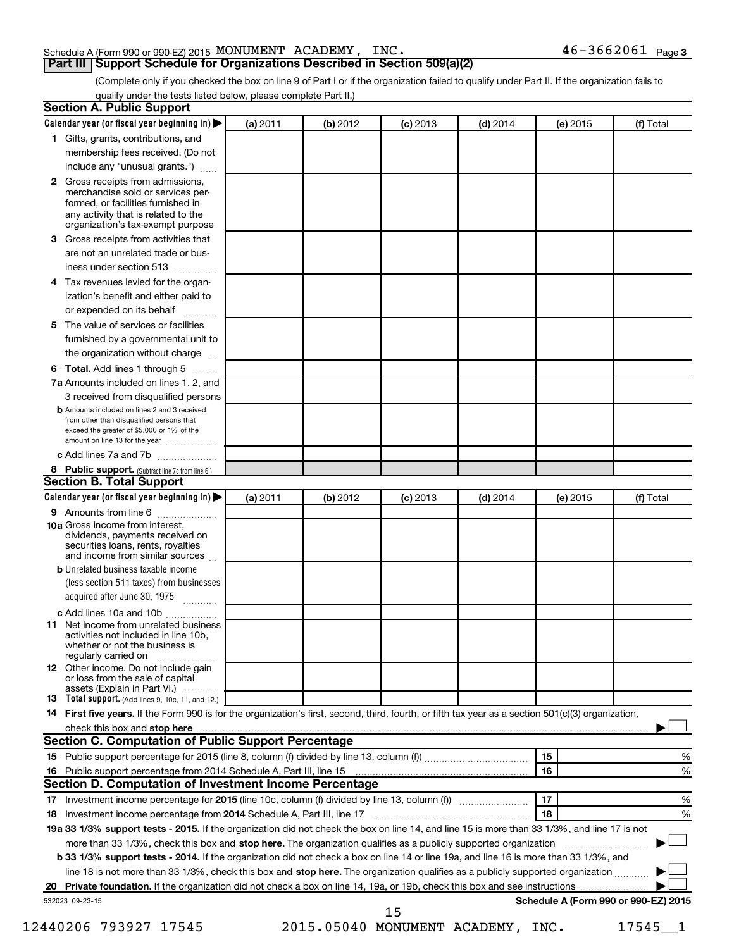# Schedule A (Form 990 or 990-EZ) 2015 MONUMENT ACADEMY, INC.  $46-3662061$  Page

# **Part III Support Schedule for Organizations Described in Section 509(a)(2)**

 $46 - 3662061$  Page 3

(Complete only if you checked the box on line 9 of Part I or if the organization failed to qualify under Part II. If the organization fails to qualify under the tests listed below, please complete Part II.)

| Calendar year (or fiscal year beginning in)                                                                                                                                                                                                                                                                                                                                                                                             | (a) 2011 | (b) 2012 | $(c)$ 2013 | $(d)$ 2014 | (e) 2015 | (f) Total                            |
|-----------------------------------------------------------------------------------------------------------------------------------------------------------------------------------------------------------------------------------------------------------------------------------------------------------------------------------------------------------------------------------------------------------------------------------------|----------|----------|------------|------------|----------|--------------------------------------|
| 1 Gifts, grants, contributions, and                                                                                                                                                                                                                                                                                                                                                                                                     |          |          |            |            |          |                                      |
| membership fees received. (Do not                                                                                                                                                                                                                                                                                                                                                                                                       |          |          |            |            |          |                                      |
| include any "unusual grants.")                                                                                                                                                                                                                                                                                                                                                                                                          |          |          |            |            |          |                                      |
| 2 Gross receipts from admissions,<br>merchandise sold or services per-<br>formed, or facilities furnished in<br>any activity that is related to the<br>organization's tax-exempt purpose                                                                                                                                                                                                                                                |          |          |            |            |          |                                      |
| Gross receipts from activities that<br>3.                                                                                                                                                                                                                                                                                                                                                                                               |          |          |            |            |          |                                      |
| are not an unrelated trade or bus-                                                                                                                                                                                                                                                                                                                                                                                                      |          |          |            |            |          |                                      |
| iness under section 513                                                                                                                                                                                                                                                                                                                                                                                                                 |          |          |            |            |          |                                      |
| Tax revenues levied for the organ-<br>4                                                                                                                                                                                                                                                                                                                                                                                                 |          |          |            |            |          |                                      |
| ization's benefit and either paid to<br>or expended on its behalf<br>.                                                                                                                                                                                                                                                                                                                                                                  |          |          |            |            |          |                                      |
| The value of services or facilities<br>5.                                                                                                                                                                                                                                                                                                                                                                                               |          |          |            |            |          |                                      |
| furnished by a governmental unit to<br>the organization without charge                                                                                                                                                                                                                                                                                                                                                                  |          |          |            |            |          |                                      |
|                                                                                                                                                                                                                                                                                                                                                                                                                                         |          |          |            |            |          |                                      |
| Total. Add lines 1 through 5<br>6                                                                                                                                                                                                                                                                                                                                                                                                       |          |          |            |            |          |                                      |
| 7a Amounts included on lines 1, 2, and                                                                                                                                                                                                                                                                                                                                                                                                  |          |          |            |            |          |                                      |
| 3 received from disqualified persons<br><b>b</b> Amounts included on lines 2 and 3 received                                                                                                                                                                                                                                                                                                                                             |          |          |            |            |          |                                      |
| from other than disqualified persons that<br>exceed the greater of \$5,000 or 1% of the<br>amount on line 13 for the year                                                                                                                                                                                                                                                                                                               |          |          |            |            |          |                                      |
| c Add lines 7a and 7b                                                                                                                                                                                                                                                                                                                                                                                                                   |          |          |            |            |          |                                      |
| 8 Public support. (Subtract line 7c from line 6.)                                                                                                                                                                                                                                                                                                                                                                                       |          |          |            |            |          |                                      |
| <b>Section B. Total Support</b>                                                                                                                                                                                                                                                                                                                                                                                                         |          |          |            |            |          |                                      |
| Calendar year (or fiscal year beginning in)                                                                                                                                                                                                                                                                                                                                                                                             | (a) 2011 | (b) 2012 | $(c)$ 2013 | $(d)$ 2014 | (e) 2015 | (f) Total                            |
| 9 Amounts from line 6                                                                                                                                                                                                                                                                                                                                                                                                                   |          |          |            |            |          |                                      |
| <b>10a</b> Gross income from interest,<br>dividends, payments received on<br>securities loans, rents, royalties<br>and income from similar sources                                                                                                                                                                                                                                                                                      |          |          |            |            |          |                                      |
| <b>b</b> Unrelated business taxable income                                                                                                                                                                                                                                                                                                                                                                                              |          |          |            |            |          |                                      |
| (less section 511 taxes) from businesses<br>acquired after June 30, 1975                                                                                                                                                                                                                                                                                                                                                                |          |          |            |            |          |                                      |
| c Add lines 10a and 10b                                                                                                                                                                                                                                                                                                                                                                                                                 |          |          |            |            |          |                                      |
| Net income from unrelated business<br>11<br>activities not included in line 10b.<br>whether or not the business is<br>regularly carried on                                                                                                                                                                                                                                                                                              |          |          |            |            |          |                                      |
| <b>12</b> Other income. Do not include gain<br>or loss from the sale of capital<br>assets (Explain in Part VI.)                                                                                                                                                                                                                                                                                                                         |          |          |            |            |          |                                      |
| <b>13</b> Total support. (Add lines 9, 10c, 11, and 12.)                                                                                                                                                                                                                                                                                                                                                                                |          |          |            |            |          |                                      |
|                                                                                                                                                                                                                                                                                                                                                                                                                                         |          |          |            |            |          |                                      |
|                                                                                                                                                                                                                                                                                                                                                                                                                                         |          |          |            |            |          |                                      |
|                                                                                                                                                                                                                                                                                                                                                                                                                                         |          |          |            |            |          |                                      |
|                                                                                                                                                                                                                                                                                                                                                                                                                                         |          |          |            |            |          |                                      |
|                                                                                                                                                                                                                                                                                                                                                                                                                                         |          |          |            |            | 15       |                                      |
|                                                                                                                                                                                                                                                                                                                                                                                                                                         |          |          |            |            | 16       |                                      |
|                                                                                                                                                                                                                                                                                                                                                                                                                                         |          |          |            |            |          |                                      |
|                                                                                                                                                                                                                                                                                                                                                                                                                                         |          |          |            |            |          |                                      |
|                                                                                                                                                                                                                                                                                                                                                                                                                                         |          |          |            |            | 17<br>18 |                                      |
|                                                                                                                                                                                                                                                                                                                                                                                                                                         |          |          |            |            |          |                                      |
|                                                                                                                                                                                                                                                                                                                                                                                                                                         |          |          |            |            |          |                                      |
| more than 33 1/3%, check this box and stop here. The organization qualifies as a publicly supported organization <i>marroummanness</i><br>b 33 1/3% support tests - 2014. If the organization did not check a box on line 14 or line 19a, and line 16 is more than 33 1/3%, and                                                                                                                                                         |          |          |            |            |          | %<br>%<br>%<br>%                     |
| line 18 is not more than 33 1/3%, check this box and stop here. The organization qualifies as a publicly supported organization                                                                                                                                                                                                                                                                                                         |          |          |            |            |          |                                      |
|                                                                                                                                                                                                                                                                                                                                                                                                                                         |          |          |            |            |          |                                      |
| 14 First five years. If the Form 990 is for the organization's first, second, third, fourth, or fifth tax year as a section 501(c)(3) organization,<br>Section C. Computation of Public Support Percentage<br>Section D. Computation of Investment Income Percentage<br>19a 33 1/3% support tests - 2015. If the organization did not check the box on line 14, and line 15 is more than 33 1/3%, and line 17 is not<br>532023 09-23-15 |          |          | 15         |            |          | Schedule A (Form 990 or 990-EZ) 2015 |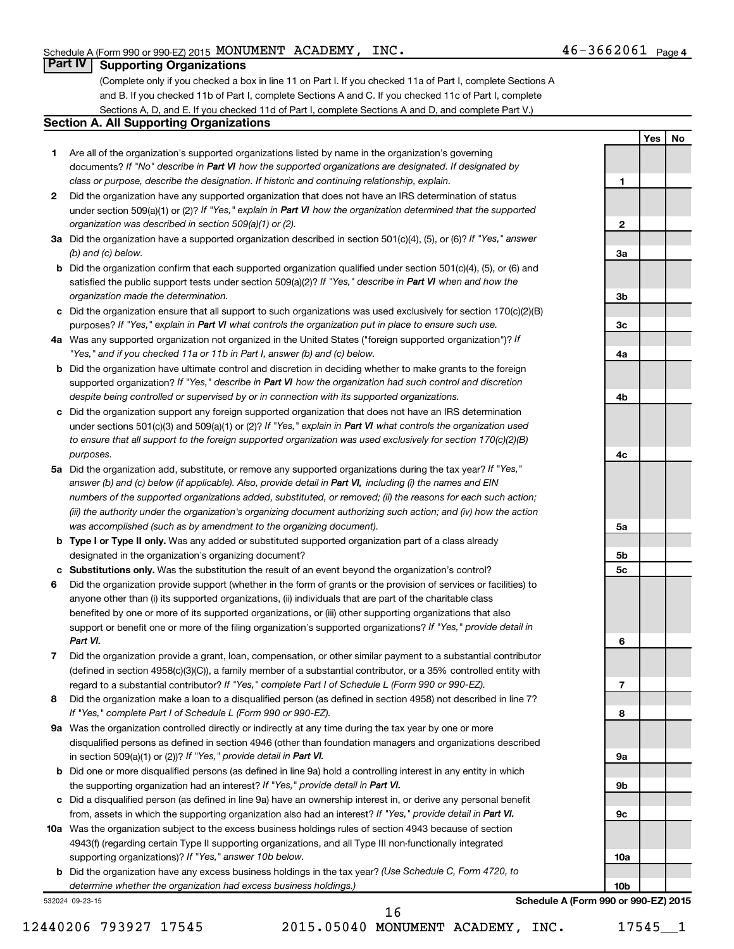**1**

**2**

**3a**

**3b**

**3c**

**4a**

**4b**

**4c**

**5a**

**5b 5c**

**6**

**Yes No**

# **Part IV Supporting Organizations**

(Complete only if you checked a box in line 11 on Part I. If you checked 11a of Part I, complete Sections A and B. If you checked 11b of Part I, complete Sections A and C. If you checked 11c of Part I, complete Sections A, D, and E. If you checked 11d of Part I, complete Sections A and D, and complete Part V.)

## **Section A. All Supporting Organizations**

- **1** Are all of the organization's supported organizations listed by name in the organization's governing documents? If "No" describe in Part VI how the supported organizations are designated. If designated by *class or purpose, describe the designation. If historic and continuing relationship, explain.*
- **2** Did the organization have any supported organization that does not have an IRS determination of status under section 509(a)(1) or (2)? If "Yes," explain in Part VI how the organization determined that the supported *organization was described in section 509(a)(1) or (2).*
- **3a** Did the organization have a supported organization described in section 501(c)(4), (5), or (6)? If "Yes," answer *(b) and (c) below.*
- **b** Did the organization confirm that each supported organization qualified under section 501(c)(4), (5), or (6) and satisfied the public support tests under section 509(a)(2)? If "Yes," describe in Part VI when and how the *organization made the determination.*
- **c** Did the organization ensure that all support to such organizations was used exclusively for section 170(c)(2)(B) purposes? If "Yes," explain in Part VI what controls the organization put in place to ensure such use.
- **4 a** *If* Was any supported organization not organized in the United States ("foreign supported organization")? *"Yes," and if you checked 11a or 11b in Part I, answer (b) and (c) below.*
- **b** Did the organization have ultimate control and discretion in deciding whether to make grants to the foreign supported organization? If "Yes," describe in Part VI how the organization had such control and discretion *despite being controlled or supervised by or in connection with its supported organizations.*
- **c** Did the organization support any foreign supported organization that does not have an IRS determination under sections 501(c)(3) and 509(a)(1) or (2)? If "Yes," explain in Part VI what controls the organization used *to ensure that all support to the foreign supported organization was used exclusively for section 170(c)(2)(B) purposes.*
- **5a** Did the organization add, substitute, or remove any supported organizations during the tax year? If "Yes," answer (b) and (c) below (if applicable). Also, provide detail in Part VI, including (i) the names and EIN *numbers of the supported organizations added, substituted, or removed; (ii) the reasons for each such action; (iii) the authority under the organization's organizing document authorizing such action; and (iv) how the action was accomplished (such as by amendment to the organizing document).*
- **b** Type I or Type II only. Was any added or substituted supported organization part of a class already designated in the organization's organizing document?
- **c Substitutions only.**  Was the substitution the result of an event beyond the organization's control?
- **6** Did the organization provide support (whether in the form of grants or the provision of services or facilities) to support or benefit one or more of the filing organization's supported organizations? If "Yes," provide detail in anyone other than (i) its supported organizations, (ii) individuals that are part of the charitable class benefited by one or more of its supported organizations, or (iii) other supporting organizations that also *Part VI.*
- **7** Did the organization provide a grant, loan, compensation, or other similar payment to a substantial contributor regard to a substantial contributor? If "Yes," complete Part I of Schedule L (Form 990 or 990-EZ). (defined in section 4958(c)(3)(C)), a family member of a substantial contributor, or a 35% controlled entity with
- **8** Did the organization make a loan to a disqualified person (as defined in section 4958) not described in line 7? *If "Yes," complete Part I of Schedule L (Form 990 or 990-EZ).*
- **9 a** Was the organization controlled directly or indirectly at any time during the tax year by one or more in section 509(a)(1) or (2))? If "Yes," provide detail in Part VI. disqualified persons as defined in section 4946 (other than foundation managers and organizations described
- **b** Did one or more disqualified persons (as defined in line 9a) hold a controlling interest in any entity in which the supporting organization had an interest? If "Yes," provide detail in Part VI.
- **c** Did a disqualified person (as defined in line 9a) have an ownership interest in, or derive any personal benefit from, assets in which the supporting organization also had an interest? If "Yes," provide detail in Part VI.
- **10 a** Was the organization subject to the excess business holdings rules of section 4943 because of section supporting organizations)? If "Yes," answer 10b below. 4943(f) (regarding certain Type II supporting organizations, and all Type III non-functionally integrated
	- **b** Did the organization have any excess business holdings in the tax year? (Use Schedule C, Form 4720, to *determine whether the organization had excess business holdings.)*

532024 09-23-15

**7 8 9a 9b 9c 10a 10b Schedule A (Form 990 or 990-EZ) 2015**

12440206 793927 17545 2015.05040 MONUMENT ACADEMY, INC. 17545 1 16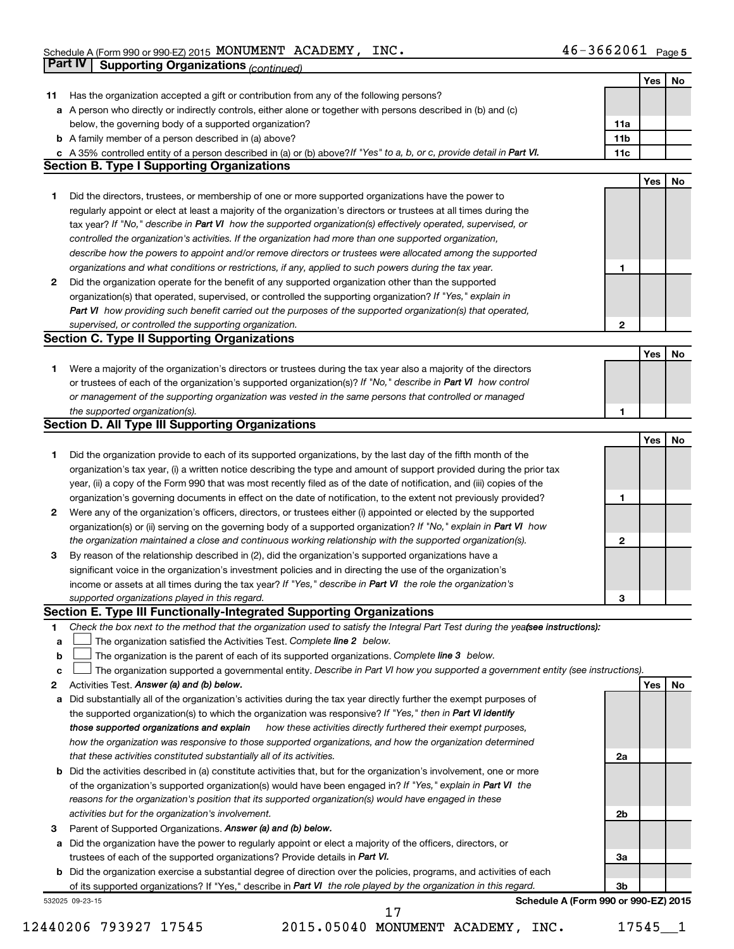|             | Part IV<br><b>Supporting Organizations (continued)</b>                                                                          |                 |     |    |
|-------------|---------------------------------------------------------------------------------------------------------------------------------|-----------------|-----|----|
|             |                                                                                                                                 |                 | Yes | No |
| 11          | Has the organization accepted a gift or contribution from any of the following persons?                                         |                 |     |    |
|             | a A person who directly or indirectly controls, either alone or together with persons described in (b) and (c)                  |                 |     |    |
|             | below, the governing body of a supported organization?                                                                          | 11a             |     |    |
|             | <b>b</b> A family member of a person described in (a) above?                                                                    | 11 <sub>b</sub> |     |    |
|             | c A 35% controlled entity of a person described in (a) or (b) above? If "Yes" to a, b, or c, provide detail in Part VI.         | 11c             |     |    |
|             | <b>Section B. Type I Supporting Organizations</b>                                                                               |                 |     |    |
|             |                                                                                                                                 |                 | Yes | No |
|             |                                                                                                                                 |                 |     |    |
| 1           | Did the directors, trustees, or membership of one or more supported organizations have the power to                             |                 |     |    |
|             | regularly appoint or elect at least a majority of the organization's directors or trustees at all times during the              |                 |     |    |
|             | tax year? If "No," describe in Part VI how the supported organization(s) effectively operated, supervised, or                   |                 |     |    |
|             | controlled the organization's activities. If the organization had more than one supported organization,                         |                 |     |    |
|             | describe how the powers to appoint and/or remove directors or trustees were allocated among the supported                       |                 |     |    |
|             | organizations and what conditions or restrictions, if any, applied to such powers during the tax year.                          | 1               |     |    |
| 2           | Did the organization operate for the benefit of any supported organization other than the supported                             |                 |     |    |
|             | organization(s) that operated, supervised, or controlled the supporting organization? If "Yes," explain in                      |                 |     |    |
|             | Part VI how providing such benefit carried out the purposes of the supported organization(s) that operated,                     |                 |     |    |
|             | supervised, or controlled the supporting organization.                                                                          | $\mathbf{2}$    |     |    |
|             | <b>Section C. Type II Supporting Organizations</b>                                                                              |                 |     |    |
|             |                                                                                                                                 |                 | Yes | No |
| 1           | Were a majority of the organization's directors or trustees during the tax year also a majority of the directors                |                 |     |    |
|             | or trustees of each of the organization's supported organization(s)? If "No," describe in Part VI how control                   |                 |     |    |
|             | or management of the supporting organization was vested in the same persons that controlled or managed                          |                 |     |    |
|             | the supported organization(s).                                                                                                  | 1               |     |    |
|             | <b>Section D. All Type III Supporting Organizations</b>                                                                         |                 |     |    |
|             |                                                                                                                                 |                 | Yes | No |
|             |                                                                                                                                 |                 |     |    |
| 1           | Did the organization provide to each of its supported organizations, by the last day of the fifth month of the                  |                 |     |    |
|             | organization's tax year, (i) a written notice describing the type and amount of support provided during the prior tax           |                 |     |    |
|             | year, (ii) a copy of the Form 990 that was most recently filed as of the date of notification, and (iii) copies of the          |                 |     |    |
|             | organization's governing documents in effect on the date of notification, to the extent not previously provided?                | 1               |     |    |
| 2           | Were any of the organization's officers, directors, or trustees either (i) appointed or elected by the supported                |                 |     |    |
|             | organization(s) or (ii) serving on the governing body of a supported organization? If "No," explain in Part VI how              |                 |     |    |
|             | the organization maintained a close and continuous working relationship with the supported organization(s).                     | 2               |     |    |
| 3           | By reason of the relationship described in (2), did the organization's supported organizations have a                           |                 |     |    |
|             | significant voice in the organization's investment policies and in directing the use of the organization's                      |                 |     |    |
|             | income or assets at all times during the tax year? If "Yes," describe in Part VI the role the organization's                    |                 |     |    |
|             | supported organizations played in this regard.                                                                                  | з               |     |    |
|             | Section E. Type III Functionally-Integrated Supporting Organizations                                                            |                 |     |    |
| 1           | Check the box next to the method that the organization used to satisfy the Integral Part Test during the yealsee instructions): |                 |     |    |
| a           | The organization satisfied the Activities Test. Complete line 2 below.                                                          |                 |     |    |
| $\mathbf b$ | The organization is the parent of each of its supported organizations. Complete line 3 below.                                   |                 |     |    |
| c           | The organization supported a governmental entity. Describe in Part VI how you supported a government entity (see instructions). |                 |     |    |
| 2           | Activities Test. Answer (a) and (b) below.                                                                                      |                 | Yes | No |
| а           | Did substantially all of the organization's activities during the tax year directly further the exempt purposes of              |                 |     |    |
|             | the supported organization(s) to which the organization was responsive? If "Yes," then in Part VI identify                      |                 |     |    |
|             | how these activities directly furthered their exempt purposes,<br>those supported organizations and explain                     |                 |     |    |
|             | how the organization was responsive to those supported organizations, and how the organization determined                       |                 |     |    |
|             |                                                                                                                                 |                 |     |    |
|             | that these activities constituted substantially all of its activities.                                                          | 2a              |     |    |
|             | <b>b</b> Did the activities described in (a) constitute activities that, but for the organization's involvement, one or more    |                 |     |    |
|             | of the organization's supported organization(s) would have been engaged in? If "Yes," explain in Part VI the                    |                 |     |    |
|             | reasons for the organization's position that its supported organization(s) would have engaged in these                          |                 |     |    |
|             | activities but for the organization's involvement.                                                                              | 2b              |     |    |
| З           | Parent of Supported Organizations. Answer (a) and (b) below.                                                                    |                 |     |    |
| а           | Did the organization have the power to regularly appoint or elect a majority of the officers, directors, or                     |                 |     |    |
|             | trustees of each of the supported organizations? Provide details in Part VI.                                                    | За              |     |    |
|             | <b>b</b> Did the organization exercise a substantial degree of direction over the policies, programs, and activities of each    |                 |     |    |
|             | of its supported organizations? If "Yes," describe in Part VI the role played by the organization in this regard.               | Зb              |     |    |
|             | Schedule A (Form 990 or 990-EZ) 2015<br>532025 09-23-15                                                                         |                 |     |    |

12440206 793927 17545 2015.05040 MONUMENT ACADEMY, INC. 17545\_\_1 17

**Schedule A (Form 990 or 990-EZ) 2015**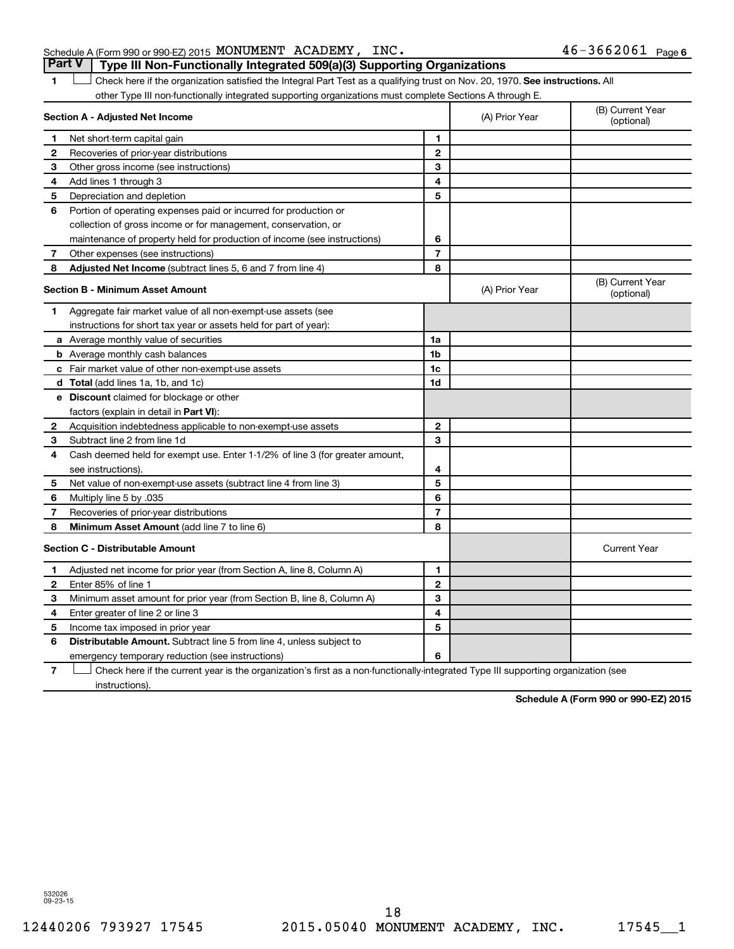# Schedule A (Form 990 or 990-EZ) 2015 MONUMENT ACADEMY, INC.  $46-3662061$  Page **Part V Type III Non-Functionally Integrated 509(a)(3) Supporting Organizations**

1 **Letter on Reck here if the organization satisfied the Integral Part Test as a qualifying trust on Nov. 20, 1970. See instructions. All** other Type III non-functionally integrated supporting organizations must complete Sections A through E.

|              | Section A - Adjusted Net Income                                              | (A) Prior Year | (B) Current Year<br>(optional) |                                |
|--------------|------------------------------------------------------------------------------|----------------|--------------------------------|--------------------------------|
| 1            | Net short-term capital gain                                                  | 1              |                                |                                |
| 2            | Recoveries of prior-year distributions                                       | $\mathbf{2}$   |                                |                                |
| 3            | Other gross income (see instructions)                                        | 3              |                                |                                |
| 4            | Add lines 1 through 3                                                        | 4              |                                |                                |
| 5            | Depreciation and depletion                                                   | 5              |                                |                                |
| 6            | Portion of operating expenses paid or incurred for production or             |                |                                |                                |
|              | collection of gross income or for management, conservation, or               |                |                                |                                |
|              | maintenance of property held for production of income (see instructions)     | 6              |                                |                                |
| 7            | Other expenses (see instructions)                                            | $\overline{7}$ |                                |                                |
| 8            | Adjusted Net Income (subtract lines 5, 6 and 7 from line 4)                  | 8              |                                |                                |
|              | <b>Section B - Minimum Asset Amount</b>                                      |                | (A) Prior Year                 | (B) Current Year<br>(optional) |
| 1            | Aggregate fair market value of all non-exempt-use assets (see                |                |                                |                                |
|              | instructions for short tax year or assets held for part of year):            |                |                                |                                |
|              | a Average monthly value of securities                                        | 1a             |                                |                                |
|              | <b>b</b> Average monthly cash balances                                       | 1b             |                                |                                |
|              | <b>c</b> Fair market value of other non-exempt-use assets                    | 1c             |                                |                                |
|              | d Total (add lines 1a, 1b, and 1c)                                           | 1d             |                                |                                |
|              | e Discount claimed for blockage or other                                     |                |                                |                                |
|              | factors (explain in detail in <b>Part VI</b> ):                              |                |                                |                                |
| 2            | Acquisition indebtedness applicable to non-exempt-use assets                 | $\mathbf{2}$   |                                |                                |
| 3            | Subtract line 2 from line 1d                                                 | 3              |                                |                                |
| 4            | Cash deemed held for exempt use. Enter 1-1/2% of line 3 (for greater amount, |                |                                |                                |
|              | see instructions).                                                           | 4              |                                |                                |
| 5            | Net value of non-exempt-use assets (subtract line 4 from line 3)             | 5              |                                |                                |
| 6            | 035. Multiply line 5 by                                                      | 6              |                                |                                |
| 7            | Recoveries of prior-year distributions                                       | $\overline{7}$ |                                |                                |
| 8            | Minimum Asset Amount (add line 7 to line 6)                                  | 8              |                                |                                |
|              | <b>Section C - Distributable Amount</b>                                      |                |                                | <b>Current Year</b>            |
| 1            | Adjusted net income for prior year (from Section A, line 8, Column A)        | 1              |                                |                                |
| $\mathbf{2}$ | Enter 85% of line 1                                                          | $\mathbf{2}$   |                                |                                |
| З            | Minimum asset amount for prior year (from Section B, line 8, Column A)       | 3              |                                |                                |
| 4            | Enter greater of line 2 or line 3                                            | 4              |                                |                                |
| 5            | Income tax imposed in prior year                                             | 5              |                                |                                |
| 6            | <b>Distributable Amount.</b> Subtract line 5 from line 4, unless subject to  |                |                                |                                |
|              | emergency temporary reduction (see instructions)                             | 6              |                                |                                |
| -            | $\mathbf{r}$ , $\mathbf{r}$ , $\mathbf{r}$ , $\mathbf{r}$ , $\mathbf{r}$     |                |                                |                                |

**7** Check here if the current year is the organization's first as a non-functionally-integrated Type III supporting organization (see † instructions).

**Schedule A (Form 990 or 990-EZ) 2015**

532026 09-23-15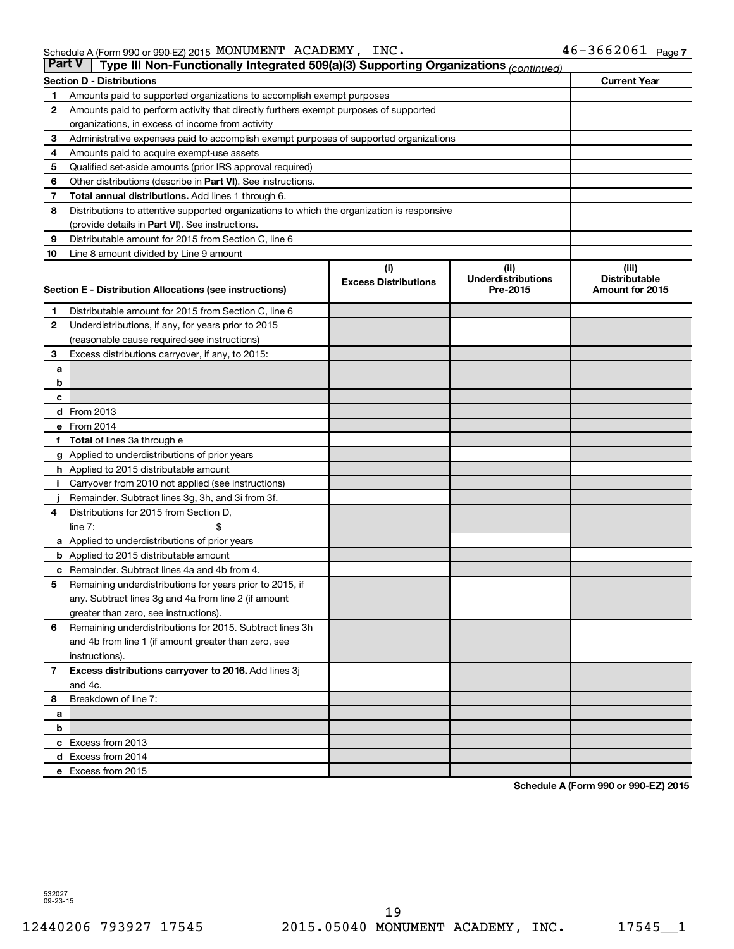| ∣ Part V∣    | Type III Non-Functionally Integrated 509(a)(3) Supporting Organizations (continued)        |                             |                                       |                                         |  |  |  |  |  |  |
|--------------|--------------------------------------------------------------------------------------------|-----------------------------|---------------------------------------|-----------------------------------------|--|--|--|--|--|--|
|              | Section D - Distributions                                                                  |                             |                                       | <b>Current Year</b>                     |  |  |  |  |  |  |
| 1            | Amounts paid to supported organizations to accomplish exempt purposes                      |                             |                                       |                                         |  |  |  |  |  |  |
| $\mathbf{2}$ | Amounts paid to perform activity that directly furthers exempt purposes of supported       |                             |                                       |                                         |  |  |  |  |  |  |
|              | organizations, in excess of income from activity                                           |                             |                                       |                                         |  |  |  |  |  |  |
| 3            | Administrative expenses paid to accomplish exempt purposes of supported organizations      |                             |                                       |                                         |  |  |  |  |  |  |
| 4            | Amounts paid to acquire exempt-use assets                                                  |                             |                                       |                                         |  |  |  |  |  |  |
| 5            | Qualified set-aside amounts (prior IRS approval required)                                  |                             |                                       |                                         |  |  |  |  |  |  |
| 6            | Other distributions (describe in <b>Part VI</b> ). See instructions.                       |                             |                                       |                                         |  |  |  |  |  |  |
| 7            | <b>Total annual distributions.</b> Add lines 1 through 6.                                  |                             |                                       |                                         |  |  |  |  |  |  |
| 8            | Distributions to attentive supported organizations to which the organization is responsive |                             |                                       |                                         |  |  |  |  |  |  |
|              | (provide details in Part VI). See instructions.                                            |                             |                                       |                                         |  |  |  |  |  |  |
| 9            | Distributable amount for 2015 from Section C, line 6                                       |                             |                                       |                                         |  |  |  |  |  |  |
| 10           | Line 8 amount divided by Line 9 amount                                                     |                             |                                       |                                         |  |  |  |  |  |  |
|              |                                                                                            | (i)                         | (ii)                                  | (iii)                                   |  |  |  |  |  |  |
|              | Section E - Distribution Allocations (see instructions)                                    | <b>Excess Distributions</b> | <b>Underdistributions</b><br>Pre-2015 | <b>Distributable</b><br>Amount for 2015 |  |  |  |  |  |  |
|              |                                                                                            |                             |                                       |                                         |  |  |  |  |  |  |
| 1            | Distributable amount for 2015 from Section C, line 6                                       |                             |                                       |                                         |  |  |  |  |  |  |
| $\mathbf{2}$ | Underdistributions, if any, for years prior to 2015                                        |                             |                                       |                                         |  |  |  |  |  |  |
|              | (reasonable cause required-see instructions)                                               |                             |                                       |                                         |  |  |  |  |  |  |
| 3            | Excess distributions carryover, if any, to 2015:                                           |                             |                                       |                                         |  |  |  |  |  |  |
| a            |                                                                                            |                             |                                       |                                         |  |  |  |  |  |  |
| b            |                                                                                            |                             |                                       |                                         |  |  |  |  |  |  |
| c            |                                                                                            |                             |                                       |                                         |  |  |  |  |  |  |
|              | <b>d</b> From 2013                                                                         |                             |                                       |                                         |  |  |  |  |  |  |
|              | e From 2014                                                                                |                             |                                       |                                         |  |  |  |  |  |  |
| f            | <b>Total</b> of lines 3a through e                                                         |                             |                                       |                                         |  |  |  |  |  |  |
|              | <b>g</b> Applied to underdistributions of prior years                                      |                             |                                       |                                         |  |  |  |  |  |  |
|              | h Applied to 2015 distributable amount                                                     |                             |                                       |                                         |  |  |  |  |  |  |
|              | Carryover from 2010 not applied (see instructions)                                         |                             |                                       |                                         |  |  |  |  |  |  |
|              | Remainder. Subtract lines 3g, 3h, and 3i from 3f.                                          |                             |                                       |                                         |  |  |  |  |  |  |
| 4            | Distributions for 2015 from Section D,                                                     |                             |                                       |                                         |  |  |  |  |  |  |
|              | line $7:$                                                                                  |                             |                                       |                                         |  |  |  |  |  |  |
|              | a Applied to underdistributions of prior years                                             |                             |                                       |                                         |  |  |  |  |  |  |
|              | <b>b</b> Applied to 2015 distributable amount                                              |                             |                                       |                                         |  |  |  |  |  |  |
| с            | Remainder. Subtract lines 4a and 4b from 4.                                                |                             |                                       |                                         |  |  |  |  |  |  |
| 5            | Remaining underdistributions for years prior to 2015, if                                   |                             |                                       |                                         |  |  |  |  |  |  |
|              | any. Subtract lines 3g and 4a from line 2 (if amount                                       |                             |                                       |                                         |  |  |  |  |  |  |
|              | greater than zero, see instructions).                                                      |                             |                                       |                                         |  |  |  |  |  |  |
| 6            | Remaining underdistributions for 2015. Subtract lines 3h                                   |                             |                                       |                                         |  |  |  |  |  |  |
|              | and 4b from line 1 (if amount greater than zero, see                                       |                             |                                       |                                         |  |  |  |  |  |  |
|              | instructions).                                                                             |                             |                                       |                                         |  |  |  |  |  |  |
| $\mathbf{7}$ | Excess distributions carryover to 2016. Add lines 3j                                       |                             |                                       |                                         |  |  |  |  |  |  |
|              | and 4c.                                                                                    |                             |                                       |                                         |  |  |  |  |  |  |
| 8            | Breakdown of line 7:                                                                       |                             |                                       |                                         |  |  |  |  |  |  |
| a            |                                                                                            |                             |                                       |                                         |  |  |  |  |  |  |
| b            |                                                                                            |                             |                                       |                                         |  |  |  |  |  |  |
|              | c Excess from 2013                                                                         |                             |                                       |                                         |  |  |  |  |  |  |
|              | d Excess from 2014                                                                         |                             |                                       |                                         |  |  |  |  |  |  |
|              | e Excess from 2015                                                                         |                             |                                       |                                         |  |  |  |  |  |  |

**Schedule A (Form 990 or 990-EZ) 2015**

532027 09-23-15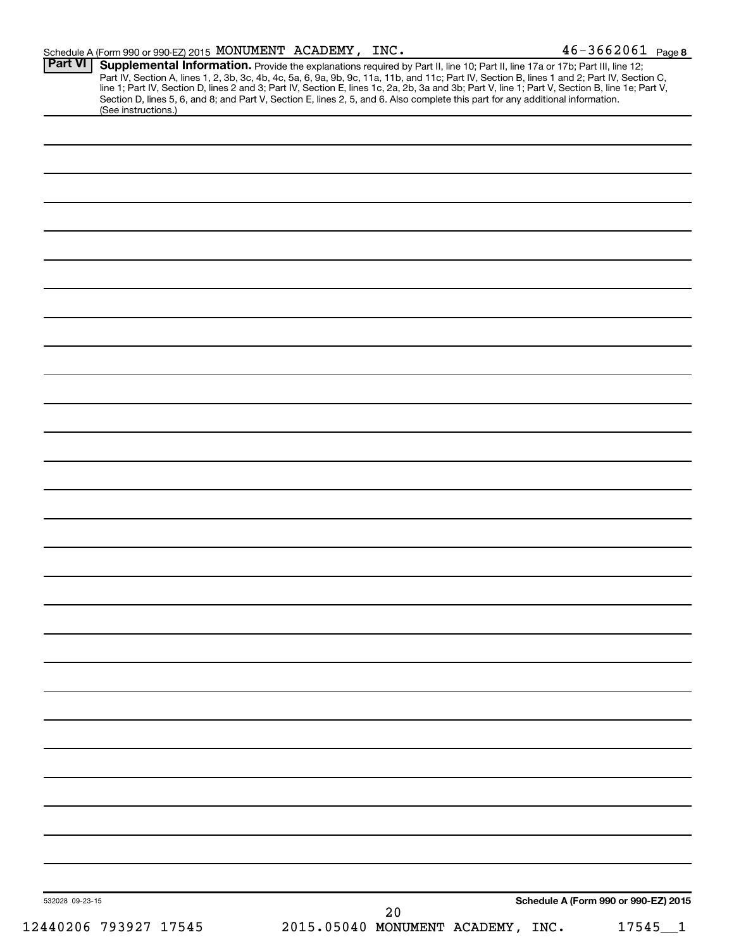| Schedule A (Form 990 or 990-EZ) 2015 MONUMENT ACADEMY, INC. |                                                                                                                                                                                                                                                                                                                                                                                                                                                                                                                                                                     | $46 - 3662061$ Page 8                |
|-------------------------------------------------------------|---------------------------------------------------------------------------------------------------------------------------------------------------------------------------------------------------------------------------------------------------------------------------------------------------------------------------------------------------------------------------------------------------------------------------------------------------------------------------------------------------------------------------------------------------------------------|--------------------------------------|
| Part VI<br>(See instructions.)                              | Supplemental Information. Provide the explanations required by Part II, line 10; Part II, line 17a or 17b; Part III, line 12;<br>Part IV, Section A, lines 1, 2, 3b, 3c, 4b, 4c, 5a, 6, 9a, 9b, 9c, 11a, 11b, and 11c; Part IV, Section B, lines 1 and 2; Part IV, Section C,<br>line 1; Part IV, Section D, lines 2 and 3; Part IV, Section E, lines 1c, 2a, 2b, 3a and 3b; Part V, line 1; Part V, Section B, line 1e; Part V,<br>Section D, lines 5, 6, and 8; and Part V, Section E, lines 2, 5, and 6. Also complete this part for any additional information. |                                      |
|                                                             |                                                                                                                                                                                                                                                                                                                                                                                                                                                                                                                                                                     |                                      |
|                                                             |                                                                                                                                                                                                                                                                                                                                                                                                                                                                                                                                                                     |                                      |
|                                                             |                                                                                                                                                                                                                                                                                                                                                                                                                                                                                                                                                                     |                                      |
|                                                             |                                                                                                                                                                                                                                                                                                                                                                                                                                                                                                                                                                     |                                      |
|                                                             |                                                                                                                                                                                                                                                                                                                                                                                                                                                                                                                                                                     |                                      |
|                                                             |                                                                                                                                                                                                                                                                                                                                                                                                                                                                                                                                                                     |                                      |
|                                                             |                                                                                                                                                                                                                                                                                                                                                                                                                                                                                                                                                                     |                                      |
|                                                             |                                                                                                                                                                                                                                                                                                                                                                                                                                                                                                                                                                     |                                      |
|                                                             |                                                                                                                                                                                                                                                                                                                                                                                                                                                                                                                                                                     |                                      |
|                                                             |                                                                                                                                                                                                                                                                                                                                                                                                                                                                                                                                                                     |                                      |
|                                                             |                                                                                                                                                                                                                                                                                                                                                                                                                                                                                                                                                                     |                                      |
|                                                             |                                                                                                                                                                                                                                                                                                                                                                                                                                                                                                                                                                     |                                      |
|                                                             |                                                                                                                                                                                                                                                                                                                                                                                                                                                                                                                                                                     |                                      |
|                                                             |                                                                                                                                                                                                                                                                                                                                                                                                                                                                                                                                                                     |                                      |
|                                                             |                                                                                                                                                                                                                                                                                                                                                                                                                                                                                                                                                                     |                                      |
|                                                             |                                                                                                                                                                                                                                                                                                                                                                                                                                                                                                                                                                     |                                      |
|                                                             |                                                                                                                                                                                                                                                                                                                                                                                                                                                                                                                                                                     |                                      |
|                                                             |                                                                                                                                                                                                                                                                                                                                                                                                                                                                                                                                                                     |                                      |
|                                                             |                                                                                                                                                                                                                                                                                                                                                                                                                                                                                                                                                                     |                                      |
|                                                             |                                                                                                                                                                                                                                                                                                                                                                                                                                                                                                                                                                     |                                      |
|                                                             |                                                                                                                                                                                                                                                                                                                                                                                                                                                                                                                                                                     |                                      |
|                                                             |                                                                                                                                                                                                                                                                                                                                                                                                                                                                                                                                                                     |                                      |
|                                                             |                                                                                                                                                                                                                                                                                                                                                                                                                                                                                                                                                                     |                                      |
|                                                             |                                                                                                                                                                                                                                                                                                                                                                                                                                                                                                                                                                     |                                      |
|                                                             |                                                                                                                                                                                                                                                                                                                                                                                                                                                                                                                                                                     |                                      |
|                                                             |                                                                                                                                                                                                                                                                                                                                                                                                                                                                                                                                                                     |                                      |
|                                                             |                                                                                                                                                                                                                                                                                                                                                                                                                                                                                                                                                                     |                                      |
|                                                             |                                                                                                                                                                                                                                                                                                                                                                                                                                                                                                                                                                     |                                      |
|                                                             |                                                                                                                                                                                                                                                                                                                                                                                                                                                                                                                                                                     |                                      |
|                                                             |                                                                                                                                                                                                                                                                                                                                                                                                                                                                                                                                                                     |                                      |
|                                                             |                                                                                                                                                                                                                                                                                                                                                                                                                                                                                                                                                                     |                                      |
|                                                             |                                                                                                                                                                                                                                                                                                                                                                                                                                                                                                                                                                     |                                      |
| 532028 09-23-15                                             | 20                                                                                                                                                                                                                                                                                                                                                                                                                                                                                                                                                                  | Schedule A (Form 990 or 990-EZ) 2015 |
| 12440206 793927 17545                                       | 2015.05040 MONUMENT ACADEMY, INC.                                                                                                                                                                                                                                                                                                                                                                                                                                                                                                                                   | 17545<br>$\mathbf{1}$                |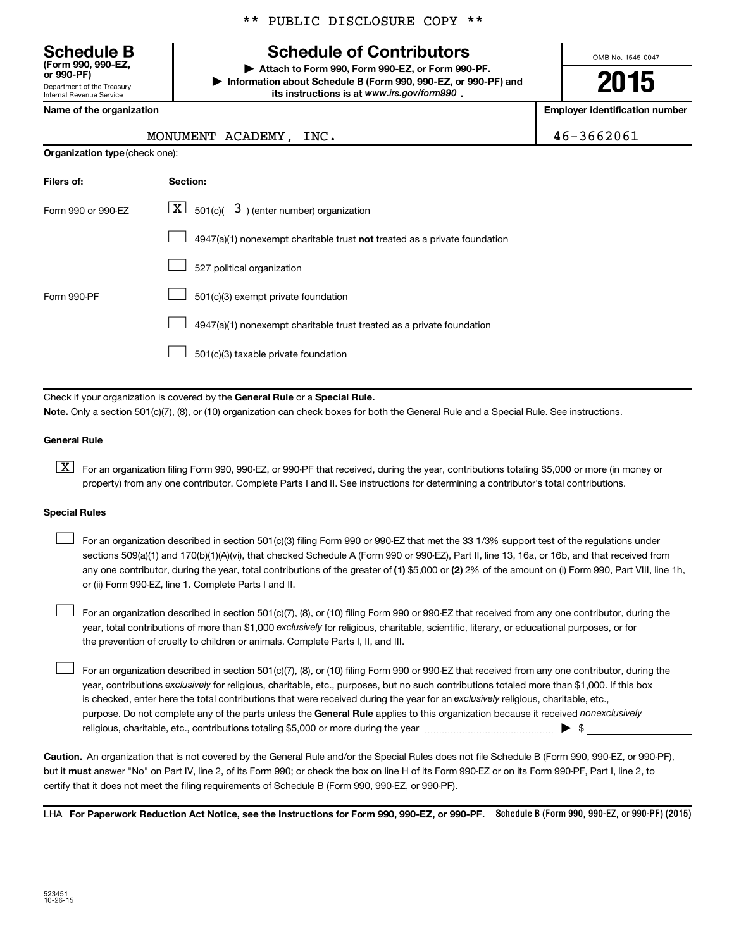\*\* PUBLIC DISCLOSURE COPY \*\*

# **Schedule of Contributors**

**or 990-PF) | Attach to Form 990, Form 990-EZ, or Form 990-PF. | Information about Schedule B (Form 990, 990-EZ, or 990-PF) and** its instructions is at www.irs.gov/form990.

OMB No. 1545-0047

**2015**

**Name of the organization Employer identification number**

**Organization type** (check one):

# MONUMENT ACADEMY, INC.  $46-3662061$

| Filers of:         | Section:                                                                    |
|--------------------|-----------------------------------------------------------------------------|
| Form 990 or 990-EZ | $\lfloor x \rfloor$ 501(c)( 3) (enter number) organization                  |
|                    | $4947(a)(1)$ nonexempt charitable trust not treated as a private foundation |
|                    | 527 political organization                                                  |
| Form 990-PF        | 501(c)(3) exempt private foundation                                         |
|                    | 4947(a)(1) nonexempt charitable trust treated as a private foundation       |
|                    | 501(c)(3) taxable private foundation                                        |

Check if your organization is covered by the General Rule or a Special Rule.

**Note.**  Only a section 501(c)(7), (8), or (10) organization can check boxes for both the General Rule and a Special Rule. See instructions.

### **General Rule**

**K** For an organization filing Form 990, 990-EZ, or 990-PF that received, during the year, contributions totaling \$5,000 or more (in money or property) from any one contributor. Complete Parts I and II. See instructions for determining a contributor's total contributions.

### **Special Rules**

 $\Box$ 

any one contributor, during the year, total contributions of the greater of **(1)** \$5,000 or **(2)** 2% of the amount on (i) Form 990, Part VIII, line 1h, For an organization described in section 501(c)(3) filing Form 990 or 990-EZ that met the 33 1/3% support test of the regulations under sections 509(a)(1) and 170(b)(1)(A)(vi), that checked Schedule A (Form 990 or 990-EZ), Part II, line 13, 16a, or 16b, and that received from or (ii) Form 990-EZ, line 1. Complete Parts I and II.  $\Box$ 

year, total contributions of more than \$1,000 *exclusively* for religious, charitable, scientific, literary, or educational purposes, or for For an organization described in section 501(c)(7), (8), or (10) filing Form 990 or 990-EZ that received from any one contributor, during the the prevention of cruelty to children or animals. Complete Parts I, II, and III.  $\Box$ 

purpose. Do not complete any of the parts unless the General Rule applies to this organization because it received nonexclusively year, contributions exclusively for religious, charitable, etc., purposes, but no such contributions totaled more than \$1,000. If this box is checked, enter here the total contributions that were received during the year for an exclusively religious, charitable, etc., For an organization described in section 501(c)(7), (8), or (10) filing Form 990 or 990-EZ that received from any one contributor, during the religious, charitable, etc., contributions totaling \$5,000 or more during the year  $\ldots$  $\ldots$  $\ldots$  $\ldots$  $\ldots$  $\ldots$ 

**Caution.** An organization that is not covered by the General Rule and/or the Special Rules does not file Schedule B (Form 990, 990-EZ, or 990-PF),  **must** but it answer "No" on Part IV, line 2, of its Form 990; or check the box on line H of its Form 990-EZ or on its Form 990-PF, Part I, line 2, to certify that it does not meet the filing requirements of Schedule B (Form 990, 990-EZ, or 990-PF).

LHA For Paperwork Reduction Act Notice, see the Instructions for Form 990, 990-EZ, or 990-PF. Schedule B (Form 990, 990-EZ, or 990-PF) (2015)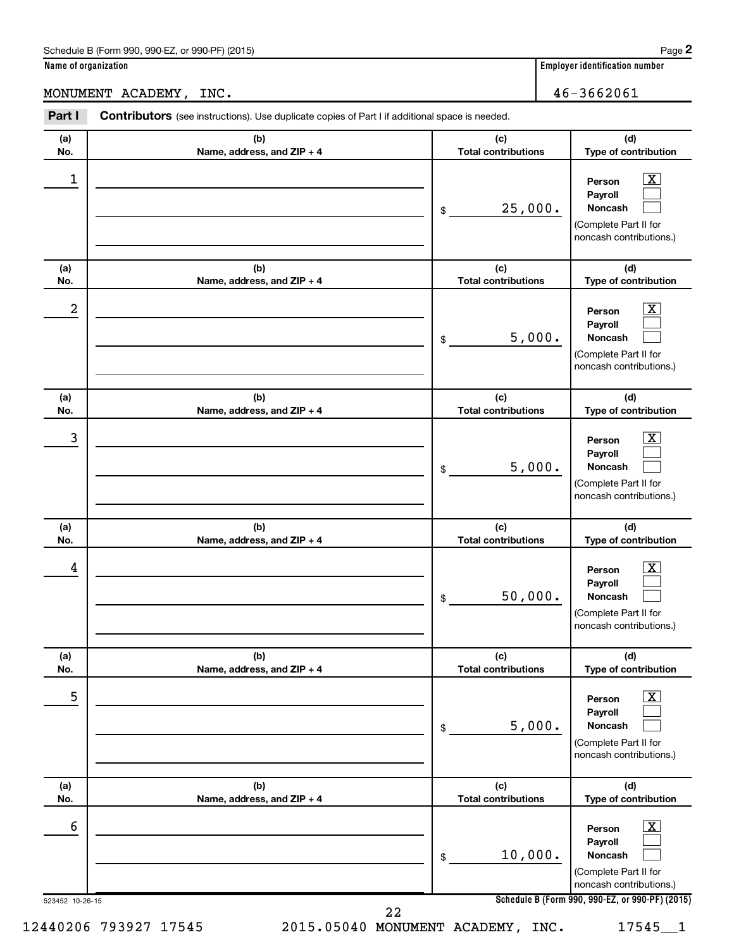# MONUMENT ACADEMY, INC. 46-3662061

| (a) | (b)                        | (c)                        | (d)                                                                                                         |
|-----|----------------------------|----------------------------|-------------------------------------------------------------------------------------------------------------|
| No. | Name, address, and ZIP + 4 | <b>Total contributions</b> | Type of contribution                                                                                        |
| 1   |                            | 25,000.<br>\$              | $\overline{\mathbf{X}}$<br>Person<br>Payroll<br>Noncash<br>(Complete Part II for<br>noncash contributions.) |
| (a) | (b)                        | (c)                        | (d)                                                                                                         |
| No. | Name, address, and ZIP + 4 | <b>Total contributions</b> | Type of contribution                                                                                        |
| 2   |                            | 5,000.<br>\$               | $\overline{\text{X}}$<br>Person<br>Payroll<br>Noncash<br>(Complete Part II for<br>noncash contributions.)   |
| (a) | (b)                        | (c)                        | (d)                                                                                                         |
| No. | Name, address, and ZIP + 4 | <b>Total contributions</b> | Type of contribution                                                                                        |
| 3   |                            | 5,000.<br>\$               | $\overline{\text{X}}$<br>Person<br>Payroll<br>Noncash<br>(Complete Part II for<br>noncash contributions.)   |
| (a) | (b)                        | (c)                        | (d)                                                                                                         |
| No. | Name, address, and ZIP + 4 | <b>Total contributions</b> | Type of contribution                                                                                        |
| 4   |                            | 50,000.<br>\$              | $\overline{\mathbf{X}}$<br>Person<br>Payroll<br>Noncash<br>(Complete Part II for<br>noncash contributions.) |
| (a) | (b)                        | (c)                        | (d)                                                                                                         |
| No. | Name, address, and ZIP + 4 | <b>Total contributions</b> | Type of contribution                                                                                        |
| 5   |                            | 5,000.<br>\$               | $\boxed{\text{X}}$<br>Person<br>Payroll<br>Noncash<br>(Complete Part II for<br>noncash contributions.)      |
| (a) | (b)                        | (c)                        | (d)                                                                                                         |
| No. | Name, address, and ZIP + 4 | <b>Total contributions</b> | Type of contribution                                                                                        |
| 6   |                            | 10,000.<br>\$              | $\boxed{\text{X}}$<br>Person<br>Payroll<br>Noncash<br>(Complete Part II for<br>noncash contributions.)      |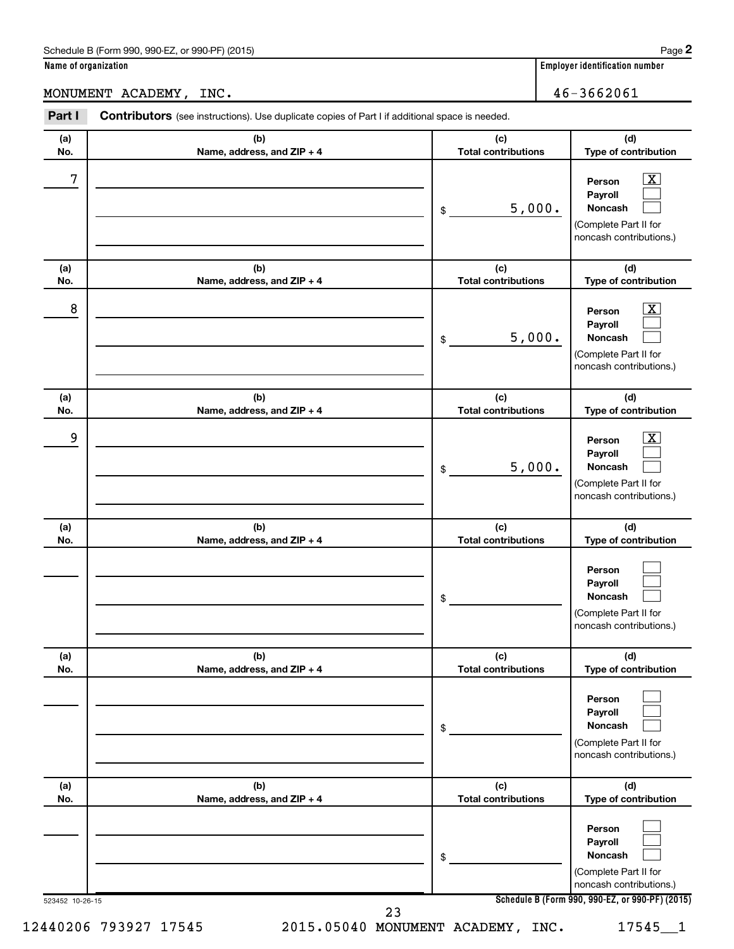MONUMENT ACADEMY, INC. 46-3662061

| (a) | (b)                        | (c)                        | (d)                                                                                                       |
|-----|----------------------------|----------------------------|-----------------------------------------------------------------------------------------------------------|
| No. | Name, address, and ZIP + 4 | <b>Total contributions</b> | Type of contribution                                                                                      |
| 7   |                            | 5,000.<br>\$               | $\overline{\text{X}}$<br>Person<br>Payroll<br>Noncash<br>(Complete Part II for<br>noncash contributions.) |
| (a) | (b)                        | (c)                        | (d)                                                                                                       |
| No. | Name, address, and ZIP + 4 | <b>Total contributions</b> | Type of contribution                                                                                      |
| 8   |                            | 5,000.<br>\$               | $\overline{\text{X}}$<br>Person<br>Payroll<br>Noncash<br>(Complete Part II for<br>noncash contributions.) |
| (a) | (b)                        | (c)                        | (d)                                                                                                       |
| No. | Name, address, and ZIP + 4 | <b>Total contributions</b> | Type of contribution                                                                                      |
| 9   |                            | 5,000.<br>\$               | $\overline{\text{X}}$<br>Person<br>Payroll<br>Noncash<br>(Complete Part II for<br>noncash contributions.) |
| (a) | (b)                        | (c)                        | (d)                                                                                                       |
| No. | Name, address, and ZIP + 4 | <b>Total contributions</b> | Type of contribution                                                                                      |
|     |                            | \$                         | Person<br>Payroll<br>Noncash<br>(Complete Part II for<br>noncash contributions.)                          |
| (a) | (b)                        | (c)                        | (d)                                                                                                       |
| No. | Name, address, and ZIP + 4 | <b>Total contributions</b> | Type of contribution                                                                                      |
|     |                            | \$                         | Person<br>Payroll<br><b>Noncash</b><br>(Complete Part II for<br>noncash contributions.)                   |
| (a) | (b)                        | (c)                        | (d)                                                                                                       |
| No. | Name, address, and ZIP + 4 | <b>Total contributions</b> | Type of contribution                                                                                      |
|     |                            | \$                         | Person<br>Payroll<br>Noncash<br>(Complete Part II for<br>noncash contributions.)                          |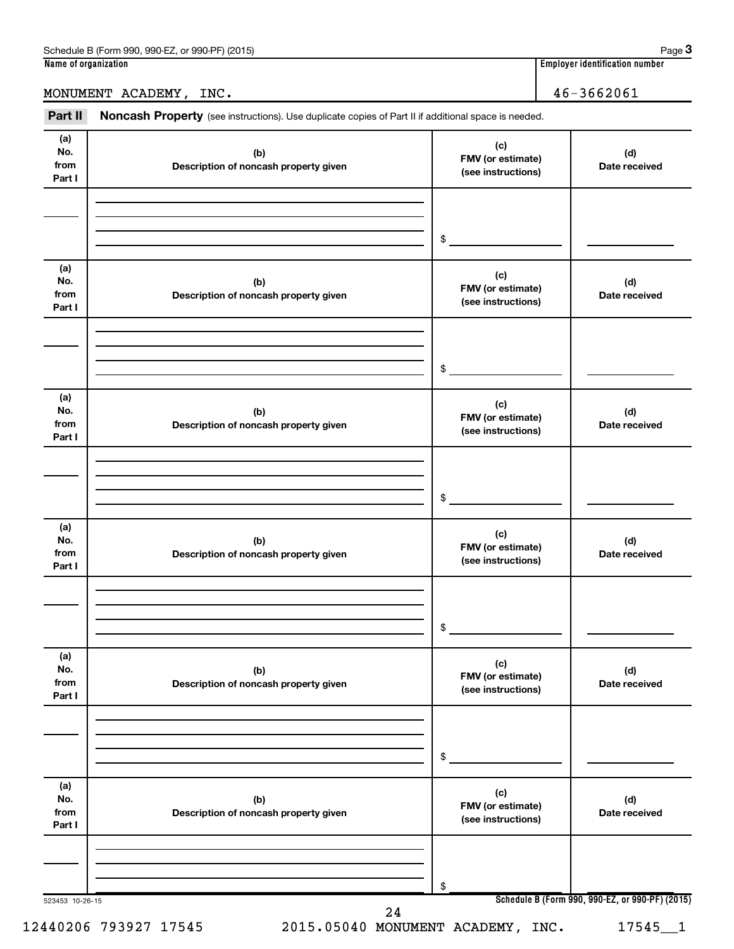MONUMENT ACADEMY, INC. 46-3662061

Part II Noncash Property (see instructions). Use duplicate copies of Part II if additional space is needed.

| (a)<br>No.<br>from | (b)<br>Description of noncash property given | (c)<br>FMV (or estimate)<br>(see instructions) | (d)<br>Date received                            |
|--------------------|----------------------------------------------|------------------------------------------------|-------------------------------------------------|
| Part I             |                                              |                                                |                                                 |
|                    |                                              |                                                |                                                 |
|                    |                                              |                                                |                                                 |
|                    |                                              | \$                                             |                                                 |
| (a)                |                                              |                                                |                                                 |
| No.                | (b)                                          | (c)<br>FMV (or estimate)                       | (d)                                             |
| from<br>Part I     | Description of noncash property given        | (see instructions)                             | Date received                                   |
|                    |                                              |                                                |                                                 |
|                    |                                              |                                                |                                                 |
|                    |                                              |                                                |                                                 |
|                    |                                              | \$                                             |                                                 |
| (a)                |                                              | (c)                                            |                                                 |
| No.<br>from        | (b)<br>Description of noncash property given | FMV (or estimate)                              | (d)<br>Date received                            |
| Part I             |                                              | (see instructions)                             |                                                 |
|                    |                                              |                                                |                                                 |
|                    |                                              |                                                |                                                 |
|                    |                                              | \$                                             |                                                 |
|                    |                                              |                                                |                                                 |
| (a)<br>No.         | (b)                                          | (c)                                            | (d)                                             |
| from               | Description of noncash property given        | FMV (or estimate)<br>(see instructions)        | Date received                                   |
| Part I             |                                              |                                                |                                                 |
|                    |                                              |                                                |                                                 |
|                    |                                              |                                                |                                                 |
|                    |                                              | \$                                             |                                                 |
| (a)                |                                              | (c)                                            |                                                 |
| No.<br>from        | (b)<br>Description of noncash property given | FMV (or estimate)                              | (d)<br>Date received                            |
| Part I             |                                              | (see instructions)                             |                                                 |
|                    |                                              |                                                |                                                 |
|                    |                                              |                                                |                                                 |
|                    |                                              | \$                                             |                                                 |
| (a)                |                                              |                                                |                                                 |
| No.                | (b)                                          | (c)<br>FMV (or estimate)                       | (d)                                             |
| from<br>Part I     | Description of noncash property given        | (see instructions)                             | Date received                                   |
|                    |                                              |                                                |                                                 |
|                    |                                              |                                                |                                                 |
|                    |                                              | \$                                             |                                                 |
|                    |                                              |                                                | Schedule B (Form 990, 990-EZ, or 990-PF) (2015) |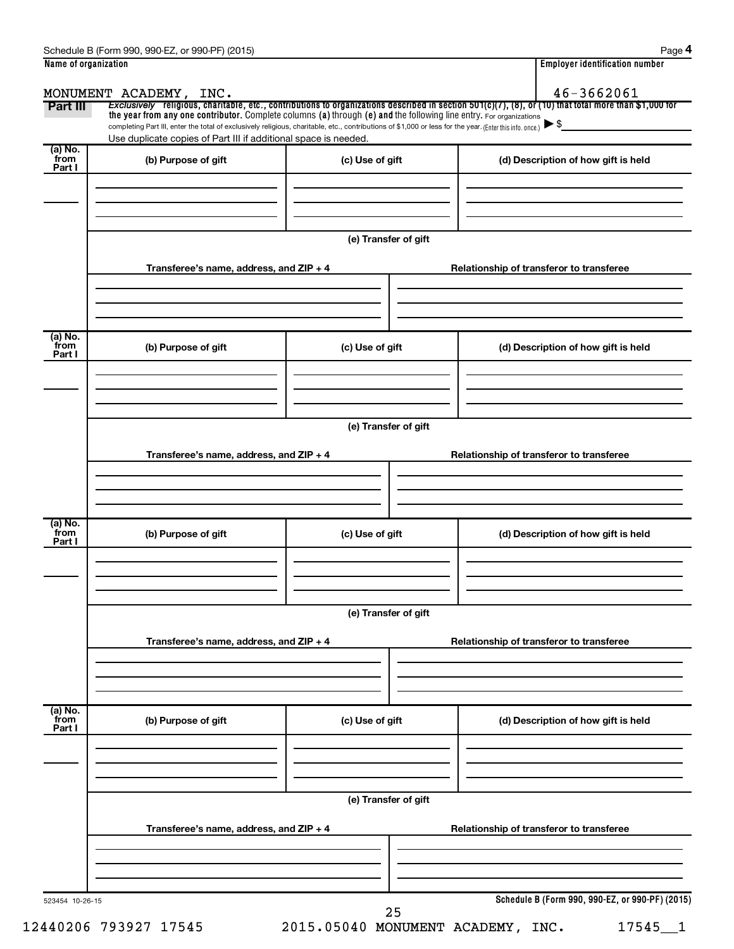|                           | MONUMENT ACADEMY, INC.                                                                                                                                                                                                      |                      | 46-3662061                                                                                                                                            |
|---------------------------|-----------------------------------------------------------------------------------------------------------------------------------------------------------------------------------------------------------------------------|----------------------|-------------------------------------------------------------------------------------------------------------------------------------------------------|
| Part III                  | the year from any one contributor. Complete columns (a) through (e) and the following line entry. For organizations                                                                                                         |                      | Exclusively religious, charitable, etc., contributions to organizations described in section 501(c)(7), (8), or (10) that total more than \$1,000 for |
|                           | completing Part III, enter the total of exclusively religious, charitable, etc., contributions of \$1,000 or less for the year. (Enter this info. once.)<br>Use duplicate copies of Part III if additional space is needed. |                      |                                                                                                                                                       |
| (a) No.<br>from<br>Part I | (b) Purpose of gift                                                                                                                                                                                                         | (c) Use of gift      | (d) Description of how gift is held                                                                                                                   |
|                           |                                                                                                                                                                                                                             | (e) Transfer of gift |                                                                                                                                                       |
|                           | Transferee's name, address, and ZIP + 4                                                                                                                                                                                     |                      | Relationship of transferor to transferee                                                                                                              |
| (a) No.<br>from<br>Part I | (b) Purpose of gift                                                                                                                                                                                                         | (c) Use of gift      | (d) Description of how gift is held                                                                                                                   |
|                           |                                                                                                                                                                                                                             | (e) Transfer of gift |                                                                                                                                                       |
|                           | Transferee's name, address, and ZIP + 4                                                                                                                                                                                     |                      | Relationship of transferor to transferee                                                                                                              |
| (a) No.<br>from<br>Part I | (b) Purpose of gift                                                                                                                                                                                                         | (c) Use of gift      | (d) Description of how gift is held                                                                                                                   |
|                           | Transferee's name, address, and ZIP + 4                                                                                                                                                                                     | (e) Transfer of gift | Relationship of transferor to transferee                                                                                                              |
| (a) No.<br>from<br>Part I | (b) Purpose of gift                                                                                                                                                                                                         | (c) Use of gift      | (d) Description of how gift is held                                                                                                                   |
|                           |                                                                                                                                                                                                                             | (e) Transfer of gift |                                                                                                                                                       |
|                           | Transferee's name, address, and ZIP + 4                                                                                                                                                                                     |                      | Relationship of transferor to transferee                                                                                                              |
| 523454 10-26-15           |                                                                                                                                                                                                                             | 25                   | Schedule B (Form 990, 990-EZ, or 990-PF) (2015)                                                                                                       |

12440206 793927 17545 2015.05040 MONUMENT ACADEMY, INC. 17545\_\_1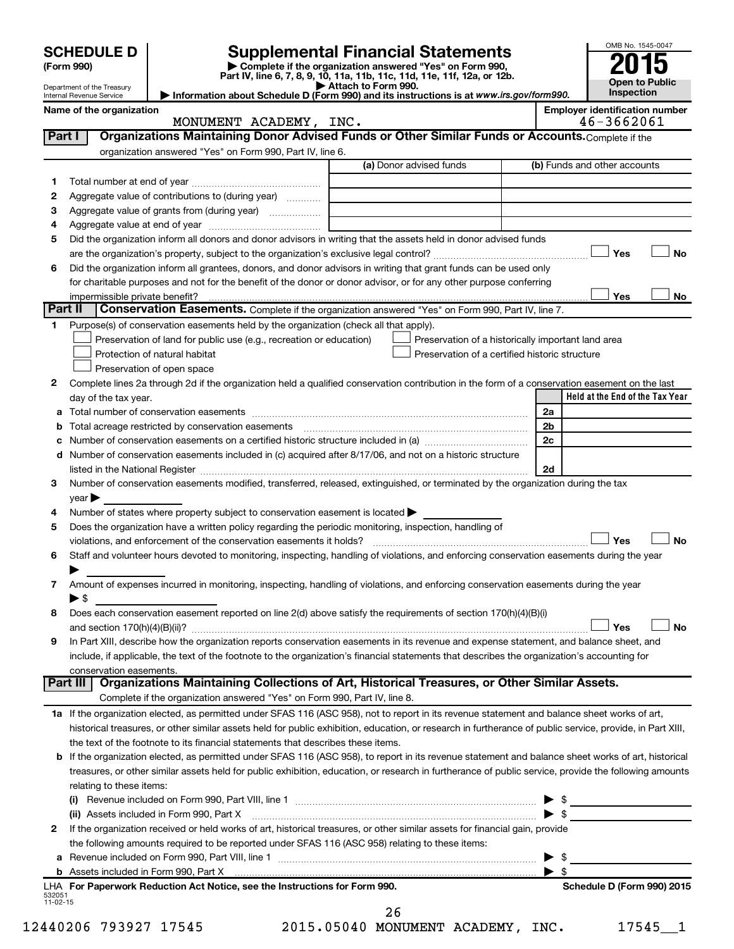|          | <b>SCHEDULE D</b>                        |                                                                                                        | <b>Supplemental Financial Statements</b>                                                                                                                                          |                          | OMB No. 1545-0047                                   |
|----------|------------------------------------------|--------------------------------------------------------------------------------------------------------|-----------------------------------------------------------------------------------------------------------------------------------------------------------------------------------|--------------------------|-----------------------------------------------------|
|          | (Form 990)<br>Department of the Treasury |                                                                                                        | Complete if the organization answered "Yes" on Form 990,<br>Part IV, line 6, 7, 8, 9, 10, 11a, 11b, 11c, 11d, 11e, 11f, 12a, or 12b.<br>$\blacktriangleright$ Attach to Form 990. |                          | Open to Public                                      |
|          | Internal Revenue Service                 |                                                                                                        | Information about Schedule D (Form 990) and its instructions is at www.irs.gov/form990.                                                                                           |                          | Inspection                                          |
|          | Name of the organization                 | MONUMENT ACADEMY, INC.                                                                                 |                                                                                                                                                                                   |                          | <b>Employer identification number</b><br>46-3662061 |
| Part I   |                                          |                                                                                                        | Organizations Maintaining Donor Advised Funds or Other Similar Funds or Accounts. Complete if the                                                                                 |                          |                                                     |
|          |                                          | organization answered "Yes" on Form 990, Part IV, line 6.                                              |                                                                                                                                                                                   |                          |                                                     |
|          |                                          |                                                                                                        | (a) Donor advised funds                                                                                                                                                           |                          | (b) Funds and other accounts                        |
| 1        |                                          |                                                                                                        |                                                                                                                                                                                   |                          |                                                     |
| 2        |                                          | Aggregate value of contributions to (during year)                                                      |                                                                                                                                                                                   |                          |                                                     |
| З        |                                          |                                                                                                        | <u> 1980 - Johann Barbara, martxa alemaniar a</u>                                                                                                                                 |                          |                                                     |
| 4        |                                          |                                                                                                        |                                                                                                                                                                                   |                          |                                                     |
| 5        |                                          |                                                                                                        | Did the organization inform all donors and donor advisors in writing that the assets held in donor advised funds                                                                  |                          |                                                     |
|          |                                          |                                                                                                        |                                                                                                                                                                                   |                          | Yes<br>No                                           |
| 6        |                                          |                                                                                                        | Did the organization inform all grantees, donors, and donor advisors in writing that grant funds can be used only                                                                 |                          |                                                     |
|          |                                          |                                                                                                        | for charitable purposes and not for the benefit of the donor or donor advisor, or for any other purpose conferring                                                                |                          | Yes<br>No                                           |
| Part II  |                                          |                                                                                                        | Conservation Easements. Complete if the organization answered "Yes" on Form 990, Part IV, line 7.                                                                                 |                          |                                                     |
| 1.       |                                          | Purpose(s) of conservation easements held by the organization (check all that apply).                  |                                                                                                                                                                                   |                          |                                                     |
|          |                                          | Preservation of land for public use (e.g., recreation or education)                                    | Preservation of a historically important land area                                                                                                                                |                          |                                                     |
|          |                                          | Protection of natural habitat                                                                          | Preservation of a certified historic structure                                                                                                                                    |                          |                                                     |
|          |                                          | Preservation of open space                                                                             |                                                                                                                                                                                   |                          |                                                     |
| 2        |                                          |                                                                                                        | Complete lines 2a through 2d if the organization held a qualified conservation contribution in the form of a conservation easement on the last                                    |                          |                                                     |
|          | day of the tax year.                     |                                                                                                        |                                                                                                                                                                                   |                          | Held at the End of the Tax Year                     |
|          |                                          |                                                                                                        |                                                                                                                                                                                   | 2a                       |                                                     |
| b        |                                          |                                                                                                        |                                                                                                                                                                                   | 2 <sub>b</sub>           |                                                     |
| с        |                                          |                                                                                                        |                                                                                                                                                                                   | 2c                       |                                                     |
|          |                                          |                                                                                                        | d Number of conservation easements included in (c) acquired after 8/17/06, and not on a historic structure                                                                        |                          |                                                     |
|          |                                          |                                                                                                        | listed in the National Register manufactured and all the National Register manufactured in the National Register                                                                  | 2d                       |                                                     |
| 3        |                                          |                                                                                                        | Number of conservation easements modified, transferred, released, extinguished, or terminated by the organization during the tax                                                  |                          |                                                     |
|          | $\vee$ ear $\blacktriangleright$         |                                                                                                        |                                                                                                                                                                                   |                          |                                                     |
| 4        |                                          | Number of states where property subject to conservation easement is located >                          |                                                                                                                                                                                   |                          |                                                     |
| 5        |                                          | Does the organization have a written policy regarding the periodic monitoring, inspection, handling of |                                                                                                                                                                                   |                          |                                                     |
|          |                                          | violations, and enforcement of the conservation easements it holds?                                    |                                                                                                                                                                                   |                          | Yes<br><b>No</b>                                    |
| 6        |                                          |                                                                                                        | Staff and volunteer hours devoted to monitoring, inspecting, handling of violations, and enforcing conservation easements during the year                                         |                          |                                                     |
|          |                                          |                                                                                                        |                                                                                                                                                                                   |                          |                                                     |
| 7        |                                          |                                                                                                        | Amount of expenses incurred in monitoring, inspecting, handling of violations, and enforcing conservation easements during the year                                               |                          |                                                     |
|          | $\blacktriangleright$ \$                 |                                                                                                        |                                                                                                                                                                                   |                          |                                                     |
| 8        |                                          |                                                                                                        | Does each conservation easement reported on line 2(d) above satisfy the requirements of section 170(h)(4)(B)(i)                                                                   |                          |                                                     |
|          |                                          |                                                                                                        |                                                                                                                                                                                   |                          | No<br>Yes                                           |
| 9        |                                          |                                                                                                        | In Part XIII, describe how the organization reports conservation easements in its revenue and expense statement, and balance sheet, and                                           |                          |                                                     |
|          |                                          |                                                                                                        | include, if applicable, the text of the footnote to the organization's financial statements that describes the organization's accounting for                                      |                          |                                                     |
|          | conservation easements.                  |                                                                                                        |                                                                                                                                                                                   |                          |                                                     |
|          | Part III I                               |                                                                                                        | Organizations Maintaining Collections of Art, Historical Treasures, or Other Similar Assets.                                                                                      |                          |                                                     |
|          |                                          | Complete if the organization answered "Yes" on Form 990, Part IV, line 8.                              |                                                                                                                                                                                   |                          |                                                     |
|          |                                          |                                                                                                        | 1a If the organization elected, as permitted under SFAS 116 (ASC 958), not to report in its revenue statement and balance sheet works of art,                                     |                          |                                                     |
|          |                                          |                                                                                                        | historical treasures, or other similar assets held for public exhibition, education, or research in furtherance of public service, provide, in Part XIII,                         |                          |                                                     |
|          |                                          | the text of the footnote to its financial statements that describes these items.                       |                                                                                                                                                                                   |                          |                                                     |
|          |                                          |                                                                                                        | b If the organization elected, as permitted under SFAS 116 (ASC 958), to report in its revenue statement and balance sheet works of art, historical                               |                          |                                                     |
|          |                                          |                                                                                                        | treasures, or other similar assets held for public exhibition, education, or research in furtherance of public service, provide the following amounts                             |                          |                                                     |
|          | relating to these items:                 |                                                                                                        |                                                                                                                                                                                   |                          |                                                     |
|          |                                          |                                                                                                        |                                                                                                                                                                                   |                          | $\triangleright$ \$                                 |
|          |                                          |                                                                                                        | (ii) Assets included in Form 990, Part X [11] Marson Marson Marson Marson Marson Marson Marson Marson Marson M                                                                    |                          | $\triangleright$ \$                                 |
| 2        |                                          |                                                                                                        | If the organization received or held works of art, historical treasures, or other similar assets for financial gain, provide                                                      |                          |                                                     |
|          |                                          | the following amounts required to be reported under SFAS 116 (ASC 958) relating to these items:        |                                                                                                                                                                                   |                          |                                                     |
|          |                                          |                                                                                                        |                                                                                                                                                                                   | $\blacktriangleright$ \$ |                                                     |
|          |                                          |                                                                                                        |                                                                                                                                                                                   | $\blacktriangleright$ \$ |                                                     |
| 532051   |                                          | LHA For Paperwork Reduction Act Notice, see the Instructions for Form 990.                             |                                                                                                                                                                                   |                          | Schedule D (Form 990) 2015                          |
| 11-02-15 |                                          |                                                                                                        |                                                                                                                                                                                   |                          |                                                     |
|          |                                          |                                                                                                        | 26                                                                                                                                                                                |                          |                                                     |

12440206 793927 17545 2015.05040 MONUMENT ACADEMY, INC. 17545\_\_1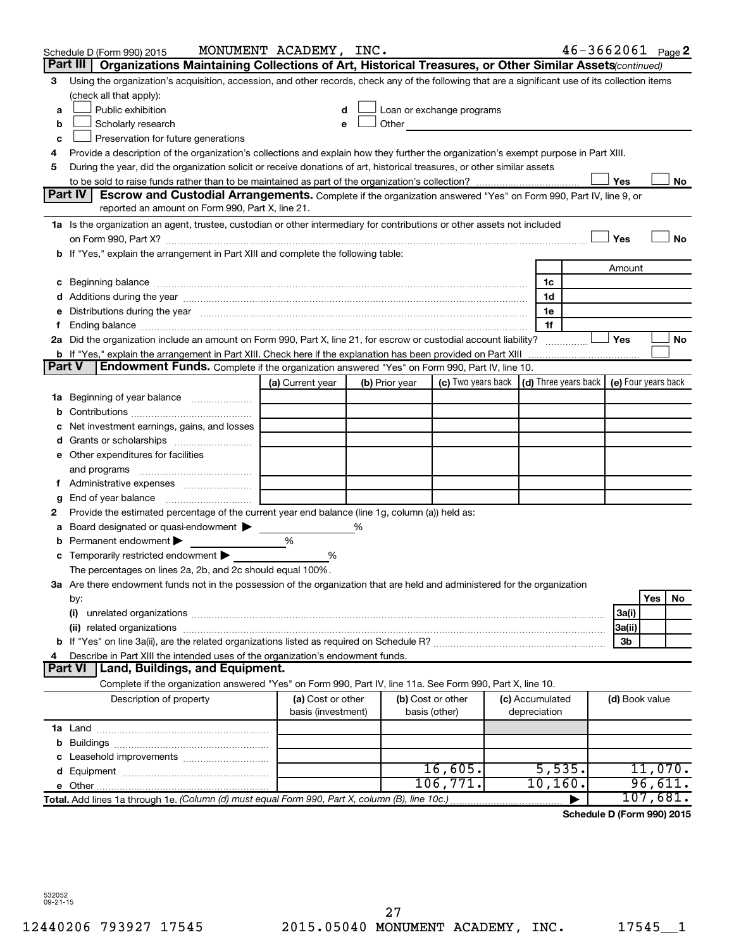| Organizations Maintaining Collections of Art, Historical Treasures, or Other Similar Assets (continued)<br>Part III<br>Using the organization's acquisition, accession, and other records, check any of the following that are a significant use of its collection items<br>3<br>(check all that apply):<br>Public exhibition<br>Loan or exchange programs<br>a<br>Other<br>Scholarly research<br>b<br>Preservation for future generations<br>c<br>Provide a description of the organization's collections and explain how they further the organization's exempt purpose in Part XIII.<br>4<br>During the year, did the organization solicit or receive donations of art, historical treasures, or other similar assets<br>5<br>Yes<br>No<br>Part IV<br><b>Escrow and Custodial Arrangements.</b> Complete if the organization answered "Yes" on Form 990, Part IV, line 9, or<br>reported an amount on Form 990, Part X, line 21.<br>1a Is the organization an agent, trustee, custodian or other intermediary for contributions or other assets not included<br>Yes<br>No<br>b If "Yes," explain the arrangement in Part XIII and complete the following table:<br>Amount<br>c Beginning balance measurements and the contract of the contract of the contract of the contract of the contract of the contract of the contract of the contract of the contract of the contract of the contract of the contr<br>1c<br>1d<br>Distributions during the year manufactured and an account of the year manufactured and the year manufactured and the year manufactured and the year manufactured and the year manufactured and the year manufactured and the y<br>1e<br>е<br>1f<br>f.<br>2a Did the organization include an amount on Form 990, Part X, line 21, for escrow or custodial account liability?<br>Yes<br>No<br>b If "Yes," explain the arrangement in Part XIII. Check here if the explanation has been provided on Part XIII<br>Endowment Funds. Complete if the organization answered "Yes" on Form 990, Part IV, line 10.<br><b>Part V</b><br>(c) Two years back $\vert$ (d) Three years back $\vert$ (e) Four years back<br>(a) Current year<br>(b) Prior year<br><b>1a</b> Beginning of year balance<br>b<br>Net investment earnings, gains, and losses<br>с<br>Grants or scholarships<br>d<br>e Other expenditures for facilities<br>and programs<br>Administrative expenses<br>Ť.<br>g<br>Provide the estimated percentage of the current year end balance (line 1g, column (a)) held as:<br>2<br>Board designated or quasi-endowment<br>%<br>а<br>Permanent endowment<br>%<br>b<br>c Temporarily restricted endowment $\blacktriangleright$<br>%<br>The percentages on lines 2a, 2b, and 2c should equal 100%.<br>3a Are there endowment funds not in the possession of the organization that are held and administered for the organization<br>Yes<br>No.<br>by:<br>(i)<br>3a(i)<br>3a(ii)<br>3b<br>Describe in Part XIII the intended uses of the organization's endowment funds.<br>4<br><b>Part VI</b><br>  Land, Buildings, and Equipment.<br>Complete if the organization answered "Yes" on Form 990, Part IV, line 11a. See Form 990, Part X, line 10.<br>(b) Cost or other<br>Description of property<br>(a) Cost or other<br>(c) Accumulated<br>(d) Book value<br>basis (investment)<br>depreciation<br>basis (other)<br>b<br>Leasehold improvements<br>c<br>16,605.<br>5,535.<br>11,070.<br>d<br>10, 160.<br>96,611.<br>106,771.<br>107,681.<br>Total. Add lines 1a through 1e. (Column (d) must equal Form 990, Part X, column (B), line 10c.) | Schedule D (Form 990) 2015 | MONUMENT ACADEMY, INC. |  |  | $46 - 3662061$ Page 2 |  |  |
|------------------------------------------------------------------------------------------------------------------------------------------------------------------------------------------------------------------------------------------------------------------------------------------------------------------------------------------------------------------------------------------------------------------------------------------------------------------------------------------------------------------------------------------------------------------------------------------------------------------------------------------------------------------------------------------------------------------------------------------------------------------------------------------------------------------------------------------------------------------------------------------------------------------------------------------------------------------------------------------------------------------------------------------------------------------------------------------------------------------------------------------------------------------------------------------------------------------------------------------------------------------------------------------------------------------------------------------------------------------------------------------------------------------------------------------------------------------------------------------------------------------------------------------------------------------------------------------------------------------------------------------------------------------------------------------------------------------------------------------------------------------------------------------------------------------------------------------------------------------------------------------------------------------------------------------------------------------------------------------------------------------------------------------------------------------------------------------------------------------------------------------------------------------------------------------------------------------------------------------------------------------------------------------------------------------------------------------------------------------------------------------------------------------------------------------------------------------------------------------------------------------------------------------------------------------------------------------------------------------------------------------------------------------------------------------------------------------------------------------------------------------------------------------------------------------------------------------------------------------------------------------------------------------------------------------------------------------------------------------------------------------------------------------------------------------------------------------------------------------------------------------------------------------------------------------------------------------------------------------------------------------------------------------------------------------------------------------------------------------------------------------------------------------------------------------------------------------------------------------------------------------------------------------------------------------------------|----------------------------|------------------------|--|--|-----------------------|--|--|
|                                                                                                                                                                                                                                                                                                                                                                                                                                                                                                                                                                                                                                                                                                                                                                                                                                                                                                                                                                                                                                                                                                                                                                                                                                                                                                                                                                                                                                                                                                                                                                                                                                                                                                                                                                                                                                                                                                                                                                                                                                                                                                                                                                                                                                                                                                                                                                                                                                                                                                                                                                                                                                                                                                                                                                                                                                                                                                                                                                                                                                                                                                                                                                                                                                                                                                                                                                                                                                                                                                                                                                              |                            |                        |  |  |                       |  |  |
|                                                                                                                                                                                                                                                                                                                                                                                                                                                                                                                                                                                                                                                                                                                                                                                                                                                                                                                                                                                                                                                                                                                                                                                                                                                                                                                                                                                                                                                                                                                                                                                                                                                                                                                                                                                                                                                                                                                                                                                                                                                                                                                                                                                                                                                                                                                                                                                                                                                                                                                                                                                                                                                                                                                                                                                                                                                                                                                                                                                                                                                                                                                                                                                                                                                                                                                                                                                                                                                                                                                                                                              |                            |                        |  |  |                       |  |  |
|                                                                                                                                                                                                                                                                                                                                                                                                                                                                                                                                                                                                                                                                                                                                                                                                                                                                                                                                                                                                                                                                                                                                                                                                                                                                                                                                                                                                                                                                                                                                                                                                                                                                                                                                                                                                                                                                                                                                                                                                                                                                                                                                                                                                                                                                                                                                                                                                                                                                                                                                                                                                                                                                                                                                                                                                                                                                                                                                                                                                                                                                                                                                                                                                                                                                                                                                                                                                                                                                                                                                                                              |                            |                        |  |  |                       |  |  |
|                                                                                                                                                                                                                                                                                                                                                                                                                                                                                                                                                                                                                                                                                                                                                                                                                                                                                                                                                                                                                                                                                                                                                                                                                                                                                                                                                                                                                                                                                                                                                                                                                                                                                                                                                                                                                                                                                                                                                                                                                                                                                                                                                                                                                                                                                                                                                                                                                                                                                                                                                                                                                                                                                                                                                                                                                                                                                                                                                                                                                                                                                                                                                                                                                                                                                                                                                                                                                                                                                                                                                                              |                            |                        |  |  |                       |  |  |
|                                                                                                                                                                                                                                                                                                                                                                                                                                                                                                                                                                                                                                                                                                                                                                                                                                                                                                                                                                                                                                                                                                                                                                                                                                                                                                                                                                                                                                                                                                                                                                                                                                                                                                                                                                                                                                                                                                                                                                                                                                                                                                                                                                                                                                                                                                                                                                                                                                                                                                                                                                                                                                                                                                                                                                                                                                                                                                                                                                                                                                                                                                                                                                                                                                                                                                                                                                                                                                                                                                                                                                              |                            |                        |  |  |                       |  |  |
|                                                                                                                                                                                                                                                                                                                                                                                                                                                                                                                                                                                                                                                                                                                                                                                                                                                                                                                                                                                                                                                                                                                                                                                                                                                                                                                                                                                                                                                                                                                                                                                                                                                                                                                                                                                                                                                                                                                                                                                                                                                                                                                                                                                                                                                                                                                                                                                                                                                                                                                                                                                                                                                                                                                                                                                                                                                                                                                                                                                                                                                                                                                                                                                                                                                                                                                                                                                                                                                                                                                                                                              |                            |                        |  |  |                       |  |  |
|                                                                                                                                                                                                                                                                                                                                                                                                                                                                                                                                                                                                                                                                                                                                                                                                                                                                                                                                                                                                                                                                                                                                                                                                                                                                                                                                                                                                                                                                                                                                                                                                                                                                                                                                                                                                                                                                                                                                                                                                                                                                                                                                                                                                                                                                                                                                                                                                                                                                                                                                                                                                                                                                                                                                                                                                                                                                                                                                                                                                                                                                                                                                                                                                                                                                                                                                                                                                                                                                                                                                                                              |                            |                        |  |  |                       |  |  |
|                                                                                                                                                                                                                                                                                                                                                                                                                                                                                                                                                                                                                                                                                                                                                                                                                                                                                                                                                                                                                                                                                                                                                                                                                                                                                                                                                                                                                                                                                                                                                                                                                                                                                                                                                                                                                                                                                                                                                                                                                                                                                                                                                                                                                                                                                                                                                                                                                                                                                                                                                                                                                                                                                                                                                                                                                                                                                                                                                                                                                                                                                                                                                                                                                                                                                                                                                                                                                                                                                                                                                                              |                            |                        |  |  |                       |  |  |
|                                                                                                                                                                                                                                                                                                                                                                                                                                                                                                                                                                                                                                                                                                                                                                                                                                                                                                                                                                                                                                                                                                                                                                                                                                                                                                                                                                                                                                                                                                                                                                                                                                                                                                                                                                                                                                                                                                                                                                                                                                                                                                                                                                                                                                                                                                                                                                                                                                                                                                                                                                                                                                                                                                                                                                                                                                                                                                                                                                                                                                                                                                                                                                                                                                                                                                                                                                                                                                                                                                                                                                              |                            |                        |  |  |                       |  |  |
|                                                                                                                                                                                                                                                                                                                                                                                                                                                                                                                                                                                                                                                                                                                                                                                                                                                                                                                                                                                                                                                                                                                                                                                                                                                                                                                                                                                                                                                                                                                                                                                                                                                                                                                                                                                                                                                                                                                                                                                                                                                                                                                                                                                                                                                                                                                                                                                                                                                                                                                                                                                                                                                                                                                                                                                                                                                                                                                                                                                                                                                                                                                                                                                                                                                                                                                                                                                                                                                                                                                                                                              |                            |                        |  |  |                       |  |  |
|                                                                                                                                                                                                                                                                                                                                                                                                                                                                                                                                                                                                                                                                                                                                                                                                                                                                                                                                                                                                                                                                                                                                                                                                                                                                                                                                                                                                                                                                                                                                                                                                                                                                                                                                                                                                                                                                                                                                                                                                                                                                                                                                                                                                                                                                                                                                                                                                                                                                                                                                                                                                                                                                                                                                                                                                                                                                                                                                                                                                                                                                                                                                                                                                                                                                                                                                                                                                                                                                                                                                                                              |                            |                        |  |  |                       |  |  |
|                                                                                                                                                                                                                                                                                                                                                                                                                                                                                                                                                                                                                                                                                                                                                                                                                                                                                                                                                                                                                                                                                                                                                                                                                                                                                                                                                                                                                                                                                                                                                                                                                                                                                                                                                                                                                                                                                                                                                                                                                                                                                                                                                                                                                                                                                                                                                                                                                                                                                                                                                                                                                                                                                                                                                                                                                                                                                                                                                                                                                                                                                                                                                                                                                                                                                                                                                                                                                                                                                                                                                                              |                            |                        |  |  |                       |  |  |
|                                                                                                                                                                                                                                                                                                                                                                                                                                                                                                                                                                                                                                                                                                                                                                                                                                                                                                                                                                                                                                                                                                                                                                                                                                                                                                                                                                                                                                                                                                                                                                                                                                                                                                                                                                                                                                                                                                                                                                                                                                                                                                                                                                                                                                                                                                                                                                                                                                                                                                                                                                                                                                                                                                                                                                                                                                                                                                                                                                                                                                                                                                                                                                                                                                                                                                                                                                                                                                                                                                                                                                              |                            |                        |  |  |                       |  |  |
|                                                                                                                                                                                                                                                                                                                                                                                                                                                                                                                                                                                                                                                                                                                                                                                                                                                                                                                                                                                                                                                                                                                                                                                                                                                                                                                                                                                                                                                                                                                                                                                                                                                                                                                                                                                                                                                                                                                                                                                                                                                                                                                                                                                                                                                                                                                                                                                                                                                                                                                                                                                                                                                                                                                                                                                                                                                                                                                                                                                                                                                                                                                                                                                                                                                                                                                                                                                                                                                                                                                                                                              |                            |                        |  |  |                       |  |  |
|                                                                                                                                                                                                                                                                                                                                                                                                                                                                                                                                                                                                                                                                                                                                                                                                                                                                                                                                                                                                                                                                                                                                                                                                                                                                                                                                                                                                                                                                                                                                                                                                                                                                                                                                                                                                                                                                                                                                                                                                                                                                                                                                                                                                                                                                                                                                                                                                                                                                                                                                                                                                                                                                                                                                                                                                                                                                                                                                                                                                                                                                                                                                                                                                                                                                                                                                                                                                                                                                                                                                                                              |                            |                        |  |  |                       |  |  |
|                                                                                                                                                                                                                                                                                                                                                                                                                                                                                                                                                                                                                                                                                                                                                                                                                                                                                                                                                                                                                                                                                                                                                                                                                                                                                                                                                                                                                                                                                                                                                                                                                                                                                                                                                                                                                                                                                                                                                                                                                                                                                                                                                                                                                                                                                                                                                                                                                                                                                                                                                                                                                                                                                                                                                                                                                                                                                                                                                                                                                                                                                                                                                                                                                                                                                                                                                                                                                                                                                                                                                                              |                            |                        |  |  |                       |  |  |
|                                                                                                                                                                                                                                                                                                                                                                                                                                                                                                                                                                                                                                                                                                                                                                                                                                                                                                                                                                                                                                                                                                                                                                                                                                                                                                                                                                                                                                                                                                                                                                                                                                                                                                                                                                                                                                                                                                                                                                                                                                                                                                                                                                                                                                                                                                                                                                                                                                                                                                                                                                                                                                                                                                                                                                                                                                                                                                                                                                                                                                                                                                                                                                                                                                                                                                                                                                                                                                                                                                                                                                              |                            |                        |  |  |                       |  |  |
|                                                                                                                                                                                                                                                                                                                                                                                                                                                                                                                                                                                                                                                                                                                                                                                                                                                                                                                                                                                                                                                                                                                                                                                                                                                                                                                                                                                                                                                                                                                                                                                                                                                                                                                                                                                                                                                                                                                                                                                                                                                                                                                                                                                                                                                                                                                                                                                                                                                                                                                                                                                                                                                                                                                                                                                                                                                                                                                                                                                                                                                                                                                                                                                                                                                                                                                                                                                                                                                                                                                                                                              |                            |                        |  |  |                       |  |  |
|                                                                                                                                                                                                                                                                                                                                                                                                                                                                                                                                                                                                                                                                                                                                                                                                                                                                                                                                                                                                                                                                                                                                                                                                                                                                                                                                                                                                                                                                                                                                                                                                                                                                                                                                                                                                                                                                                                                                                                                                                                                                                                                                                                                                                                                                                                                                                                                                                                                                                                                                                                                                                                                                                                                                                                                                                                                                                                                                                                                                                                                                                                                                                                                                                                                                                                                                                                                                                                                                                                                                                                              |                            |                        |  |  |                       |  |  |
|                                                                                                                                                                                                                                                                                                                                                                                                                                                                                                                                                                                                                                                                                                                                                                                                                                                                                                                                                                                                                                                                                                                                                                                                                                                                                                                                                                                                                                                                                                                                                                                                                                                                                                                                                                                                                                                                                                                                                                                                                                                                                                                                                                                                                                                                                                                                                                                                                                                                                                                                                                                                                                                                                                                                                                                                                                                                                                                                                                                                                                                                                                                                                                                                                                                                                                                                                                                                                                                                                                                                                                              |                            |                        |  |  |                       |  |  |
|                                                                                                                                                                                                                                                                                                                                                                                                                                                                                                                                                                                                                                                                                                                                                                                                                                                                                                                                                                                                                                                                                                                                                                                                                                                                                                                                                                                                                                                                                                                                                                                                                                                                                                                                                                                                                                                                                                                                                                                                                                                                                                                                                                                                                                                                                                                                                                                                                                                                                                                                                                                                                                                                                                                                                                                                                                                                                                                                                                                                                                                                                                                                                                                                                                                                                                                                                                                                                                                                                                                                                                              |                            |                        |  |  |                       |  |  |
|                                                                                                                                                                                                                                                                                                                                                                                                                                                                                                                                                                                                                                                                                                                                                                                                                                                                                                                                                                                                                                                                                                                                                                                                                                                                                                                                                                                                                                                                                                                                                                                                                                                                                                                                                                                                                                                                                                                                                                                                                                                                                                                                                                                                                                                                                                                                                                                                                                                                                                                                                                                                                                                                                                                                                                                                                                                                                                                                                                                                                                                                                                                                                                                                                                                                                                                                                                                                                                                                                                                                                                              |                            |                        |  |  |                       |  |  |
|                                                                                                                                                                                                                                                                                                                                                                                                                                                                                                                                                                                                                                                                                                                                                                                                                                                                                                                                                                                                                                                                                                                                                                                                                                                                                                                                                                                                                                                                                                                                                                                                                                                                                                                                                                                                                                                                                                                                                                                                                                                                                                                                                                                                                                                                                                                                                                                                                                                                                                                                                                                                                                                                                                                                                                                                                                                                                                                                                                                                                                                                                                                                                                                                                                                                                                                                                                                                                                                                                                                                                                              |                            |                        |  |  |                       |  |  |
|                                                                                                                                                                                                                                                                                                                                                                                                                                                                                                                                                                                                                                                                                                                                                                                                                                                                                                                                                                                                                                                                                                                                                                                                                                                                                                                                                                                                                                                                                                                                                                                                                                                                                                                                                                                                                                                                                                                                                                                                                                                                                                                                                                                                                                                                                                                                                                                                                                                                                                                                                                                                                                                                                                                                                                                                                                                                                                                                                                                                                                                                                                                                                                                                                                                                                                                                                                                                                                                                                                                                                                              |                            |                        |  |  |                       |  |  |
|                                                                                                                                                                                                                                                                                                                                                                                                                                                                                                                                                                                                                                                                                                                                                                                                                                                                                                                                                                                                                                                                                                                                                                                                                                                                                                                                                                                                                                                                                                                                                                                                                                                                                                                                                                                                                                                                                                                                                                                                                                                                                                                                                                                                                                                                                                                                                                                                                                                                                                                                                                                                                                                                                                                                                                                                                                                                                                                                                                                                                                                                                                                                                                                                                                                                                                                                                                                                                                                                                                                                                                              |                            |                        |  |  |                       |  |  |
|                                                                                                                                                                                                                                                                                                                                                                                                                                                                                                                                                                                                                                                                                                                                                                                                                                                                                                                                                                                                                                                                                                                                                                                                                                                                                                                                                                                                                                                                                                                                                                                                                                                                                                                                                                                                                                                                                                                                                                                                                                                                                                                                                                                                                                                                                                                                                                                                                                                                                                                                                                                                                                                                                                                                                                                                                                                                                                                                                                                                                                                                                                                                                                                                                                                                                                                                                                                                                                                                                                                                                                              |                            |                        |  |  |                       |  |  |
|                                                                                                                                                                                                                                                                                                                                                                                                                                                                                                                                                                                                                                                                                                                                                                                                                                                                                                                                                                                                                                                                                                                                                                                                                                                                                                                                                                                                                                                                                                                                                                                                                                                                                                                                                                                                                                                                                                                                                                                                                                                                                                                                                                                                                                                                                                                                                                                                                                                                                                                                                                                                                                                                                                                                                                                                                                                                                                                                                                                                                                                                                                                                                                                                                                                                                                                                                                                                                                                                                                                                                                              |                            |                        |  |  |                       |  |  |
|                                                                                                                                                                                                                                                                                                                                                                                                                                                                                                                                                                                                                                                                                                                                                                                                                                                                                                                                                                                                                                                                                                                                                                                                                                                                                                                                                                                                                                                                                                                                                                                                                                                                                                                                                                                                                                                                                                                                                                                                                                                                                                                                                                                                                                                                                                                                                                                                                                                                                                                                                                                                                                                                                                                                                                                                                                                                                                                                                                                                                                                                                                                                                                                                                                                                                                                                                                                                                                                                                                                                                                              |                            |                        |  |  |                       |  |  |
|                                                                                                                                                                                                                                                                                                                                                                                                                                                                                                                                                                                                                                                                                                                                                                                                                                                                                                                                                                                                                                                                                                                                                                                                                                                                                                                                                                                                                                                                                                                                                                                                                                                                                                                                                                                                                                                                                                                                                                                                                                                                                                                                                                                                                                                                                                                                                                                                                                                                                                                                                                                                                                                                                                                                                                                                                                                                                                                                                                                                                                                                                                                                                                                                                                                                                                                                                                                                                                                                                                                                                                              |                            |                        |  |  |                       |  |  |
|                                                                                                                                                                                                                                                                                                                                                                                                                                                                                                                                                                                                                                                                                                                                                                                                                                                                                                                                                                                                                                                                                                                                                                                                                                                                                                                                                                                                                                                                                                                                                                                                                                                                                                                                                                                                                                                                                                                                                                                                                                                                                                                                                                                                                                                                                                                                                                                                                                                                                                                                                                                                                                                                                                                                                                                                                                                                                                                                                                                                                                                                                                                                                                                                                                                                                                                                                                                                                                                                                                                                                                              |                            |                        |  |  |                       |  |  |
|                                                                                                                                                                                                                                                                                                                                                                                                                                                                                                                                                                                                                                                                                                                                                                                                                                                                                                                                                                                                                                                                                                                                                                                                                                                                                                                                                                                                                                                                                                                                                                                                                                                                                                                                                                                                                                                                                                                                                                                                                                                                                                                                                                                                                                                                                                                                                                                                                                                                                                                                                                                                                                                                                                                                                                                                                                                                                                                                                                                                                                                                                                                                                                                                                                                                                                                                                                                                                                                                                                                                                                              |                            |                        |  |  |                       |  |  |
|                                                                                                                                                                                                                                                                                                                                                                                                                                                                                                                                                                                                                                                                                                                                                                                                                                                                                                                                                                                                                                                                                                                                                                                                                                                                                                                                                                                                                                                                                                                                                                                                                                                                                                                                                                                                                                                                                                                                                                                                                                                                                                                                                                                                                                                                                                                                                                                                                                                                                                                                                                                                                                                                                                                                                                                                                                                                                                                                                                                                                                                                                                                                                                                                                                                                                                                                                                                                                                                                                                                                                                              |                            |                        |  |  |                       |  |  |
|                                                                                                                                                                                                                                                                                                                                                                                                                                                                                                                                                                                                                                                                                                                                                                                                                                                                                                                                                                                                                                                                                                                                                                                                                                                                                                                                                                                                                                                                                                                                                                                                                                                                                                                                                                                                                                                                                                                                                                                                                                                                                                                                                                                                                                                                                                                                                                                                                                                                                                                                                                                                                                                                                                                                                                                                                                                                                                                                                                                                                                                                                                                                                                                                                                                                                                                                                                                                                                                                                                                                                                              |                            |                        |  |  |                       |  |  |
|                                                                                                                                                                                                                                                                                                                                                                                                                                                                                                                                                                                                                                                                                                                                                                                                                                                                                                                                                                                                                                                                                                                                                                                                                                                                                                                                                                                                                                                                                                                                                                                                                                                                                                                                                                                                                                                                                                                                                                                                                                                                                                                                                                                                                                                                                                                                                                                                                                                                                                                                                                                                                                                                                                                                                                                                                                                                                                                                                                                                                                                                                                                                                                                                                                                                                                                                                                                                                                                                                                                                                                              |                            |                        |  |  |                       |  |  |
|                                                                                                                                                                                                                                                                                                                                                                                                                                                                                                                                                                                                                                                                                                                                                                                                                                                                                                                                                                                                                                                                                                                                                                                                                                                                                                                                                                                                                                                                                                                                                                                                                                                                                                                                                                                                                                                                                                                                                                                                                                                                                                                                                                                                                                                                                                                                                                                                                                                                                                                                                                                                                                                                                                                                                                                                                                                                                                                                                                                                                                                                                                                                                                                                                                                                                                                                                                                                                                                                                                                                                                              |                            |                        |  |  |                       |  |  |
|                                                                                                                                                                                                                                                                                                                                                                                                                                                                                                                                                                                                                                                                                                                                                                                                                                                                                                                                                                                                                                                                                                                                                                                                                                                                                                                                                                                                                                                                                                                                                                                                                                                                                                                                                                                                                                                                                                                                                                                                                                                                                                                                                                                                                                                                                                                                                                                                                                                                                                                                                                                                                                                                                                                                                                                                                                                                                                                                                                                                                                                                                                                                                                                                                                                                                                                                                                                                                                                                                                                                                                              |                            |                        |  |  |                       |  |  |
|                                                                                                                                                                                                                                                                                                                                                                                                                                                                                                                                                                                                                                                                                                                                                                                                                                                                                                                                                                                                                                                                                                                                                                                                                                                                                                                                                                                                                                                                                                                                                                                                                                                                                                                                                                                                                                                                                                                                                                                                                                                                                                                                                                                                                                                                                                                                                                                                                                                                                                                                                                                                                                                                                                                                                                                                                                                                                                                                                                                                                                                                                                                                                                                                                                                                                                                                                                                                                                                                                                                                                                              |                            |                        |  |  |                       |  |  |
|                                                                                                                                                                                                                                                                                                                                                                                                                                                                                                                                                                                                                                                                                                                                                                                                                                                                                                                                                                                                                                                                                                                                                                                                                                                                                                                                                                                                                                                                                                                                                                                                                                                                                                                                                                                                                                                                                                                                                                                                                                                                                                                                                                                                                                                                                                                                                                                                                                                                                                                                                                                                                                                                                                                                                                                                                                                                                                                                                                                                                                                                                                                                                                                                                                                                                                                                                                                                                                                                                                                                                                              |                            |                        |  |  |                       |  |  |
|                                                                                                                                                                                                                                                                                                                                                                                                                                                                                                                                                                                                                                                                                                                                                                                                                                                                                                                                                                                                                                                                                                                                                                                                                                                                                                                                                                                                                                                                                                                                                                                                                                                                                                                                                                                                                                                                                                                                                                                                                                                                                                                                                                                                                                                                                                                                                                                                                                                                                                                                                                                                                                                                                                                                                                                                                                                                                                                                                                                                                                                                                                                                                                                                                                                                                                                                                                                                                                                                                                                                                                              |                            |                        |  |  |                       |  |  |
|                                                                                                                                                                                                                                                                                                                                                                                                                                                                                                                                                                                                                                                                                                                                                                                                                                                                                                                                                                                                                                                                                                                                                                                                                                                                                                                                                                                                                                                                                                                                                                                                                                                                                                                                                                                                                                                                                                                                                                                                                                                                                                                                                                                                                                                                                                                                                                                                                                                                                                                                                                                                                                                                                                                                                                                                                                                                                                                                                                                                                                                                                                                                                                                                                                                                                                                                                                                                                                                                                                                                                                              |                            |                        |  |  |                       |  |  |
|                                                                                                                                                                                                                                                                                                                                                                                                                                                                                                                                                                                                                                                                                                                                                                                                                                                                                                                                                                                                                                                                                                                                                                                                                                                                                                                                                                                                                                                                                                                                                                                                                                                                                                                                                                                                                                                                                                                                                                                                                                                                                                                                                                                                                                                                                                                                                                                                                                                                                                                                                                                                                                                                                                                                                                                                                                                                                                                                                                                                                                                                                                                                                                                                                                                                                                                                                                                                                                                                                                                                                                              |                            |                        |  |  |                       |  |  |
|                                                                                                                                                                                                                                                                                                                                                                                                                                                                                                                                                                                                                                                                                                                                                                                                                                                                                                                                                                                                                                                                                                                                                                                                                                                                                                                                                                                                                                                                                                                                                                                                                                                                                                                                                                                                                                                                                                                                                                                                                                                                                                                                                                                                                                                                                                                                                                                                                                                                                                                                                                                                                                                                                                                                                                                                                                                                                                                                                                                                                                                                                                                                                                                                                                                                                                                                                                                                                                                                                                                                                                              |                            |                        |  |  |                       |  |  |
|                                                                                                                                                                                                                                                                                                                                                                                                                                                                                                                                                                                                                                                                                                                                                                                                                                                                                                                                                                                                                                                                                                                                                                                                                                                                                                                                                                                                                                                                                                                                                                                                                                                                                                                                                                                                                                                                                                                                                                                                                                                                                                                                                                                                                                                                                                                                                                                                                                                                                                                                                                                                                                                                                                                                                                                                                                                                                                                                                                                                                                                                                                                                                                                                                                                                                                                                                                                                                                                                                                                                                                              |                            |                        |  |  |                       |  |  |
|                                                                                                                                                                                                                                                                                                                                                                                                                                                                                                                                                                                                                                                                                                                                                                                                                                                                                                                                                                                                                                                                                                                                                                                                                                                                                                                                                                                                                                                                                                                                                                                                                                                                                                                                                                                                                                                                                                                                                                                                                                                                                                                                                                                                                                                                                                                                                                                                                                                                                                                                                                                                                                                                                                                                                                                                                                                                                                                                                                                                                                                                                                                                                                                                                                                                                                                                                                                                                                                                                                                                                                              |                            |                        |  |  |                       |  |  |
|                                                                                                                                                                                                                                                                                                                                                                                                                                                                                                                                                                                                                                                                                                                                                                                                                                                                                                                                                                                                                                                                                                                                                                                                                                                                                                                                                                                                                                                                                                                                                                                                                                                                                                                                                                                                                                                                                                                                                                                                                                                                                                                                                                                                                                                                                                                                                                                                                                                                                                                                                                                                                                                                                                                                                                                                                                                                                                                                                                                                                                                                                                                                                                                                                                                                                                                                                                                                                                                                                                                                                                              |                            |                        |  |  |                       |  |  |
|                                                                                                                                                                                                                                                                                                                                                                                                                                                                                                                                                                                                                                                                                                                                                                                                                                                                                                                                                                                                                                                                                                                                                                                                                                                                                                                                                                                                                                                                                                                                                                                                                                                                                                                                                                                                                                                                                                                                                                                                                                                                                                                                                                                                                                                                                                                                                                                                                                                                                                                                                                                                                                                                                                                                                                                                                                                                                                                                                                                                                                                                                                                                                                                                                                                                                                                                                                                                                                                                                                                                                                              |                            |                        |  |  |                       |  |  |
|                                                                                                                                                                                                                                                                                                                                                                                                                                                                                                                                                                                                                                                                                                                                                                                                                                                                                                                                                                                                                                                                                                                                                                                                                                                                                                                                                                                                                                                                                                                                                                                                                                                                                                                                                                                                                                                                                                                                                                                                                                                                                                                                                                                                                                                                                                                                                                                                                                                                                                                                                                                                                                                                                                                                                                                                                                                                                                                                                                                                                                                                                                                                                                                                                                                                                                                                                                                                                                                                                                                                                                              |                            |                        |  |  |                       |  |  |
|                                                                                                                                                                                                                                                                                                                                                                                                                                                                                                                                                                                                                                                                                                                                                                                                                                                                                                                                                                                                                                                                                                                                                                                                                                                                                                                                                                                                                                                                                                                                                                                                                                                                                                                                                                                                                                                                                                                                                                                                                                                                                                                                                                                                                                                                                                                                                                                                                                                                                                                                                                                                                                                                                                                                                                                                                                                                                                                                                                                                                                                                                                                                                                                                                                                                                                                                                                                                                                                                                                                                                                              |                            |                        |  |  |                       |  |  |
|                                                                                                                                                                                                                                                                                                                                                                                                                                                                                                                                                                                                                                                                                                                                                                                                                                                                                                                                                                                                                                                                                                                                                                                                                                                                                                                                                                                                                                                                                                                                                                                                                                                                                                                                                                                                                                                                                                                                                                                                                                                                                                                                                                                                                                                                                                                                                                                                                                                                                                                                                                                                                                                                                                                                                                                                                                                                                                                                                                                                                                                                                                                                                                                                                                                                                                                                                                                                                                                                                                                                                                              |                            |                        |  |  |                       |  |  |
|                                                                                                                                                                                                                                                                                                                                                                                                                                                                                                                                                                                                                                                                                                                                                                                                                                                                                                                                                                                                                                                                                                                                                                                                                                                                                                                                                                                                                                                                                                                                                                                                                                                                                                                                                                                                                                                                                                                                                                                                                                                                                                                                                                                                                                                                                                                                                                                                                                                                                                                                                                                                                                                                                                                                                                                                                                                                                                                                                                                                                                                                                                                                                                                                                                                                                                                                                                                                                                                                                                                                                                              |                            |                        |  |  |                       |  |  |

**Schedule D (Form 990) 2015**

532052 09-21-15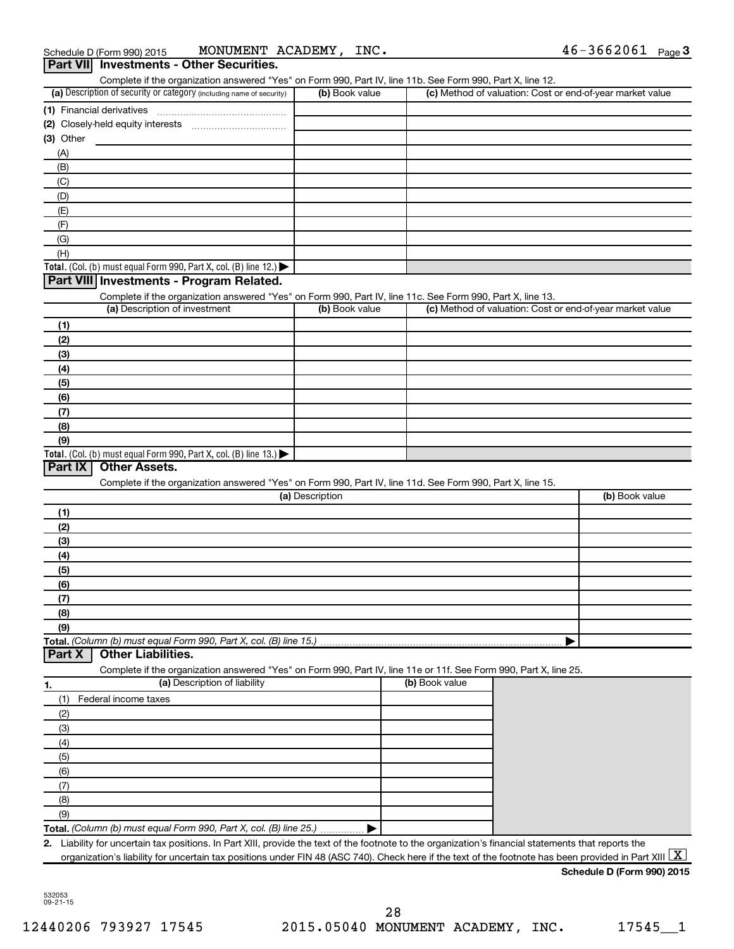|                                                                                                                                                                                                                               |                 |                | Complete if the organization answered "Yes" on Form 990, Part IV, line 11b. See Form 990, Part X, line 12. |                                                           |
|-------------------------------------------------------------------------------------------------------------------------------------------------------------------------------------------------------------------------------|-----------------|----------------|------------------------------------------------------------------------------------------------------------|-----------------------------------------------------------|
| (a) Description of security or category (including name of security)                                                                                                                                                          |                 | (b) Book value |                                                                                                            | (c) Method of valuation: Cost or end-of-year market value |
| (1) Financial derivatives                                                                                                                                                                                                     |                 |                |                                                                                                            |                                                           |
|                                                                                                                                                                                                                               |                 |                |                                                                                                            |                                                           |
| $(3)$ Other                                                                                                                                                                                                                   |                 |                |                                                                                                            |                                                           |
| (A)                                                                                                                                                                                                                           |                 |                |                                                                                                            |                                                           |
| (B)                                                                                                                                                                                                                           |                 |                |                                                                                                            |                                                           |
| (C)                                                                                                                                                                                                                           |                 |                |                                                                                                            |                                                           |
| (D)                                                                                                                                                                                                                           |                 |                |                                                                                                            |                                                           |
| (E)                                                                                                                                                                                                                           |                 |                |                                                                                                            |                                                           |
| (F)                                                                                                                                                                                                                           |                 |                |                                                                                                            |                                                           |
| (G)                                                                                                                                                                                                                           |                 |                |                                                                                                            |                                                           |
| (H)                                                                                                                                                                                                                           |                 |                |                                                                                                            |                                                           |
| Total. (Col. (b) must equal Form 990, Part X, col. (B) line 12.) $\blacktriangleright$                                                                                                                                        |                 |                |                                                                                                            |                                                           |
| Part VIII Investments - Program Related.                                                                                                                                                                                      |                 |                |                                                                                                            |                                                           |
|                                                                                                                                                                                                                               |                 |                |                                                                                                            |                                                           |
| Complete if the organization answered "Yes" on Form 990, Part IV, line 11c. See Form 990, Part X, line 13.                                                                                                                    |                 |                |                                                                                                            |                                                           |
| (a) Description of investment                                                                                                                                                                                                 |                 | (b) Book value |                                                                                                            | (c) Method of valuation: Cost or end-of-year market value |
| (1)                                                                                                                                                                                                                           |                 |                |                                                                                                            |                                                           |
| (2)                                                                                                                                                                                                                           |                 |                |                                                                                                            |                                                           |
| (3)                                                                                                                                                                                                                           |                 |                |                                                                                                            |                                                           |
| (4)                                                                                                                                                                                                                           |                 |                |                                                                                                            |                                                           |
| (5)                                                                                                                                                                                                                           |                 |                |                                                                                                            |                                                           |
| (6)                                                                                                                                                                                                                           |                 |                |                                                                                                            |                                                           |
| (7)                                                                                                                                                                                                                           |                 |                |                                                                                                            |                                                           |
| (8)                                                                                                                                                                                                                           |                 |                |                                                                                                            |                                                           |
| (9)                                                                                                                                                                                                                           |                 |                |                                                                                                            |                                                           |
| Total. (Col. (b) must equal Form 990, Part X, col. (B) line $13$ .)                                                                                                                                                           |                 |                |                                                                                                            |                                                           |
| <b>Other Assets.</b>                                                                                                                                                                                                          |                 |                |                                                                                                            |                                                           |
| Complete if the organization answered "Yes" on Form 990, Part IV, line 11d. See Form 990, Part X, line 15.                                                                                                                    | (a) Description |                |                                                                                                            | (b) Book value                                            |
| Part IX<br>(1)                                                                                                                                                                                                                |                 |                |                                                                                                            |                                                           |
| (2)                                                                                                                                                                                                                           |                 |                |                                                                                                            |                                                           |
| (3)                                                                                                                                                                                                                           |                 |                |                                                                                                            |                                                           |
| (4)                                                                                                                                                                                                                           |                 |                |                                                                                                            |                                                           |
| (5)                                                                                                                                                                                                                           |                 |                |                                                                                                            |                                                           |
| (6)                                                                                                                                                                                                                           |                 |                |                                                                                                            |                                                           |
|                                                                                                                                                                                                                               |                 |                |                                                                                                            |                                                           |
| (7)                                                                                                                                                                                                                           |                 |                |                                                                                                            |                                                           |
| (8)                                                                                                                                                                                                                           |                 |                |                                                                                                            |                                                           |
| (9)                                                                                                                                                                                                                           |                 |                |                                                                                                            |                                                           |
|                                                                                                                                                                                                                               |                 |                |                                                                                                            |                                                           |
| <b>Other Liabilities.</b>                                                                                                                                                                                                     |                 |                |                                                                                                            |                                                           |
| Complete if the organization answered "Yes" on Form 990, Part IV, line 11e or 11f. See Form 990, Part X, line 25.                                                                                                             |                 |                |                                                                                                            |                                                           |
| (a) Description of liability                                                                                                                                                                                                  |                 |                | (b) Book value                                                                                             |                                                           |
| Federal income taxes<br>(1)                                                                                                                                                                                                   |                 |                |                                                                                                            |                                                           |
| (2)                                                                                                                                                                                                                           |                 |                |                                                                                                            |                                                           |
| (3)                                                                                                                                                                                                                           |                 |                |                                                                                                            |                                                           |
| (4)                                                                                                                                                                                                                           |                 |                |                                                                                                            |                                                           |
| (5)                                                                                                                                                                                                                           |                 |                |                                                                                                            |                                                           |
| (6)                                                                                                                                                                                                                           |                 |                |                                                                                                            |                                                           |
| (7)                                                                                                                                                                                                                           |                 |                |                                                                                                            |                                                           |
| Total. (Column (b) must equal Form 990, Part X, col. (B) line 15.).<br>Part X<br>1.<br>(8)                                                                                                                                    |                 |                |                                                                                                            |                                                           |
|                                                                                                                                                                                                                               |                 |                |                                                                                                            |                                                           |
| (9)                                                                                                                                                                                                                           |                 |                |                                                                                                            |                                                           |
| Total. (Column (b) must equal Form 990, Part X, col. (B) line 25.)<br>Liability for uncertain tax positions. In Part XIII, provide the text of the footnote to the organization's financial statements that reports the<br>2. |                 |                |                                                                                                            |                                                           |

**Schedule D (Form 990) 2015**

532053 09-21-15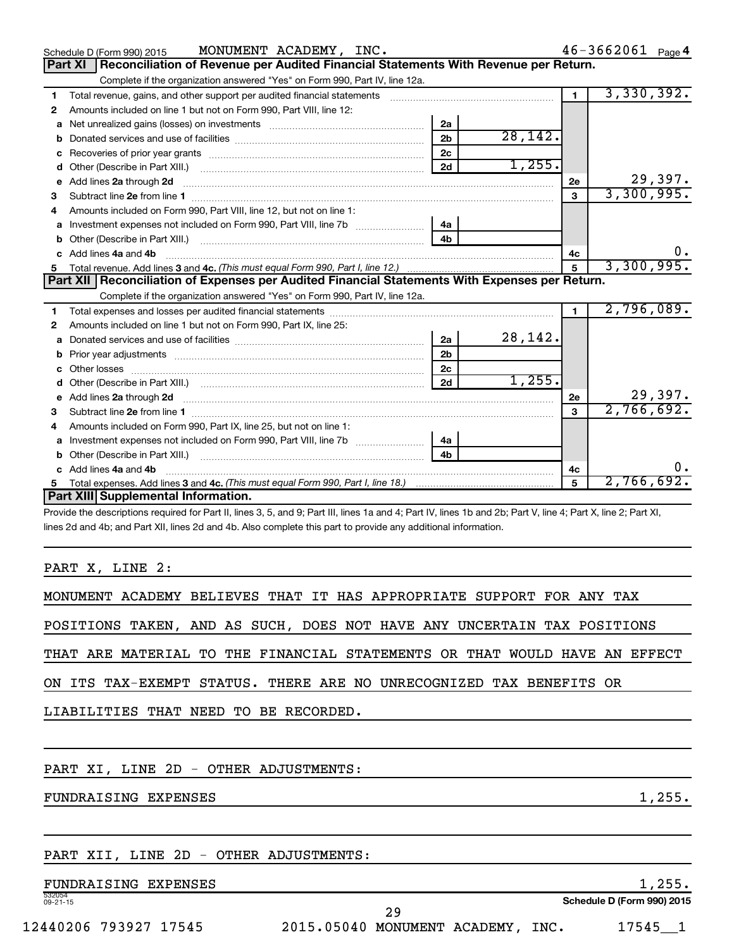|    | MONUMENT ACADEMY, INC.<br>Schedule D (Form 990) 2015                                                            |                |          |                | $46 - 3662061$ Page 4 |
|----|-----------------------------------------------------------------------------------------------------------------|----------------|----------|----------------|-----------------------|
|    | Reconciliation of Revenue per Audited Financial Statements With Revenue per Return.<br>Part XI                  |                |          |                |                       |
|    | Complete if the organization answered "Yes" on Form 990, Part IV, line 12a.                                     |                |          |                |                       |
| 1  | Total revenue, gains, and other support per audited financial statements                                        |                |          | $\blacksquare$ | 3,330,392.            |
| 2  | Amounts included on line 1 but not on Form 990, Part VIII, line 12:                                             |                |          |                |                       |
| a  | Net unrealized gains (losses) on investments [111] [12] matter and the unrealized gains (losses) on investments | 2a             |          |                |                       |
| b  |                                                                                                                 | 2 <sub>b</sub> | 28, 142. |                |                       |
|    |                                                                                                                 | 2 <sub>c</sub> |          |                |                       |
| d  |                                                                                                                 | 2d             | 1,255.   |                |                       |
| e  | Add lines 2a through 2d                                                                                         |                |          | <b>2e</b>      | 29,397.               |
| 3  |                                                                                                                 |                |          | 3              | 3,300,995.            |
| 4  | Amounts included on Form 990, Part VIII, line 12, but not on line 1:                                            |                |          |                |                       |
| a  |                                                                                                                 | 4a             |          |                |                       |
|    |                                                                                                                 | 4 <sub>h</sub> |          |                |                       |
|    | c Add lines 4a and 4b                                                                                           |                |          | 4с             | 0.                    |
|    |                                                                                                                 |                |          |                | 3,300,995.            |
|    | Part XII   Reconciliation of Expenses per Audited Financial Statements With Expenses per Return.                |                |          |                |                       |
|    | Complete if the organization answered "Yes" on Form 990, Part IV, line 12a.                                     |                |          |                |                       |
| 1  |                                                                                                                 |                |          | $\mathbf{1}$   | 2,796,089.            |
| 2  | Amounts included on line 1 but not on Form 990, Part IX, line 25:                                               |                |          |                |                       |
| a  |                                                                                                                 | 2a             | 28,142.  |                |                       |
| b  |                                                                                                                 | 2 <sub>b</sub> |          |                |                       |
| C. |                                                                                                                 | 2c             |          |                |                       |
|    |                                                                                                                 | 2d             | 1,255.   |                |                       |
|    |                                                                                                                 |                |          | 2e             | 29,397.               |
| з  |                                                                                                                 |                |          | 3              | 2,766,692.            |
|    | Amounts included on Form 990, Part IX, line 25, but not on line 1:                                              |                |          |                |                       |
| a  |                                                                                                                 | 4a             |          |                |                       |
|    |                                                                                                                 | 4 <sub>b</sub> |          |                |                       |
|    | Add lines 4a and 4b                                                                                             |                |          | 4c             | υ.                    |
| 5  |                                                                                                                 |                |          | 5              | 2,766,692.            |
|    | Part XIII Supplemental Information.                                                                             |                |          |                |                       |
|    |                                                                                                                 |                |          |                |                       |

Provide the descriptions required for Part II, lines 3, 5, and 9; Part III, lines 1a and 4; Part IV, lines 1b and 2b; Part V, line 4; Part X, line 2; Part XI, lines 2d and 4b; and Part XII, lines 2d and 4b. Also complete this part to provide any additional information.

# PART X, LINE 2:

| MONUMENT ACADEMY BELIEVES THAT IT HAS APPROPRIATE SUPPORT FOR ANY TAX      |        |
|----------------------------------------------------------------------------|--------|
| POSITIONS TAKEN, AND AS SUCH, DOES NOT HAVE ANY UNCERTAIN TAX POSITIONS    |        |
| THAT ARE MATERIAL TO THE FINANCIAL STATEMENTS OR THAT WOULD HAVE AN EFFECT |        |
| ON ITS TAX-EXEMPT STATUS. THERE ARE NO UNRECOGNIZED TAX BENEFITS OR        |        |
| LIABILITIES THAT NEED TO BE RECORDED.                                      |        |
|                                                                            |        |
| PART XI, LINE 2D - OTHER ADJUSTMENTS:                                      |        |
| FUNDRAISING EXPENSES                                                       | 1,255. |

# PART XII, LINE 2D - OTHER ADJUSTMENTS:

# FUNDRAISING EXPENSES

532054 09-21-15

**Schedule D (Form 990) 2015**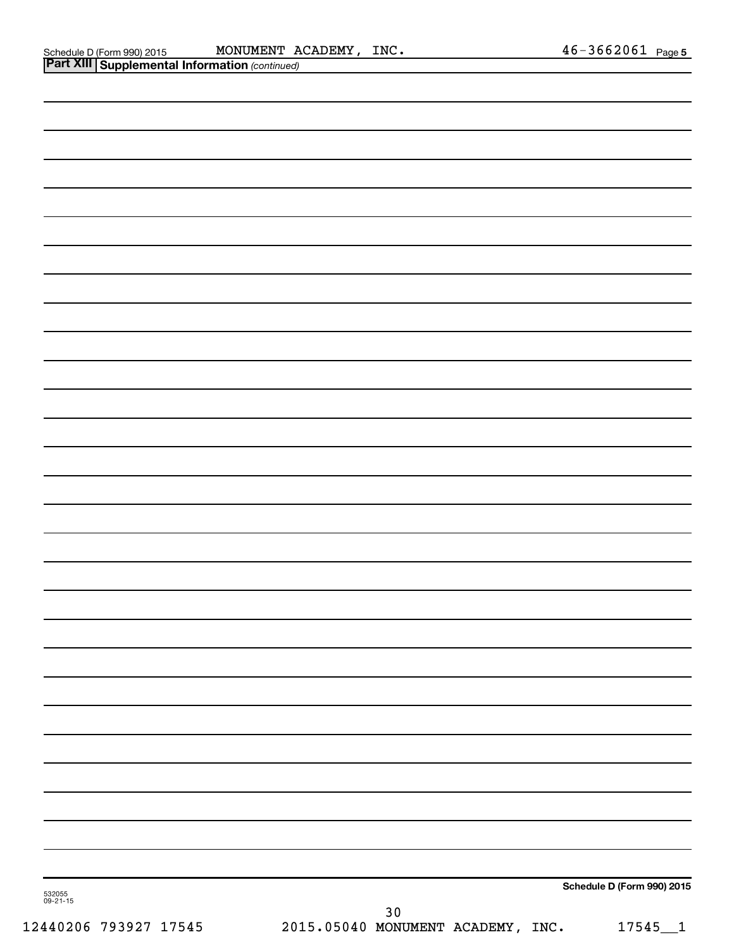| <b>Part XIII Supplemental Information (continued)</b> |                                           |                            |
|-------------------------------------------------------|-------------------------------------------|----------------------------|
|                                                       |                                           |                            |
|                                                       |                                           |                            |
|                                                       |                                           |                            |
|                                                       |                                           |                            |
|                                                       |                                           |                            |
|                                                       |                                           |                            |
|                                                       |                                           |                            |
|                                                       |                                           |                            |
|                                                       |                                           |                            |
|                                                       |                                           |                            |
|                                                       |                                           |                            |
|                                                       |                                           |                            |
|                                                       |                                           |                            |
|                                                       |                                           |                            |
|                                                       |                                           |                            |
|                                                       |                                           |                            |
|                                                       |                                           |                            |
|                                                       |                                           |                            |
|                                                       |                                           |                            |
|                                                       |                                           |                            |
|                                                       |                                           |                            |
|                                                       |                                           |                            |
|                                                       |                                           |                            |
|                                                       |                                           |                            |
|                                                       |                                           |                            |
|                                                       |                                           |                            |
|                                                       |                                           |                            |
|                                                       |                                           |                            |
|                                                       |                                           |                            |
|                                                       |                                           |                            |
|                                                       |                                           | Schedule D (Form 990) 2015 |
| 532055<br>09-21-15                                    | 30                                        |                            |
| 12440206 793927 17545                                 | 2015.05040 MONUMENT ACADEMY, INC. 17545_1 |                            |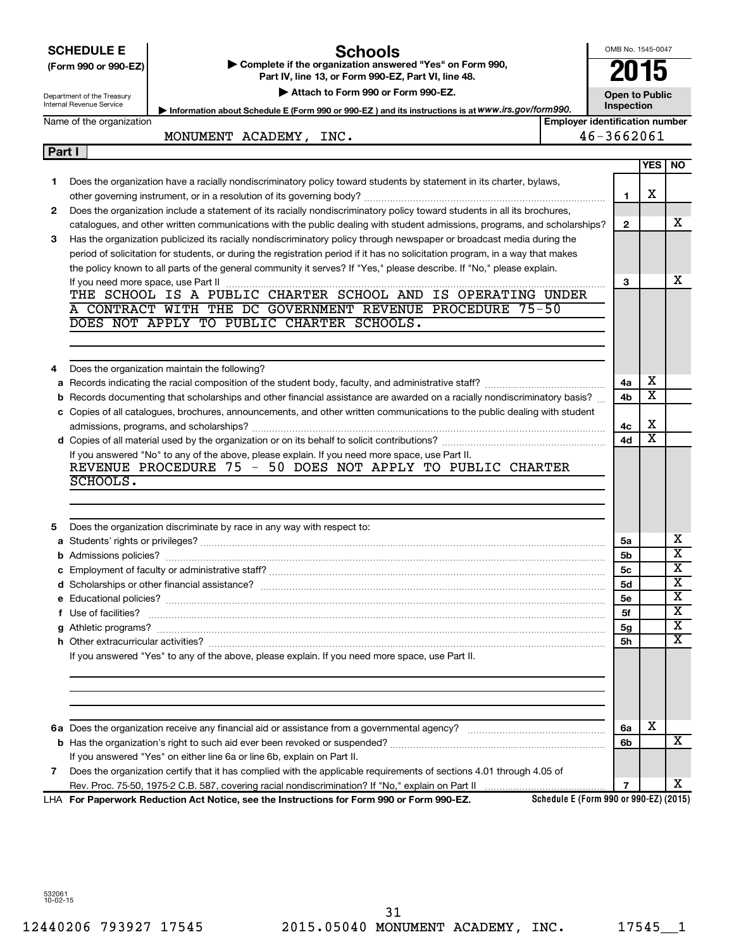|               | <b>SCHEDULE E</b><br>Schools                                                                                                            | OMB No. 1545-0047     |                         |                         |
|---------------|-----------------------------------------------------------------------------------------------------------------------------------------|-----------------------|-------------------------|-------------------------|
|               | Complete if the organization answered "Yes" on Form 990,<br>(Form 990 or 990-EZ)<br>Part IV, line 13, or Form 990-EZ, Part VI, line 48. | 2015                  |                         |                         |
|               | Attach to Form 990 or Form 990-EZ.<br>Department of the Treasury                                                                        | <b>Open to Public</b> |                         |                         |
|               | Internal Revenue Service<br>Information about Schedule E (Form 990 or 990-EZ) and its instructions is at WWW.irs.gov/form990.           | Inspection            |                         |                         |
|               | <b>Employer identification number</b><br>Name of the organization                                                                       |                       |                         |                         |
|               | MONUMENT ACADEMY, INC.                                                                                                                  | 46-3662061            |                         |                         |
| <b>Part I</b> |                                                                                                                                         |                       |                         |                         |
|               |                                                                                                                                         |                       | <b>YES</b>              | NO.                     |
| 1.            | Does the organization have a racially nondiscriminatory policy toward students by statement in its charter, bylaws,                     |                       |                         |                         |
|               |                                                                                                                                         | 1                     | х                       |                         |
| $\mathbf{2}$  | Does the organization include a statement of its racially nondiscriminatory policy toward students in all its brochures,                |                       |                         |                         |
|               | catalogues, and other written communications with the public dealing with student admissions, programs, and scholarships?               | $\mathbf{2}$          |                         | x                       |
| 3             | Has the organization publicized its racially nondiscriminatory policy through newspaper or broadcast media during the                   |                       |                         |                         |
|               | period of solicitation for students, or during the registration period if it has no solicitation program, in a way that makes           |                       |                         |                         |
|               | the policy known to all parts of the general community it serves? If "Yes," please describe. If "No," please explain.                   |                       |                         |                         |
|               |                                                                                                                                         | 3                     |                         | x                       |
|               | THE SCHOOL IS A PUBLIC CHARTER SCHOOL AND IS OPERATING UNDER                                                                            |                       |                         |                         |
|               | A CONTRACT WITH THE DC GOVERNMENT REVENUE PROCEDURE 75-50                                                                               |                       |                         |                         |
|               | DOES NOT APPLY TO PUBLIC CHARTER SCHOOLS.                                                                                               |                       |                         |                         |
|               |                                                                                                                                         |                       |                         |                         |
|               |                                                                                                                                         |                       |                         |                         |
| 4             | Does the organization maintain the following?                                                                                           |                       |                         |                         |
| а             |                                                                                                                                         | 4a                    | X                       |                         |
| b             | Records documenting that scholarships and other financial assistance are awarded on a racially nondiscriminatory basis?                 | 4b                    | $\overline{\textbf{x}}$ |                         |
|               | c Copies of all catalogues, brochures, announcements, and other written communications to the public dealing with student               |                       |                         |                         |
|               |                                                                                                                                         | 4c                    | X                       |                         |
|               |                                                                                                                                         | 4d                    | $\overline{\mathbf{X}}$ |                         |
|               | If you answered "No" to any of the above, please explain. If you need more space, use Part II.                                          |                       |                         |                         |
|               | REVENUE PROCEDURE 75 - 50 DOES NOT APPLY TO PUBLIC CHARTER                                                                              |                       |                         |                         |
|               | SCHOOLS.                                                                                                                                |                       |                         |                         |
|               |                                                                                                                                         |                       |                         |                         |
|               |                                                                                                                                         |                       |                         |                         |
| 5             | Does the organization discriminate by race in any way with respect to:                                                                  |                       |                         |                         |
|               |                                                                                                                                         | 5a                    |                         | х                       |
|               |                                                                                                                                         | 5b                    |                         | $\overline{\textbf{x}}$ |
|               |                                                                                                                                         | 5c                    |                         | $\overline{\texttt{x}}$ |
|               |                                                                                                                                         | 5d                    |                         | х                       |
|               |                                                                                                                                         | <b>5e</b>             |                         | х                       |
|               |                                                                                                                                         | 5f                    |                         | х                       |
|               |                                                                                                                                         | 5g                    |                         | х                       |
|               |                                                                                                                                         | 5h                    |                         | х                       |
|               | If you answered "Yes" to any of the above, please explain. If you need more space, use Part II.                                         |                       |                         |                         |
|               |                                                                                                                                         |                       |                         |                         |
|               |                                                                                                                                         |                       |                         |                         |
|               |                                                                                                                                         |                       |                         |                         |
|               |                                                                                                                                         |                       |                         |                         |
|               |                                                                                                                                         | 6a                    | X                       |                         |
|               |                                                                                                                                         | 6b                    |                         | x                       |
|               | If you answered "Yes" on either line 6a or line 6b, explain on Part II.                                                                 |                       |                         |                         |
| 7             | Does the organization certify that it has complied with the applicable requirements of sections 4.01 through 4.05 of                    |                       |                         |                         |
|               |                                                                                                                                         | $\overline{7}$        |                         | x                       |

**For Paperwork Reduction Act Notice, see the Instructions for Form 990 or Form 990-EZ.** LHA

**Schedule E (Form 990 or 990-EZ) (2015)**

532061 10-02-15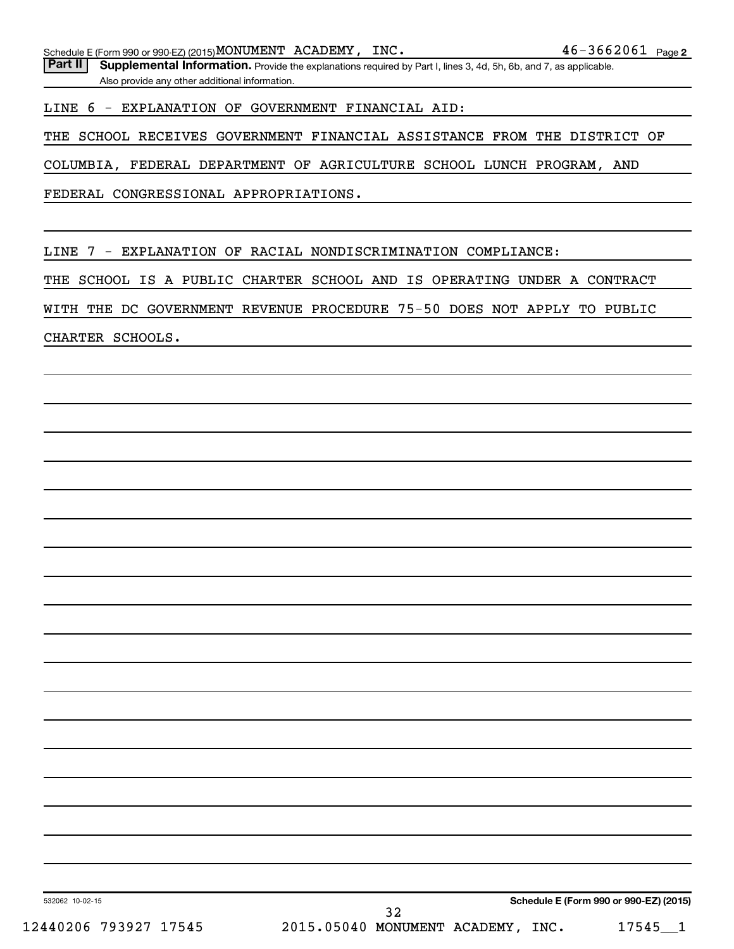Part II | Supplemental Information. Provide the explanations required by Part I, lines 3, 4d, 5h, 6b, and 7, as applicable. Also provide any other additional information.

LINE 6 - EXPLANATION OF GOVERNMENT FINANCIAL AID:

THE SCHOOL RECEIVES GOVERNMENT FINANCIAL ASSISTANCE FROM THE DISTRICT OF

COLUMBIA, FEDERAL DEPARTMENT OF AGRICULTURE SCHOOL LUNCH PROGRAM, AND

FEDERAL CONGRESSIONAL APPROPRIATIONS.

LINE 7 - EXPLANATION OF RACIAL NONDISCRIMINATION COMPLIANCE:

THE SCHOOL IS A PUBLIC CHARTER SCHOOL AND IS OPERATING UNDER A CONTRACT

WITH THE DC GOVERNMENT REVENUE PROCEDURE 75-50 DOES NOT APPLY TO PUBLIC

CHARTER SCHOOLS.

532062 10-02-15

32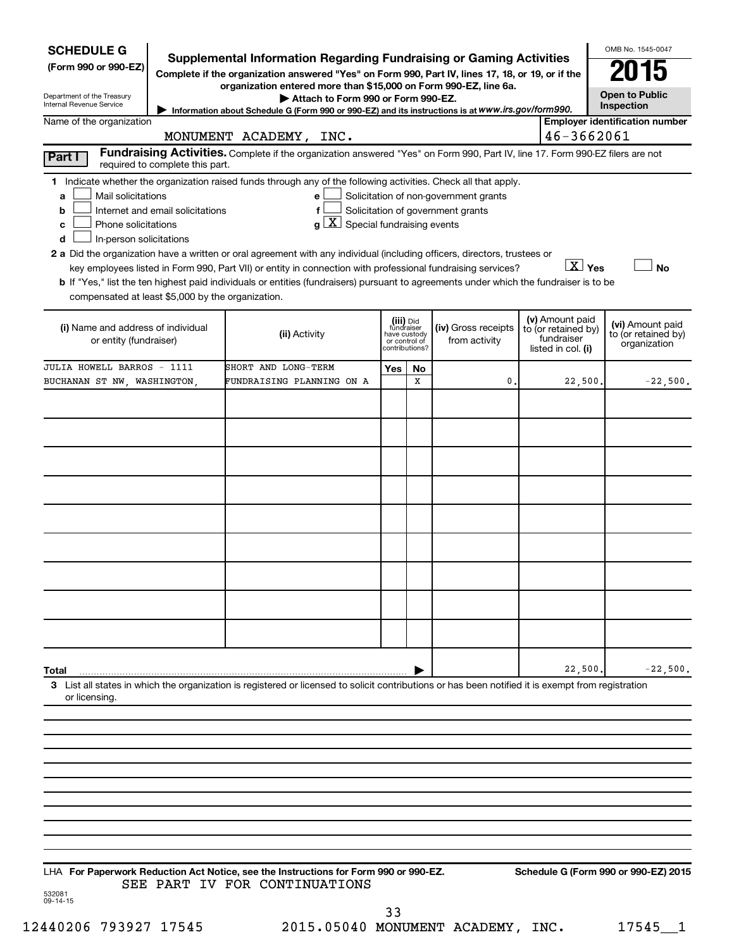| <b>SCHEDULE G</b><br>(Form 990 or 990-EZ)<br>Department of the Treasury<br>Internal Revenue Service                                                                                                                                                                                                                                                                                                                                                                                                                                                                                                                                                                                        | Supplemental Information Regarding Fundraising or Gaming Activities<br>Complete if the organization answered "Yes" on Form 990, Part IV, lines 17, 18, or 19, or if the<br>organization entered more than \$15,000 on Form 990-EZ, line 6a.<br>Attach to Form 990 or Form 990-EZ.<br>Information about Schedule G (Form 990 or 990-EZ) and its instructions is at WWW.irs.gov/form990. |                                                                            |         |                                                                            |                                                                            | OMB No. 1545-0047<br><b>Open to Public</b><br>Inspection |
|--------------------------------------------------------------------------------------------------------------------------------------------------------------------------------------------------------------------------------------------------------------------------------------------------------------------------------------------------------------------------------------------------------------------------------------------------------------------------------------------------------------------------------------------------------------------------------------------------------------------------------------------------------------------------------------------|----------------------------------------------------------------------------------------------------------------------------------------------------------------------------------------------------------------------------------------------------------------------------------------------------------------------------------------------------------------------------------------|----------------------------------------------------------------------------|---------|----------------------------------------------------------------------------|----------------------------------------------------------------------------|----------------------------------------------------------|
| Name of the organization                                                                                                                                                                                                                                                                                                                                                                                                                                                                                                                                                                                                                                                                   | MONUMENT ACADEMY, INC.                                                                                                                                                                                                                                                                                                                                                                 |                                                                            |         |                                                                            | 46-3662061                                                                 | <b>Employer identification number</b>                    |
| Part I<br>required to complete this part.                                                                                                                                                                                                                                                                                                                                                                                                                                                                                                                                                                                                                                                  | Fundraising Activities. Complete if the organization answered "Yes" on Form 990, Part IV, line 17. Form 990-EZ filers are not                                                                                                                                                                                                                                                          |                                                                            |         |                                                                            |                                                                            |                                                          |
| 1 Indicate whether the organization raised funds through any of the following activities. Check all that apply.<br>Mail solicitations<br>a<br>Internet and email solicitations<br>b<br>Phone solicitations<br>c<br>In-person solicitations<br>d<br>2 a Did the organization have a written or oral agreement with any individual (including officers, directors, trustees or<br>key employees listed in Form 990, Part VII) or entity in connection with professional fundraising services?<br>b If "Yes," list the ten highest paid individuals or entities (fundraisers) pursuant to agreements under which the fundraiser is to be<br>compensated at least \$5,000 by the organization. | e<br>f<br>$g\mid X$ Special fundraising events                                                                                                                                                                                                                                                                                                                                         |                                                                            |         | Solicitation of non-government grants<br>Solicitation of government grants | $\boxed{\text{X}}$ Yes                                                     | No                                                       |
| (i) Name and address of individual<br>or entity (fundraiser)                                                                                                                                                                                                                                                                                                                                                                                                                                                                                                                                                                                                                               | (ii) Activity                                                                                                                                                                                                                                                                                                                                                                          | (iii) Did<br>fundraiser<br>have custody<br>or control of<br>contributions? |         | (iv) Gross receipts<br>from activity                                       | (v) Amount paid<br>to (or retained by)<br>fundraiser<br>listed in col. (i) | (vi) Amount paid<br>to (or retained by)<br>organization  |
| JULIA HOWELL BARROS - 1111<br>BUCHANAN ST NW, WASHINGTON,                                                                                                                                                                                                                                                                                                                                                                                                                                                                                                                                                                                                                                  | SHORT AND LONG-TERM<br>FUNDRAISING PLANNING ON A                                                                                                                                                                                                                                                                                                                                       | Yes                                                                        | No<br>x | 0                                                                          | 22,500                                                                     | $-22,500.$                                               |
|                                                                                                                                                                                                                                                                                                                                                                                                                                                                                                                                                                                                                                                                                            |                                                                                                                                                                                                                                                                                                                                                                                        |                                                                            |         |                                                                            |                                                                            |                                                          |
| Total<br>3 List all states in which the organization is registered or licensed to solicit contributions or has been notified it is exempt from registration<br>or licensing.                                                                                                                                                                                                                                                                                                                                                                                                                                                                                                               |                                                                                                                                                                                                                                                                                                                                                                                        |                                                                            |         |                                                                            | 22,500                                                                     | $-22,500.$                                               |
| LHA For Paperwork Reduction Act Notice, see the Instructions for Form 990 or 990-EZ.                                                                                                                                                                                                                                                                                                                                                                                                                                                                                                                                                                                                       | SEE PART IV FOR CONTINUATIONS                                                                                                                                                                                                                                                                                                                                                          |                                                                            |         |                                                                            |                                                                            | Schedule G (Form 990 or 990-EZ) 2015                     |

532081 09-14-15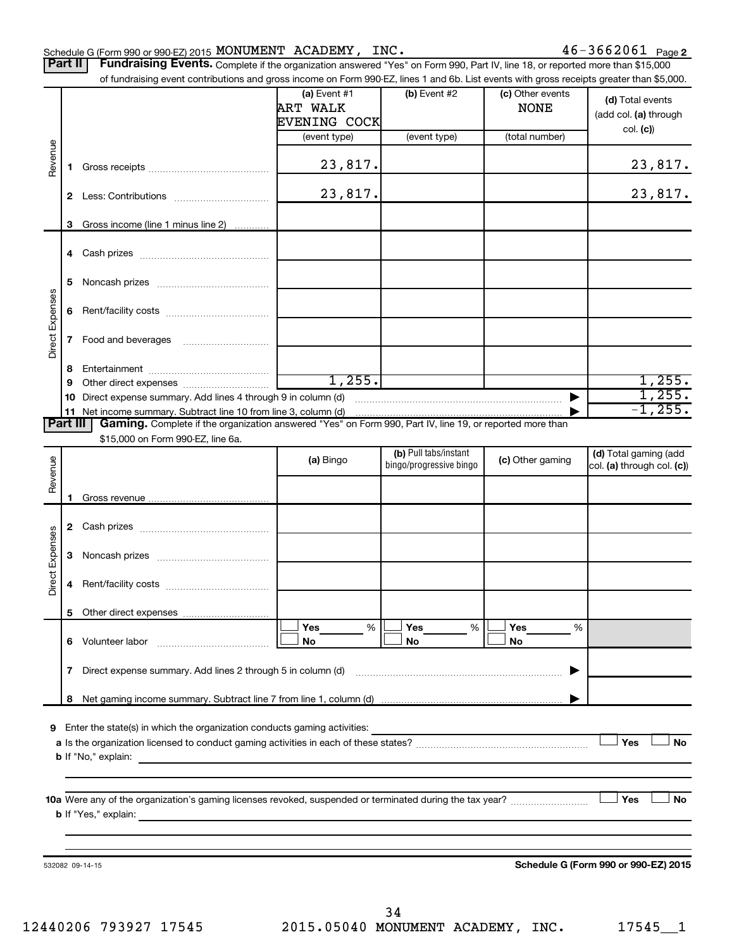|                 | $46 - 3662061$ Page 2<br>Schedule G (Form 990 or 990-EZ) 2015 MONUMENT ACADEMY, INC.                                                            |                                                                                                                                           |                     |                                                  |                  |                                                     |  |  |  |
|-----------------|-------------------------------------------------------------------------------------------------------------------------------------------------|-------------------------------------------------------------------------------------------------------------------------------------------|---------------------|--------------------------------------------------|------------------|-----------------------------------------------------|--|--|--|
|                 | Fundraising Events. Complete if the organization answered "Yes" on Form 990, Part IV, line 18, or reported more than \$15,000<br><b>Part II</b> |                                                                                                                                           |                     |                                                  |                  |                                                     |  |  |  |
|                 |                                                                                                                                                 | of fundraising event contributions and gross income on Form 990-EZ, lines 1 and 6b. List events with gross receipts greater than \$5,000. |                     |                                                  |                  |                                                     |  |  |  |
|                 |                                                                                                                                                 |                                                                                                                                           | (a) Event $#1$      | (b) Event #2                                     | (c) Other events | (d) Total events                                    |  |  |  |
|                 |                                                                                                                                                 |                                                                                                                                           | <b>ART WALK</b>     |                                                  | <b>NONE</b>      | (add col. (a) through                               |  |  |  |
|                 |                                                                                                                                                 |                                                                                                                                           | <b>EVENING COCK</b> |                                                  |                  | col. (c)                                            |  |  |  |
|                 |                                                                                                                                                 |                                                                                                                                           | (event type)        | (event type)                                     | (total number)   |                                                     |  |  |  |
| Revenue         | 1.                                                                                                                                              |                                                                                                                                           | 23,817.             |                                                  |                  | 23,817.                                             |  |  |  |
|                 | $\mathbf{2}$                                                                                                                                    |                                                                                                                                           | 23,817.             |                                                  |                  | 23,817.                                             |  |  |  |
|                 | 3                                                                                                                                               | Gross income (line 1 minus line 2)                                                                                                        |                     |                                                  |                  |                                                     |  |  |  |
|                 | 4                                                                                                                                               |                                                                                                                                           |                     |                                                  |                  |                                                     |  |  |  |
|                 | 5                                                                                                                                               |                                                                                                                                           |                     |                                                  |                  |                                                     |  |  |  |
|                 | 6                                                                                                                                               |                                                                                                                                           |                     |                                                  |                  |                                                     |  |  |  |
| Direct Expenses | 7                                                                                                                                               |                                                                                                                                           |                     |                                                  |                  |                                                     |  |  |  |
|                 | 8                                                                                                                                               |                                                                                                                                           |                     |                                                  |                  |                                                     |  |  |  |
|                 | 9                                                                                                                                               |                                                                                                                                           | 1,255.              |                                                  |                  | 1,255.                                              |  |  |  |
|                 | 10                                                                                                                                              | Direct expense summary. Add lines 4 through 9 in column (d)                                                                               |                     |                                                  |                  | 1,255.                                              |  |  |  |
|                 |                                                                                                                                                 |                                                                                                                                           |                     |                                                  |                  | $-1, 255$ .                                         |  |  |  |
| <b>Part III</b> |                                                                                                                                                 | Gaming. Complete if the organization answered "Yes" on Form 990, Part IV, line 19, or reported more than                                  |                     |                                                  |                  |                                                     |  |  |  |
|                 |                                                                                                                                                 | \$15,000 on Form 990-EZ, line 6a.                                                                                                         |                     |                                                  |                  |                                                     |  |  |  |
| Revenue         |                                                                                                                                                 |                                                                                                                                           | (a) Bingo           | (b) Pull tabs/instant<br>bingo/progressive bingo | (c) Other gaming | (d) Total gaming (add<br>col. (a) through col. (c)) |  |  |  |
|                 |                                                                                                                                                 |                                                                                                                                           |                     |                                                  |                  |                                                     |  |  |  |
|                 | 1.                                                                                                                                              |                                                                                                                                           |                     |                                                  |                  |                                                     |  |  |  |
|                 | 2                                                                                                                                               |                                                                                                                                           |                     |                                                  |                  |                                                     |  |  |  |
|                 | 3                                                                                                                                               |                                                                                                                                           |                     |                                                  |                  |                                                     |  |  |  |
| Direct Expenses | 4                                                                                                                                               |                                                                                                                                           |                     |                                                  |                  |                                                     |  |  |  |

**9** Enter the state(s) in which the organization conducts gaming activities:

**8** Net gaming income summary. Subtract line 7 from line 1, column (d)

**7** Direct expense summary. Add lines 2 through 5 in column (d)

**6** Volunteer labor ~~~~~~~~~~~~~

**5** Other direct expenses

**a** Is the organization licensed to conduct gaming activities in each of these states? ~~~~~~~~~~~~~~~~~~~~ **b** If "No," explain: Yes

**10 a** Were any of the organization's gaming licenses revoked, suspended or terminated during the tax year? ~~~~~~~~~ **b** If "Yes," explain:

532082 09-14-15

**Schedule G (Form 990 or 990-EZ) 2015**

 $\exists$  Yes

**Yes Yes Yes No No No**

 $|\Box$  Yes  $\qquad \%$   $|\Box$  Yes  $\qquad \%$   $|\Box$  $|\Box$  No  $|\Box$  No  $|\Box$ 

% % %

|

…………………………………………………… ▶

**Yes No**

**Yes No**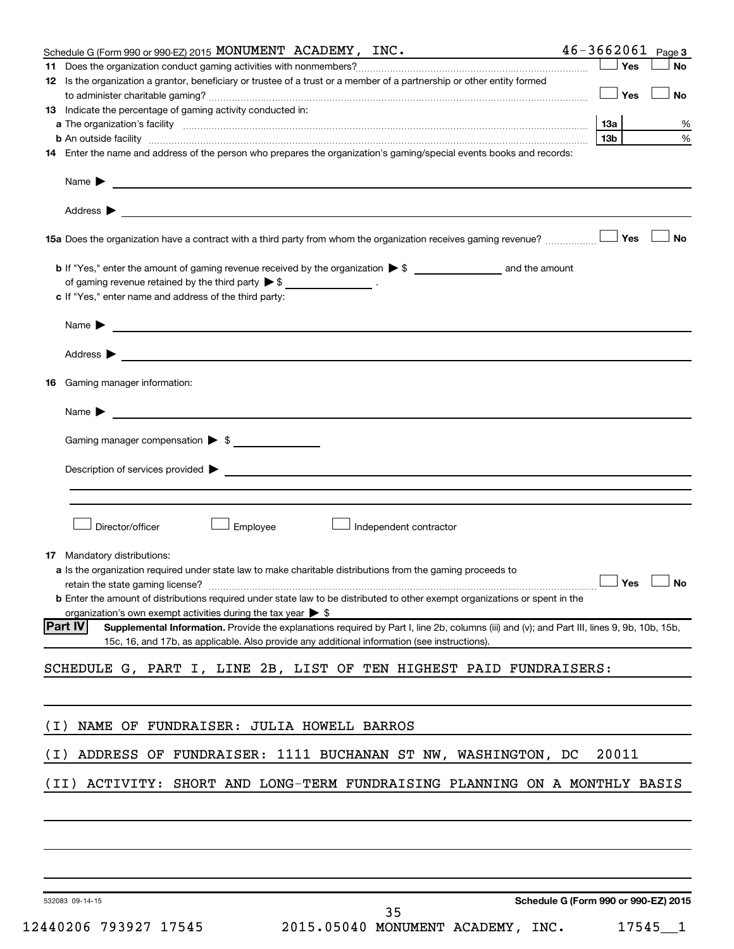| Schedule G (Form 990 or 990-EZ) 2015 MONUMENT ACADEMY, INC.<br>the control of the control of the control of the                                                                                                                               | $46 - 3662061$ Page 3                |
|-----------------------------------------------------------------------------------------------------------------------------------------------------------------------------------------------------------------------------------------------|--------------------------------------|
| 11                                                                                                                                                                                                                                            | Yes<br><b>No</b>                     |
| 12 Is the organization a grantor, beneficiary or trustee of a trust or a member of a partnership or other entity formed                                                                                                                       | Yes<br>No                            |
| <b>13</b> Indicate the percentage of gaming activity conducted in:                                                                                                                                                                            |                                      |
| a The organization's facility www.communication.communications.com/www.communication.com/www.communication                                                                                                                                    | 13а<br>%                             |
|                                                                                                                                                                                                                                               | 13 <sub>b</sub><br>%                 |
| 14 Enter the name and address of the person who prepares the organization's gaming/special events books and records:                                                                                                                          |                                      |
| Name $\blacktriangleright$                                                                                                                                                                                                                    |                                      |
|                                                                                                                                                                                                                                               |                                      |
| 15a Does the organization have a contract with a third party from whom the organization receives gaming revenue?                                                                                                                              | <b>No</b><br>Yes                     |
|                                                                                                                                                                                                                                               |                                      |
| of gaming revenue retained by the third party $\triangleright$ \$ __________________.                                                                                                                                                         |                                      |
| c If "Yes," enter name and address of the third party:                                                                                                                                                                                        |                                      |
| Name $\triangleright$                                                                                                                                                                                                                         |                                      |
|                                                                                                                                                                                                                                               |                                      |
| <b>16</b> Gaming manager information:                                                                                                                                                                                                         |                                      |
| Name $\sum$                                                                                                                                                                                                                                   |                                      |
| Gaming manager compensation > \$                                                                                                                                                                                                              |                                      |
| Description of services provided > The Communication of Services and Theorem Communication of Services provided                                                                                                                               |                                      |
|                                                                                                                                                                                                                                               |                                      |
|                                                                                                                                                                                                                                               |                                      |
| Director/officer<br>Employee<br>Independent contractor                                                                                                                                                                                        |                                      |
| <b>17</b> Mandatory distributions:                                                                                                                                                                                                            |                                      |
| a Is the organization required under state law to make charitable distributions from the gaming proceeds to                                                                                                                                   |                                      |
| retain the state gaming license? $\Box$ No                                                                                                                                                                                                    |                                      |
| <b>b</b> Enter the amount of distributions required under state law to be distributed to other exempt organizations or spent in the                                                                                                           |                                      |
| organization's own exempt activities during the tax year $\triangleright$ \$<br><b>Part IV</b><br>Supplemental Information. Provide the explanations required by Part I, line 2b, columns (iii) and (v); and Part III, lines 9, 9b, 10b, 15b, |                                      |
| 15c, 16, and 17b, as applicable. Also provide any additional information (see instructions).                                                                                                                                                  |                                      |
| SCHEDULE G, PART I, LINE 2B, LIST OF TEN HIGHEST PAID FUNDRAISERS:                                                                                                                                                                            |                                      |
|                                                                                                                                                                                                                                               |                                      |
| NAME OF FUNDRAISER: JULIA HOWELL BARROS<br>( I )                                                                                                                                                                                              |                                      |
| ADDRESS OF FUNDRAISER: 1111 BUCHANAN ST NW, WASHINGTON, DC<br>( I )                                                                                                                                                                           | 20011                                |
| (II)<br>ACTIVITY: SHORT AND LONG-TERM FUNDRAISING PLANNING ON A MONTHLY BASIS                                                                                                                                                                 |                                      |
|                                                                                                                                                                                                                                               |                                      |
|                                                                                                                                                                                                                                               |                                      |
|                                                                                                                                                                                                                                               |                                      |
|                                                                                                                                                                                                                                               |                                      |
| 532083 09-14-15                                                                                                                                                                                                                               | Schedule G (Form 990 or 990-EZ) 2015 |

35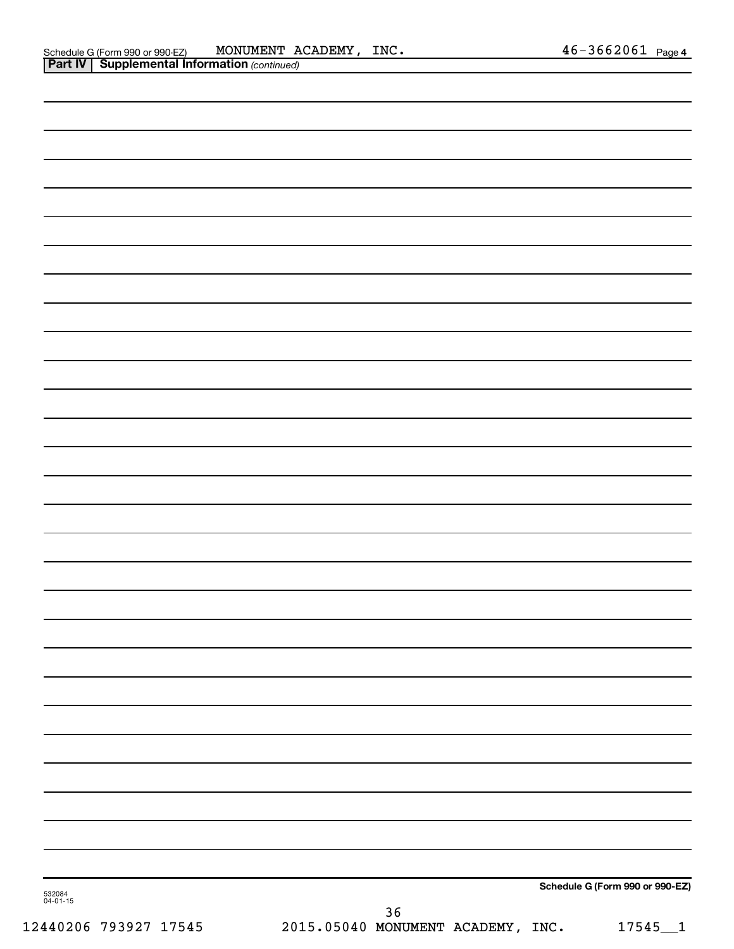|                    |      | Schedule G (Form 990 or 990-EZ) |
|--------------------|------|---------------------------------|
| 532084<br>04-01-15 | $36$ |                                 |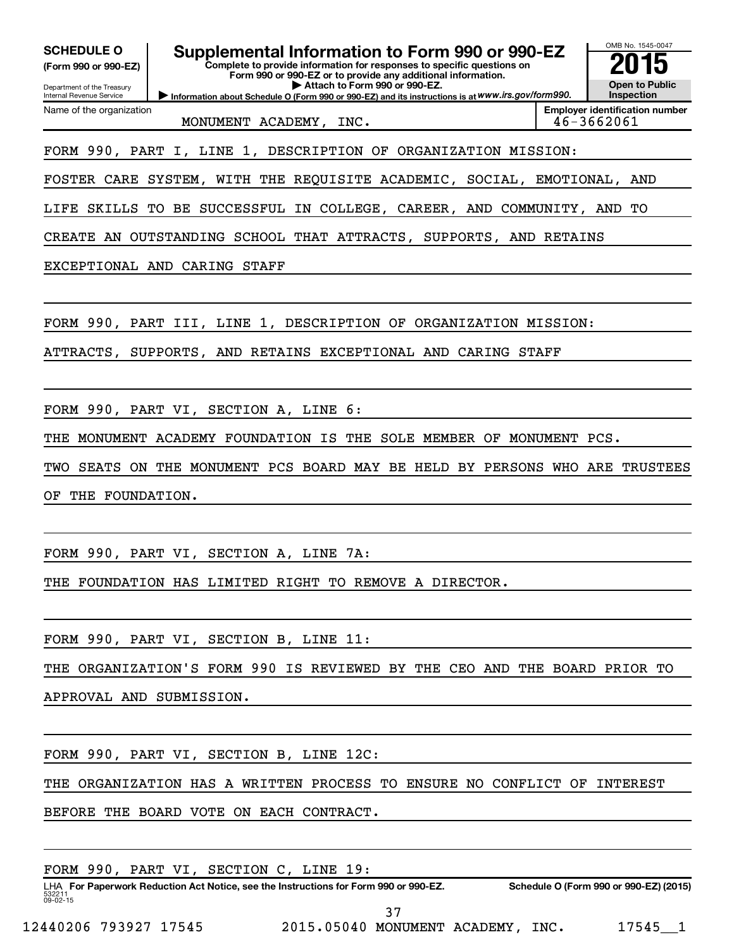| Supplemental Information to Form 990 or 990-EZ<br><b>SCHEDULE O</b><br>Complete to provide information for responses to specific questions on<br>(Form 990 or 990-EZ)<br>Form 990 or 990-EZ or to provide any additional information.<br>Attach to Form 990 or 990-EZ.<br>Department of the Treasury |               | OMB No. 1545-0047<br>Open to Public                 |
|------------------------------------------------------------------------------------------------------------------------------------------------------------------------------------------------------------------------------------------------------------------------------------------------------|---------------|-----------------------------------------------------|
| Information about Schedule O (Form 990 or 990-EZ) and its instructions is at WWW.irs.gov/form990.<br>Internal Revenue Service<br>Name of the organization                                                                                                                                            |               | Inspection<br><b>Employer identification number</b> |
| MONUMENT ACADEMY, INC.                                                                                                                                                                                                                                                                               |               | 46-3662061                                          |
| FORM 990, PART I, LINE 1, DESCRIPTION OF ORGANIZATION MISSION:                                                                                                                                                                                                                                       |               |                                                     |
| FOSTER CARE SYSTEM, WITH THE REQUISITE ACADEMIC, SOCIAL, EMOTIONAL, AND                                                                                                                                                                                                                              |               |                                                     |
| TO BE SUCCESSFUL IN COLLEGE, CAREER, AND COMMUNITY, AND<br>LIFE<br>SKILLS                                                                                                                                                                                                                            |               | TО                                                  |
| CREATE AN OUTSTANDING SCHOOL THAT ATTRACTS, SUPPORTS, AND RETAINS                                                                                                                                                                                                                                    |               |                                                     |
| EXCEPTIONAL AND CARING STAFF                                                                                                                                                                                                                                                                         |               |                                                     |
|                                                                                                                                                                                                                                                                                                      |               |                                                     |
| FORM 990, PART III, LINE 1, DESCRIPTION OF ORGANIZATION MISSION:                                                                                                                                                                                                                                     |               |                                                     |
| ATTRACTS, SUPPORTS, AND RETAINS EXCEPTIONAL AND CARING STAFF                                                                                                                                                                                                                                         |               |                                                     |
|                                                                                                                                                                                                                                                                                                      |               |                                                     |
| FORM 990, PART VI, SECTION A, LINE 6:                                                                                                                                                                                                                                                                |               |                                                     |
| THE SOLE MEMBER OF<br>MONUMENT ACADEMY FOUNDATION IS<br>THE                                                                                                                                                                                                                                          | MONUMENT PCS. |                                                     |
| SEATS ON THE MONUMENT PCS BOARD MAY BE HELD BY PERSONS WHO ARE TRUSTEES<br>TWO                                                                                                                                                                                                                       |               |                                                     |
| THE FOUNDATION.<br>ОF                                                                                                                                                                                                                                                                                |               |                                                     |
|                                                                                                                                                                                                                                                                                                      |               |                                                     |
| FORM 990, PART VI, SECTION A, LINE 7A:                                                                                                                                                                                                                                                               |               |                                                     |
| THE FOUNDATION HAS LIMITED RIGHT TO REMOVE A DIRECTOR.                                                                                                                                                                                                                                               |               |                                                     |
|                                                                                                                                                                                                                                                                                                      |               |                                                     |
| FORM 990, PART VI, SECTION B, LINE 11:                                                                                                                                                                                                                                                               |               |                                                     |
| THE ORGANIZATION'S FORM 990 IS REVIEWED BY THE CEO AND THE BOARD PRIOR TO                                                                                                                                                                                                                            |               |                                                     |
| APPROVAL AND SUBMISSION.                                                                                                                                                                                                                                                                             |               |                                                     |
|                                                                                                                                                                                                                                                                                                      |               |                                                     |
| FORM 990, PART VI, SECTION B, LINE 12C:                                                                                                                                                                                                                                                              |               |                                                     |

THE ORGANIZATION HAS A WRITTEN PROCESS TO ENSURE NO CONFLICT OF INTEREST

BEFORE THE BOARD VOTE ON EACH CONTRACT.

FORM 990, PART VI, SECTION C, LINE 19:

532211 09-02-15 LHA For Paperwork Reduction Act Notice, see the Instructions for Form 990 or 990-EZ. Schedule O (Form 990 or 990-EZ) (2015) 37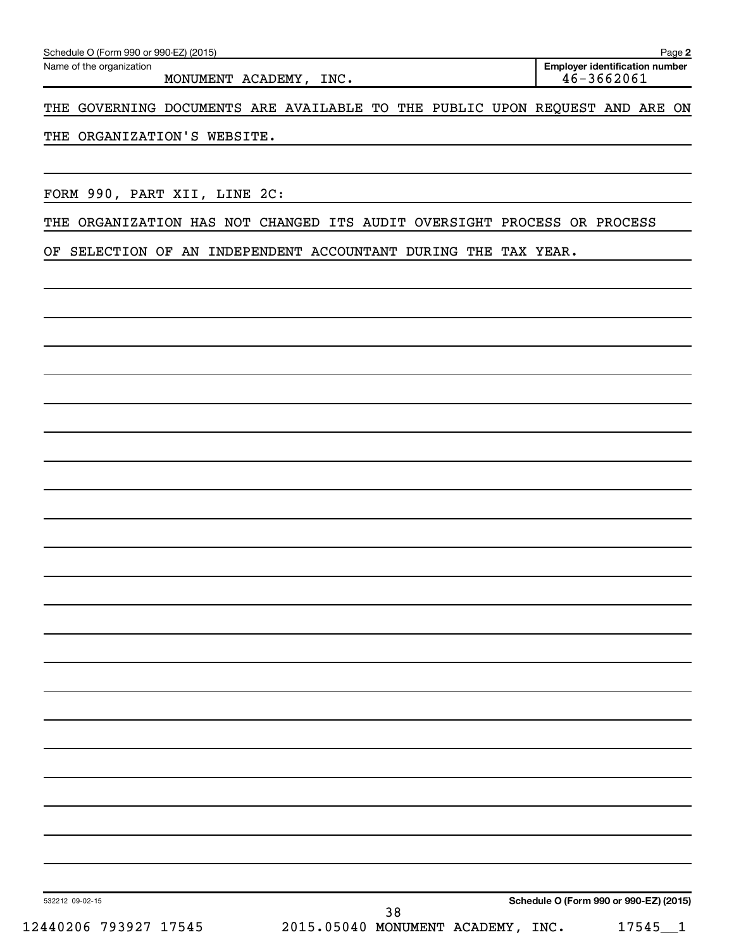Name of the organization

MONUMENT ACADEMY, INC. 46-3662061

**2 Employer identification number**

THE GOVERNING DOCUMENTS ARE AVAILABLE TO THE PUBLIC UPON REQUEST AND ARE ON

THE ORGANIZATION'S WEBSITE.

FORM 990, PART XII, LINE 2C:

THE ORGANIZATION HAS NOT CHANGED ITS AUDIT OVERSIGHT PROCESS OR PROCESS

OF SELECTION OF AN INDEPENDENT ACCOUNTANT DURING THE TAX YEAR.

**Schedule O (Form 990 or 990-EZ) (2015)**

532212 09-02-15

12440206 793927 17545 2015.05040 MONUMENT ACADEMY, INC. 17545 1 38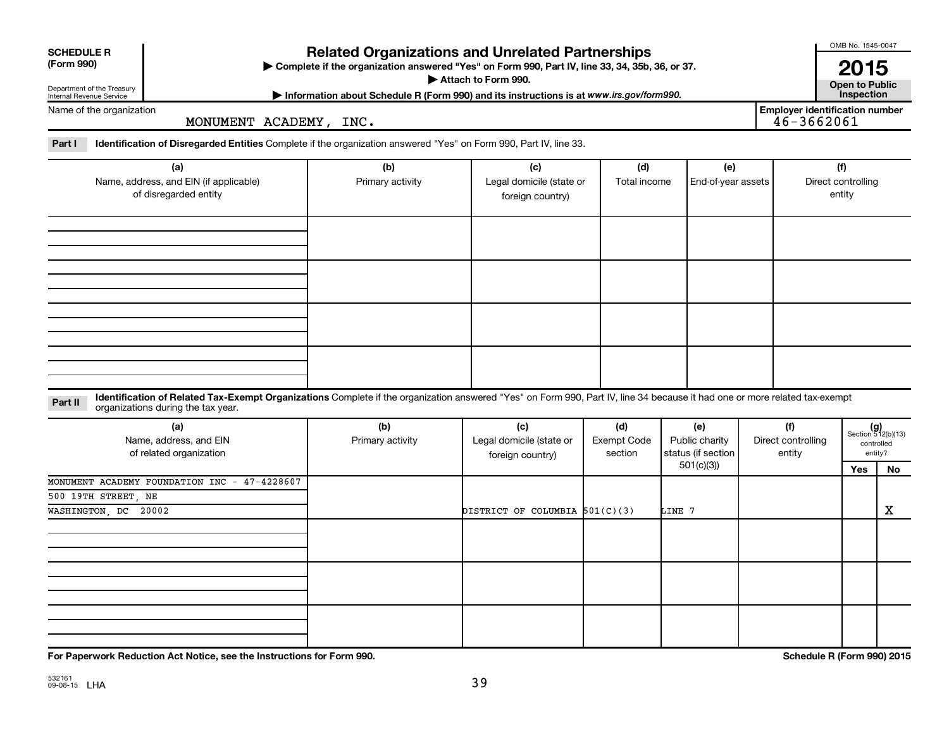| <b>SCHEDULE R</b><br>(Form 990)<br>Department of the Treasury          |                                                                                                                                                                                                                  | <b>Related Organizations and Unrelated Partnerships</b><br>> Complete if the organization answered "Yes" on Form 990, Part IV, line 33, 34, 35b, 36, or 37.<br>Attach to Form 990. |                                                     | OMB No. 1545-0047<br>2015<br><b>Open to Public</b><br>Inspection |                                             |  |                                                         |                                     |                                                      |  |
|------------------------------------------------------------------------|------------------------------------------------------------------------------------------------------------------------------------------------------------------------------------------------------------------|------------------------------------------------------------------------------------------------------------------------------------------------------------------------------------|-----------------------------------------------------|------------------------------------------------------------------|---------------------------------------------|--|---------------------------------------------------------|-------------------------------------|------------------------------------------------------|--|
| Internal Revenue Service                                               |                                                                                                                                                                                                                  | Information about Schedule R (Form 990) and its instructions is at www.irs.gov/form990.                                                                                            |                                                     |                                                                  |                                             |  |                                                         |                                     |                                                      |  |
| Name of the organization                                               | MONUMENT ACADEMY, INC.                                                                                                                                                                                           |                                                                                                                                                                                    |                                                     |                                                                  |                                             |  | <b>Employer identification number</b><br>$46 - 3662061$ |                                     |                                                      |  |
| Part I                                                                 | <b>Identification of Disregarded Entities</b> Complete if the organization answered "Yes" on Form 990, Part IV, line 33.                                                                                         |                                                                                                                                                                                    |                                                     |                                                                  |                                             |  |                                                         |                                     |                                                      |  |
| (a)<br>Name, address, and EIN (if applicable)<br>of disregarded entity |                                                                                                                                                                                                                  | (b)<br>Primary activity                                                                                                                                                            | (c)<br>Legal domicile (state or<br>foreign country) | (d)<br>Total income                                              | (e)<br>End-of-year assets                   |  |                                                         | (f)<br>Direct controlling<br>entity |                                                      |  |
|                                                                        |                                                                                                                                                                                                                  |                                                                                                                                                                                    |                                                     |                                                                  |                                             |  |                                                         |                                     |                                                      |  |
| Part II                                                                | Identification of Related Tax-Exempt Organizations Complete if the organization answered "Yes" on Form 990, Part IV, line 34 because it had one or more related tax-exempt<br>organizations during the tax year. |                                                                                                                                                                                    |                                                     |                                                                  |                                             |  |                                                         |                                     |                                                      |  |
|                                                                        | (a)<br>Name, address, and EIN<br>of related organization                                                                                                                                                         | (b)<br>Primary activity                                                                                                                                                            | (c)<br>Legal domicile (state or<br>foreign country) | (d)<br>Exempt Code<br>section                                    | (e)<br>Public charity<br>status (if section |  | (f)<br>Direct controlling<br>entity                     |                                     | $(g)$<br>Section 512(b)(13)<br>controlled<br>entity? |  |
|                                                                        |                                                                                                                                                                                                                  |                                                                                                                                                                                    |                                                     |                                                                  | 501(c)(3)                                   |  |                                                         | Yes                                 | No                                                   |  |
| 500 19TH STREET, NE<br>WASHINGTON DC                                   | MONUMENT ACADEMY FOUNDATION INC - 47-4228607<br>20002                                                                                                                                                            |                                                                                                                                                                                    | DISTRICT OF COLUMBIA 501(C)(3)                      |                                                                  | LINE 7                                      |  |                                                         |                                     | X                                                    |  |
|                                                                        |                                                                                                                                                                                                                  |                                                                                                                                                                                    |                                                     |                                                                  |                                             |  |                                                         |                                     |                                                      |  |
|                                                                        |                                                                                                                                                                                                                  |                                                                                                                                                                                    |                                                     |                                                                  |                                             |  |                                                         |                                     |                                                      |  |
|                                                                        |                                                                                                                                                                                                                  |                                                                                                                                                                                    |                                                     |                                                                  |                                             |  |                                                         |                                     |                                                      |  |

**For Paperwork Reduction Act Notice, see the Instructions for Form 990. Schedule R (Form 990) 2015**

OMB No. 1545-0047

 $\overline{1}$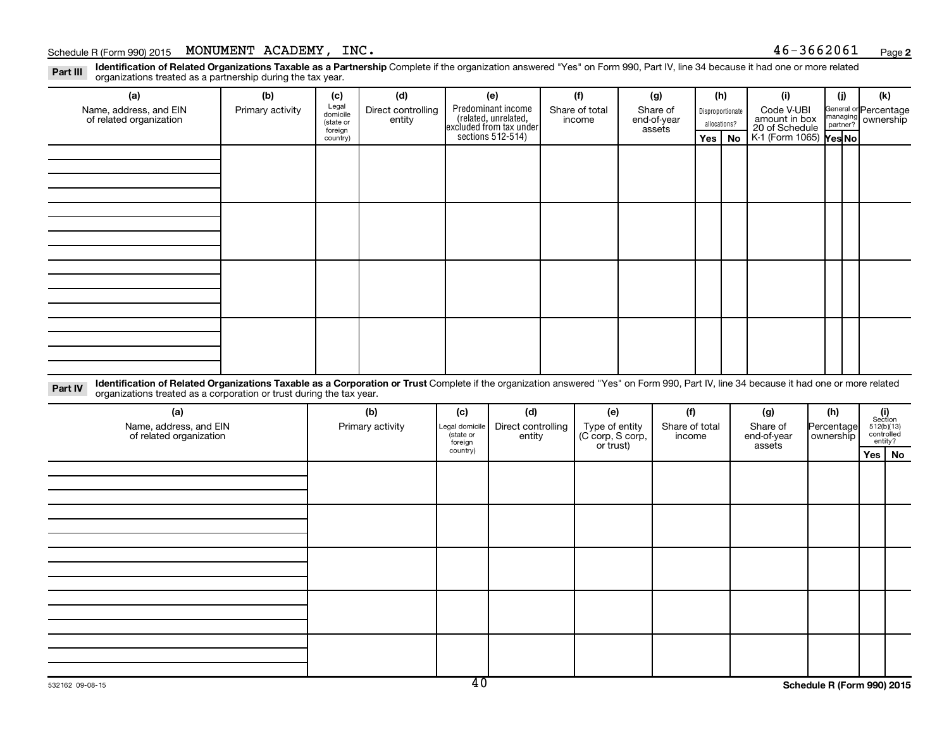## Schedule R (Form 990) 2015 MONUMENT ACADEMY,  $INC.$

**2**

Part III Identification of Related Organizations Taxable as a Partnership Complete if the organization answered "Yes" on Form 990, Part IV, line 34 because it had one or more related<br>Read to the organizations tracted as a organizations treated as a partnership during the tax year.

| (a)                                                                                                                                                                                                                                                                       | (b)              | (c)                                       | (d)                          |     | (e)                                                                   | (f)                      |     | (g)                               |              | (h)              | (i)                                           | (i)      | (k)                                |
|---------------------------------------------------------------------------------------------------------------------------------------------------------------------------------------------------------------------------------------------------------------------------|------------------|-------------------------------------------|------------------------------|-----|-----------------------------------------------------------------------|--------------------------|-----|-----------------------------------|--------------|------------------|-----------------------------------------------|----------|------------------------------------|
| Name, address, and EIN<br>of related organization                                                                                                                                                                                                                         | Primary activity | Legal<br>domicile<br>(state or<br>foreign | Direct controlling<br>entity |     | Predominant income<br>(related, unrelated,<br>excluded from tax under | Share of total<br>income |     | Share of<br>end-of-year<br>assets | allocations? | Disproportionate | Code V-UBI<br>amount in box<br>20 of Schedule | managing | General or Percentage<br>ownership |
|                                                                                                                                                                                                                                                                           |                  | country)                                  |                              |     | sections 512-514)                                                     |                          |     |                                   | Yes          | No               | K-1 (Form 1065) Yes No                        |          |                                    |
|                                                                                                                                                                                                                                                                           |                  |                                           |                              |     |                                                                       |                          |     |                                   |              |                  |                                               |          |                                    |
|                                                                                                                                                                                                                                                                           |                  |                                           |                              |     |                                                                       |                          |     |                                   |              |                  |                                               |          |                                    |
|                                                                                                                                                                                                                                                                           |                  |                                           |                              |     |                                                                       |                          |     |                                   |              |                  |                                               |          |                                    |
|                                                                                                                                                                                                                                                                           |                  |                                           |                              |     |                                                                       |                          |     |                                   |              |                  |                                               |          |                                    |
|                                                                                                                                                                                                                                                                           |                  |                                           |                              |     |                                                                       |                          |     |                                   |              |                  |                                               |          |                                    |
|                                                                                                                                                                                                                                                                           |                  |                                           |                              |     |                                                                       |                          |     |                                   |              |                  |                                               |          |                                    |
|                                                                                                                                                                                                                                                                           |                  |                                           |                              |     |                                                                       |                          |     |                                   |              |                  |                                               |          |                                    |
|                                                                                                                                                                                                                                                                           |                  |                                           |                              |     |                                                                       |                          |     |                                   |              |                  |                                               |          |                                    |
|                                                                                                                                                                                                                                                                           |                  |                                           |                              |     |                                                                       |                          |     |                                   |              |                  |                                               |          |                                    |
|                                                                                                                                                                                                                                                                           |                  |                                           |                              |     |                                                                       |                          |     |                                   |              |                  |                                               |          |                                    |
|                                                                                                                                                                                                                                                                           |                  |                                           |                              |     |                                                                       |                          |     |                                   |              |                  |                                               |          |                                    |
|                                                                                                                                                                                                                                                                           |                  |                                           |                              |     |                                                                       |                          |     |                                   |              |                  |                                               |          |                                    |
|                                                                                                                                                                                                                                                                           |                  |                                           |                              |     |                                                                       |                          |     |                                   |              |                  |                                               |          |                                    |
|                                                                                                                                                                                                                                                                           |                  |                                           |                              |     |                                                                       |                          |     |                                   |              |                  |                                               |          |                                    |
|                                                                                                                                                                                                                                                                           |                  |                                           |                              |     |                                                                       |                          |     |                                   |              |                  |                                               |          |                                    |
| Identification of Related Organizations Taxable as a Corporation or Trust Complete if the organization answered "Yes" on Form 990, Part IV, line 34 because it had one or more related<br>Part IV<br>organizations treated as a corporation or trust during the tax year. |                  |                                           |                              |     |                                                                       |                          |     |                                   |              |                  |                                               |          |                                    |
| (a)                                                                                                                                                                                                                                                                       |                  |                                           | (b)                          | (c) | (d)                                                                   |                          | (e) | (f)                               |              |                  | (g)                                           | (h)      | (i)<br>Section                     |

| (a)                                               | (b)              | (c)                                   | (d)                          | (e)                                             | (f)                      | (g)                               | (h)                       |                                                                                                                                 |
|---------------------------------------------------|------------------|---------------------------------------|------------------------------|-------------------------------------------------|--------------------------|-----------------------------------|---------------------------|---------------------------------------------------------------------------------------------------------------------------------|
| Name, address, and EIN<br>of related organization | Primary activity | Legal domicile<br>state or<br>foreign | Direct controlling<br>entity | Type of entity<br>(C corp, S corp,<br>or trust) | Share of total<br>income | Share of<br>end-of-year<br>assets | Percentage<br>  ownership | $\begin{array}{c} \textbf{(i)}\\ \text{Section}\\ 512 \text{(b)} \text{(13)}\\ \text{controlled} \\ \text{entity?} \end{array}$ |
|                                                   |                  | country)                              |                              |                                                 |                          |                                   |                           | Yes   No                                                                                                                        |
|                                                   |                  |                                       |                              |                                                 |                          |                                   |                           |                                                                                                                                 |
|                                                   |                  |                                       |                              |                                                 |                          |                                   |                           |                                                                                                                                 |
|                                                   |                  |                                       |                              |                                                 |                          |                                   |                           |                                                                                                                                 |
|                                                   |                  |                                       |                              |                                                 |                          |                                   |                           |                                                                                                                                 |
|                                                   |                  |                                       |                              |                                                 |                          |                                   |                           |                                                                                                                                 |
|                                                   |                  |                                       |                              |                                                 |                          |                                   |                           |                                                                                                                                 |
|                                                   |                  |                                       |                              |                                                 |                          |                                   |                           |                                                                                                                                 |
|                                                   |                  |                                       |                              |                                                 |                          |                                   |                           |                                                                                                                                 |
|                                                   |                  |                                       |                              |                                                 |                          |                                   |                           |                                                                                                                                 |
|                                                   |                  |                                       |                              |                                                 |                          |                                   |                           |                                                                                                                                 |
|                                                   |                  |                                       |                              |                                                 |                          |                                   |                           |                                                                                                                                 |
|                                                   |                  |                                       |                              |                                                 |                          |                                   |                           |                                                                                                                                 |
|                                                   |                  |                                       |                              |                                                 |                          |                                   |                           |                                                                                                                                 |
|                                                   |                  |                                       |                              |                                                 |                          |                                   |                           |                                                                                                                                 |
|                                                   |                  |                                       |                              |                                                 |                          |                                   |                           |                                                                                                                                 |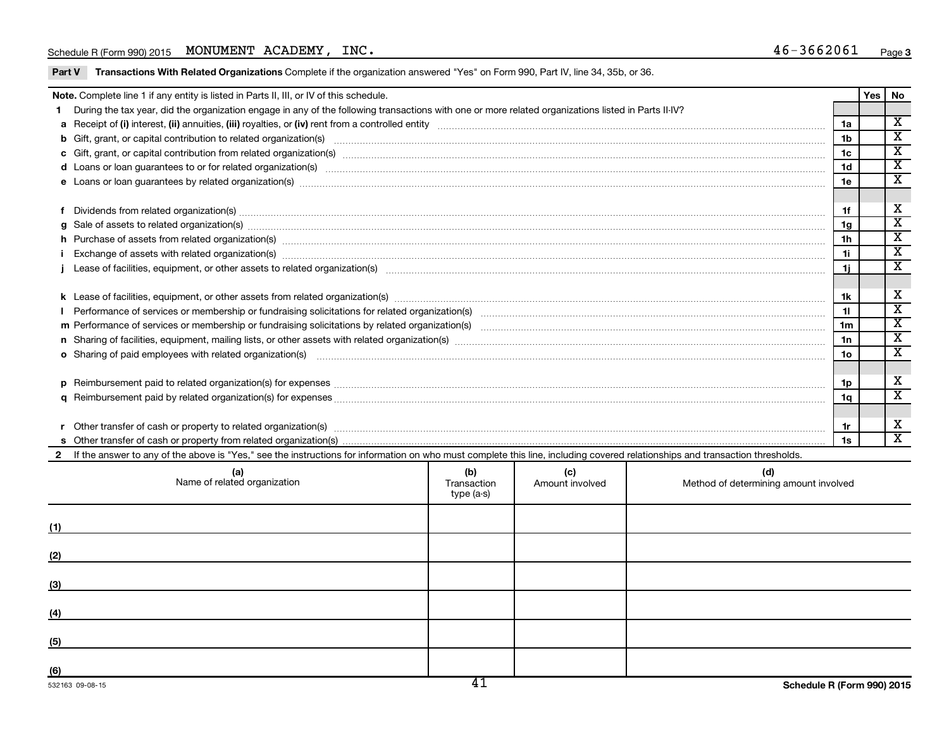## Schedule R (Form 990) 2015 MONUMENT ACADEMY,  $INC.$

Part V Transactions With Related Organizations Complete if the organization answered "Yes" on Form 990, Part IV, line 34, 35b, or 36.

| Note. Complete line 1 if any entity is listed in Parts II, III, or IV of this schedule.                                                                                                                                        |                                  |                        |                                              |                 | <b>Yes</b> | No                      |
|--------------------------------------------------------------------------------------------------------------------------------------------------------------------------------------------------------------------------------|----------------------------------|------------------------|----------------------------------------------|-----------------|------------|-------------------------|
| During the tax year, did the organization engage in any of the following transactions with one or more related organizations listed in Parts II-IV?                                                                            |                                  |                        |                                              |                 |            |                         |
|                                                                                                                                                                                                                                |                                  |                        |                                              | 1a              |            | $\overline{\mathbf{x}}$ |
|                                                                                                                                                                                                                                |                                  |                        |                                              | 1 <sub>b</sub>  |            | $\overline{\texttt{x}}$ |
| c Gift, grant, or capital contribution from related organization(s) matches and contained a contribution from related organization(s) matches and contribution from related organization(s) matches and contribution from rela |                                  |                        |                                              | 1c              |            | $\overline{\mathtt{x}}$ |
| d Loans or loan guarantees to or for related organization(s) www.communities.com/www.communities.com/www.communities.com/www.communities.com/www.communities.com/www.communities.com/www.communities.com/www.communities.com/w |                                  |                        |                                              | 1 <sub>d</sub>  |            | $\overline{\texttt{x}}$ |
|                                                                                                                                                                                                                                |                                  |                        |                                              | 1e              |            | $\overline{\texttt{x}}$ |
|                                                                                                                                                                                                                                |                                  |                        |                                              |                 |            |                         |
|                                                                                                                                                                                                                                |                                  |                        |                                              | 1f              |            | х                       |
| $g$ Sale of assets to related organization(s) with the contraction control of the control of the control of the control of the control of the control of the control of the control of the control of the control of the cont  |                                  |                        |                                              | 1g              |            | $\overline{\mathbf{x}}$ |
| h Purchase of assets from related organization(s) manufactured and content to content the content of assets from related organization(s) manufactured and content of the content of the content of the content of the content  |                                  |                        |                                              | 1 <sub>h</sub>  |            | $\overline{\texttt{x}}$ |
|                                                                                                                                                                                                                                |                                  |                        |                                              | 1i              |            | $\overline{\texttt{x}}$ |
|                                                                                                                                                                                                                                |                                  |                        |                                              | 1i.             |            | $\overline{\textbf{x}}$ |
|                                                                                                                                                                                                                                |                                  |                        |                                              |                 |            |                         |
|                                                                                                                                                                                                                                |                                  |                        |                                              | 1k              |            | x                       |
|                                                                                                                                                                                                                                |                                  |                        |                                              | 11              |            | $\overline{\mathtt{x}}$ |
|                                                                                                                                                                                                                                |                                  |                        |                                              | 1m              |            | $\overline{\textbf{x}}$ |
|                                                                                                                                                                                                                                |                                  |                        |                                              | 1n              |            | $\overline{\texttt{x}}$ |
| o Sharing of paid employees with related organization(s) manufactured and content to the content of the content of the content of the content of the content of the content of the content of the content of the content of th |                                  |                        |                                              | 10 <sub>o</sub> |            | $\overline{\texttt{x}}$ |
|                                                                                                                                                                                                                                |                                  |                        |                                              |                 |            |                         |
|                                                                                                                                                                                                                                |                                  |                        |                                              | 1p              |            | х                       |
|                                                                                                                                                                                                                                |                                  |                        |                                              | 1q              |            | $\overline{\texttt{x}}$ |
|                                                                                                                                                                                                                                |                                  |                        |                                              |                 |            |                         |
| Other transfer of cash or property to related organization(s) CONSERVIER CONSERVIERS (SCIENCIS) CONSERVIERS (SCIENCIS)                                                                                                         |                                  |                        |                                              | 1r              |            | X                       |
|                                                                                                                                                                                                                                |                                  |                        |                                              | 1s              |            | $\overline{\texttt{x}}$ |
| 2 If the answer to any of the above is "Yes," see the instructions for information on who must complete this line, including covered relationships and transaction thresholds.                                                 |                                  |                        |                                              |                 |            |                         |
| (a)<br>Name of related organization                                                                                                                                                                                            | (b)<br>Transaction<br>type (a-s) | (c)<br>Amount involved | (d)<br>Method of determining amount involved |                 |            |                         |

|     | $\mathbf{y}$ $\mathbf{y}$ $\mathbf{y}$ $\mathbf{y}$ |  |
|-----|-----------------------------------------------------|--|
| (1) |                                                     |  |
| (2) |                                                     |  |
| (3) |                                                     |  |
| (4) |                                                     |  |
| (5) |                                                     |  |
| (6) |                                                     |  |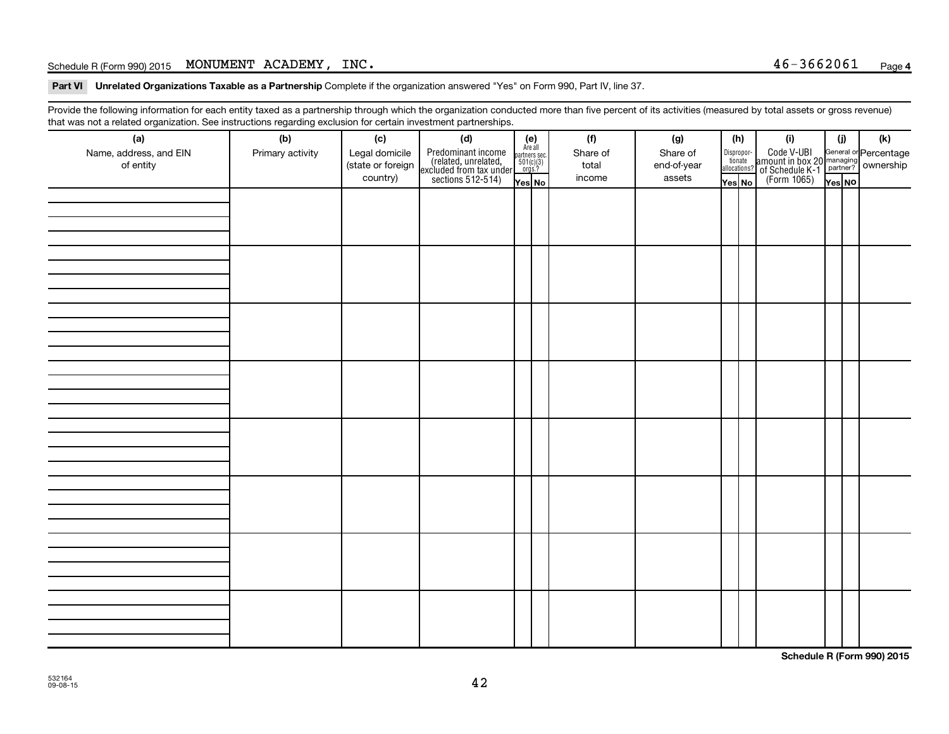# Schedule R (Form 990) 2015 MONUMENT ACADEMY,  $INC.$

Part VI Unrelated Organizations Taxable as a Partnership Complete if the organization answered "Yes" on Form 990, Part IV, line 37.

Provide the following information for each entity taxed as a partnership through which the organization conducted more than five percent of its activities (measured by total assets or gross revenue) that was not a related organization. See instructions regarding exclusion for certain investment partnerships.

| (a)<br>Name, address, and EIN<br>of entity | - -<br>(b)<br>Primary activity | (c)<br>Legal domicile<br>(state or foreign<br>country) | . . <b>. .</b> .<br>(d)<br>Predominant income<br>(related, unrelated,<br>excluded from tax under<br>sections 512-514) | $(e)$<br>Are all<br>partners sec.<br>$501(c)(3)$<br>orgs.?<br>Yes No | (f)<br>Share of<br>total<br>income | (g)<br>Share of<br>end-of-year<br>assets | (h)<br>Disproportionate<br>allocations?<br>Yes No | (i)<br>Code V-UBI<br>amount in box 20 managing<br>of Schedule K-1 partner?<br>(Form 1065)<br>ves No | (i)<br>Yes NO | (k) |
|--------------------------------------------|--------------------------------|--------------------------------------------------------|-----------------------------------------------------------------------------------------------------------------------|----------------------------------------------------------------------|------------------------------------|------------------------------------------|---------------------------------------------------|-----------------------------------------------------------------------------------------------------|---------------|-----|
|                                            |                                |                                                        |                                                                                                                       |                                                                      |                                    |                                          |                                                   |                                                                                                     |               |     |
|                                            |                                |                                                        |                                                                                                                       |                                                                      |                                    |                                          |                                                   |                                                                                                     |               |     |
|                                            |                                |                                                        |                                                                                                                       |                                                                      |                                    |                                          |                                                   |                                                                                                     |               |     |
|                                            |                                |                                                        |                                                                                                                       |                                                                      |                                    |                                          |                                                   |                                                                                                     |               |     |
|                                            |                                |                                                        |                                                                                                                       |                                                                      |                                    |                                          |                                                   |                                                                                                     |               |     |
|                                            |                                |                                                        |                                                                                                                       |                                                                      |                                    |                                          |                                                   |                                                                                                     |               |     |
|                                            |                                |                                                        |                                                                                                                       |                                                                      |                                    |                                          |                                                   |                                                                                                     |               |     |
|                                            |                                |                                                        |                                                                                                                       |                                                                      |                                    |                                          |                                                   |                                                                                                     |               |     |

**Schedule R (Form 990) 2015**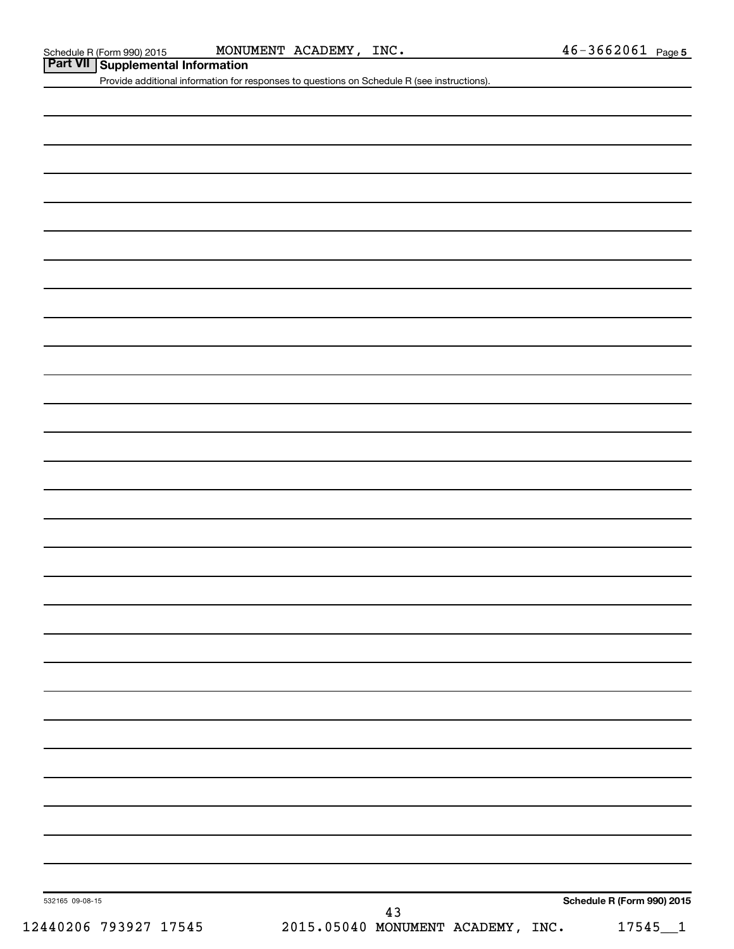Schedule R (Form 990) 2015 MONUMENT ACADEMY , INC .  $46-3662061$  Page

**Part VII Schedule R (Form 990) 2015** MONU

Provide additional information for responses to questions on Schedule R (see instructions).

532165 09-08-15